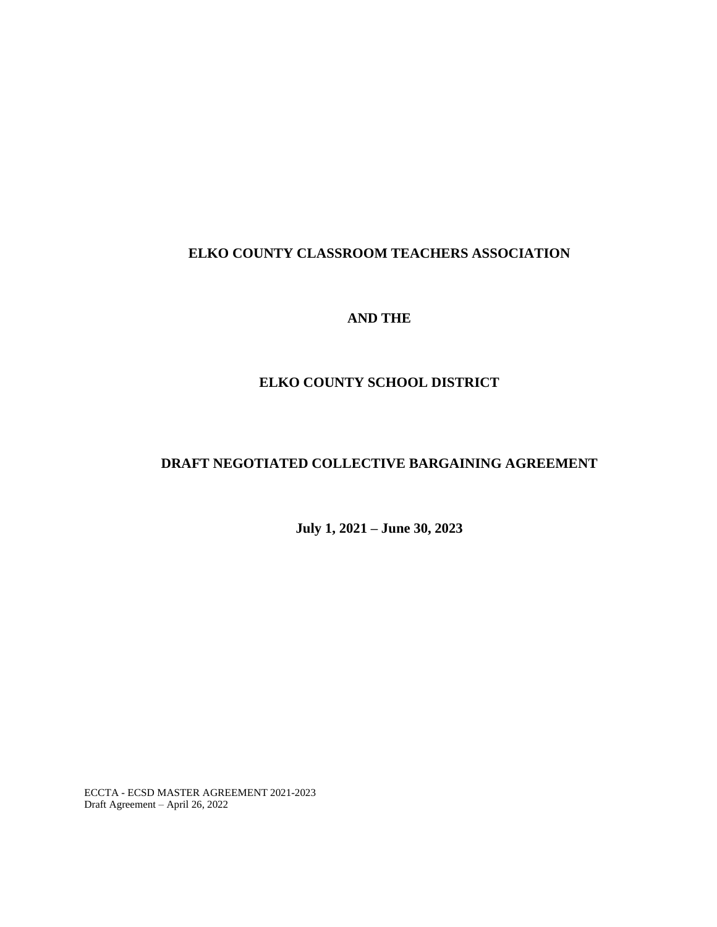# **ELKO COUNTY CLASSROOM TEACHERS ASSOCIATION**

## **AND THE**

# **ELKO COUNTY SCHOOL DISTRICT**

# **DRAFT NEGOTIATED COLLECTIVE BARGAINING AGREEMENT**

**July 1, 2021 – June 30, 2023**

ECCTA - ECSD MASTER AGREEMENT 2021-2023 Draft Agreement – April 26, 2022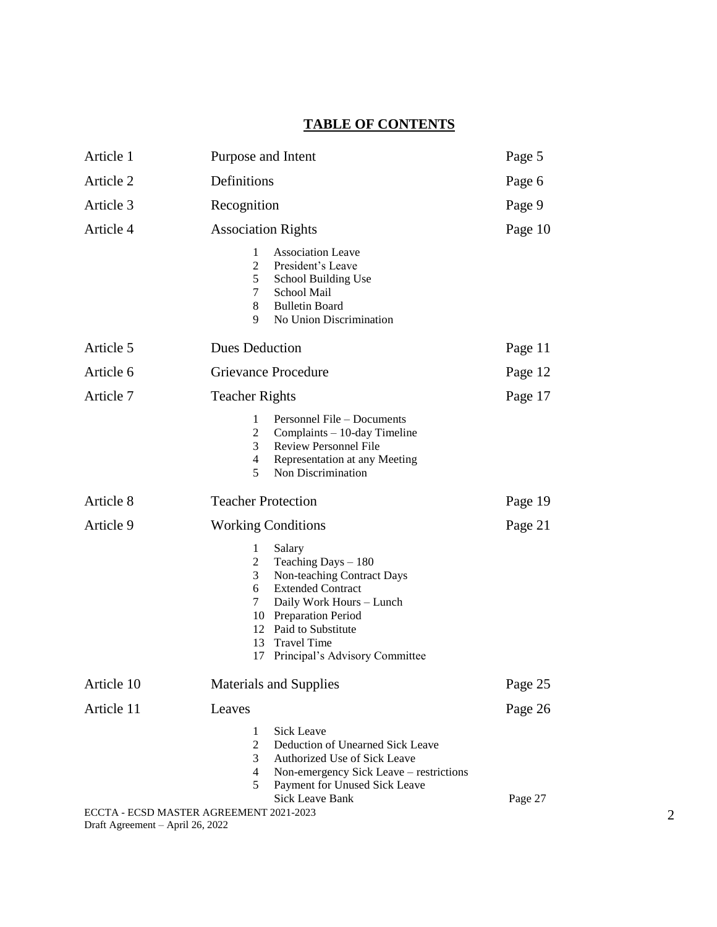# **TABLE OF CONTENTS**

| Article 1  | Purpose and Intent                                                                                                                                                                                                                                                                          | Page 5  |
|------------|---------------------------------------------------------------------------------------------------------------------------------------------------------------------------------------------------------------------------------------------------------------------------------------------|---------|
| Article 2  | Definitions                                                                                                                                                                                                                                                                                 | Page 6  |
| Article 3  | Recognition                                                                                                                                                                                                                                                                                 | Page 9  |
| Article 4  | <b>Association Rights</b>                                                                                                                                                                                                                                                                   | Page 10 |
|            | <b>Association Leave</b><br>1<br>$\overline{2}$<br>President's Leave<br>5<br>School Building Use<br>7<br>School Mail<br>8<br><b>Bulletin Board</b><br>9<br>No Union Discrimination                                                                                                          |         |
| Article 5  | <b>Dues Deduction</b>                                                                                                                                                                                                                                                                       | Page 11 |
| Article 6  | <b>Grievance Procedure</b>                                                                                                                                                                                                                                                                  | Page 12 |
| Article 7  | <b>Teacher Rights</b>                                                                                                                                                                                                                                                                       | Page 17 |
|            | 1<br>Personnel File – Documents<br>$\overline{2}$<br>Complaints - 10-day Timeline<br>3<br><b>Review Personnel File</b><br>$\overline{4}$<br>Representation at any Meeting<br>5<br>Non Discrimination                                                                                        |         |
| Article 8  | <b>Teacher Protection</b>                                                                                                                                                                                                                                                                   | Page 19 |
| Article 9  | <b>Working Conditions</b>                                                                                                                                                                                                                                                                   | Page 21 |
|            | $\mathbf{1}$<br>Salary<br>$\overline{2}$<br>Teaching Days $-180$<br>Non-teaching Contract Days<br>3<br><b>Extended Contract</b><br>6<br>7<br>Daily Work Hours - Lunch<br>10 Preparation Period<br>12 Paid to Substitute<br><b>Travel Time</b><br>13<br>Principal's Advisory Committee<br>17 |         |
| Article 10 | <b>Materials and Supplies</b>                                                                                                                                                                                                                                                               | Page 25 |
| Article 11 | Leaves                                                                                                                                                                                                                                                                                      | Page 26 |
|            | Sick Leave<br>1<br>$\overline{2}$<br>Deduction of Unearned Sick Leave<br>3<br>Authorized Use of Sick Leave<br>4<br>Non-emergency Sick Leave – restrictions<br>Payment for Unused Sick Leave<br>5<br><b>Sick Leave Bank</b><br>ECCTA - ECSD MASTER AGREEMENT 2021-2023                       | Page 27 |

Draft Agreement – April 26, 2022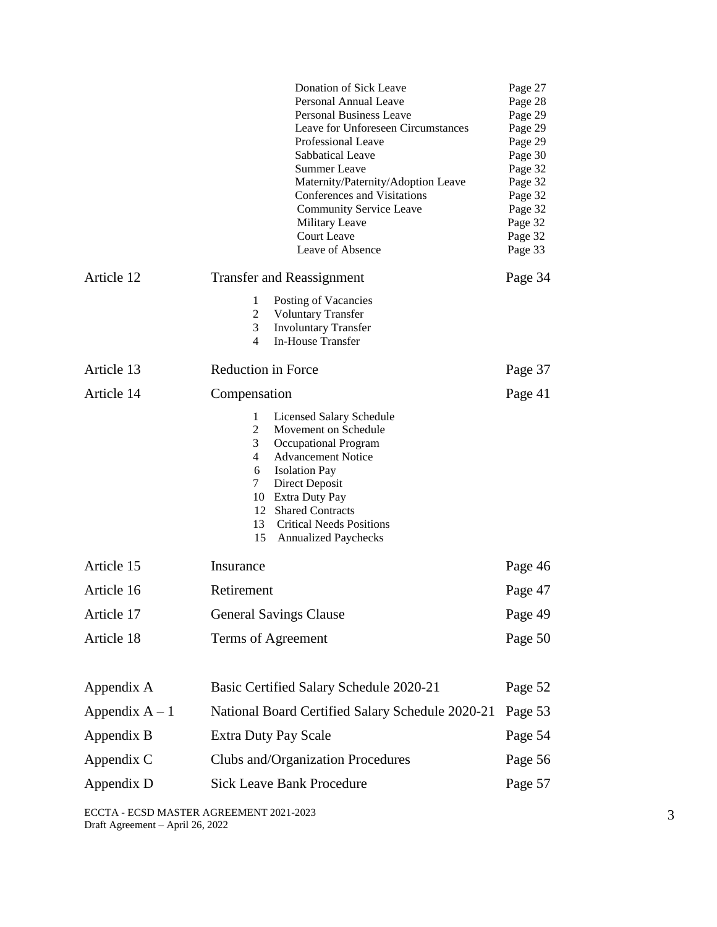|                  | Donation of Sick Leave<br>Personal Annual Leave<br><b>Personal Business Leave</b><br>Leave for Unforeseen Circumstances<br>Professional Leave<br>Sabbatical Leave<br><b>Summer Leave</b><br>Maternity/Paternity/Adoption Leave<br>Conferences and Visitations<br><b>Community Service Leave</b><br>Military Leave<br>Court Leave<br>Leave of Absence | Page 27<br>Page 28<br>Page 29<br>Page 29<br>Page 29<br>Page 30<br>Page 32<br>Page 32<br>Page 32<br>Page 32<br>Page 32<br>Page 32<br>Page 33 |  |
|------------------|------------------------------------------------------------------------------------------------------------------------------------------------------------------------------------------------------------------------------------------------------------------------------------------------------------------------------------------------------|---------------------------------------------------------------------------------------------------------------------------------------------|--|
| Article 12       | <b>Transfer and Reassignment</b><br>1<br>Posting of Vacancies<br>2<br><b>Voluntary Transfer</b><br>3<br><b>Involuntary Transfer</b><br>In-House Transfer<br>4                                                                                                                                                                                        | Page 34                                                                                                                                     |  |
| Article 13       | <b>Reduction in Force</b>                                                                                                                                                                                                                                                                                                                            | Page 37                                                                                                                                     |  |
| Article 14       | Compensation<br><b>Licensed Salary Schedule</b><br>1<br>2<br>Movement on Schedule<br>3<br>Occupational Program<br>4<br><b>Advancement Notice</b><br><b>Isolation Pay</b><br>6<br>$\tau$<br>Direct Deposit<br>10 Extra Duty Pay<br>12 Shared Contracts<br>13<br><b>Critical Needs Positions</b><br>15<br><b>Annualized Paychecks</b>                  | Page 41                                                                                                                                     |  |
| Article 15       | Insurance                                                                                                                                                                                                                                                                                                                                            | Page 46                                                                                                                                     |  |
| Article 16       | Retirement                                                                                                                                                                                                                                                                                                                                           | Page 47<br>Page 49                                                                                                                          |  |
| Article 17       | <b>General Savings Clause</b>                                                                                                                                                                                                                                                                                                                        |                                                                                                                                             |  |
| Article 18       | Terms of Agreement                                                                                                                                                                                                                                                                                                                                   | Page 50                                                                                                                                     |  |
| Appendix A       | Basic Certified Salary Schedule 2020-21                                                                                                                                                                                                                                                                                                              | Page 52                                                                                                                                     |  |
| Appendix $A - 1$ | National Board Certified Salary Schedule 2020-21                                                                                                                                                                                                                                                                                                     | Page 53                                                                                                                                     |  |
| Appendix B       | <b>Extra Duty Pay Scale</b><br>Page 54                                                                                                                                                                                                                                                                                                               |                                                                                                                                             |  |
| Appendix C       | Clubs and/Organization Procedures                                                                                                                                                                                                                                                                                                                    | Page 56                                                                                                                                     |  |
| Appendix D       | <b>Sick Leave Bank Procedure</b><br>Page 57                                                                                                                                                                                                                                                                                                          |                                                                                                                                             |  |

ECCTA - ECSD MASTER AGREEMENT 2021-2023 Draft Agreement – April 26, 2022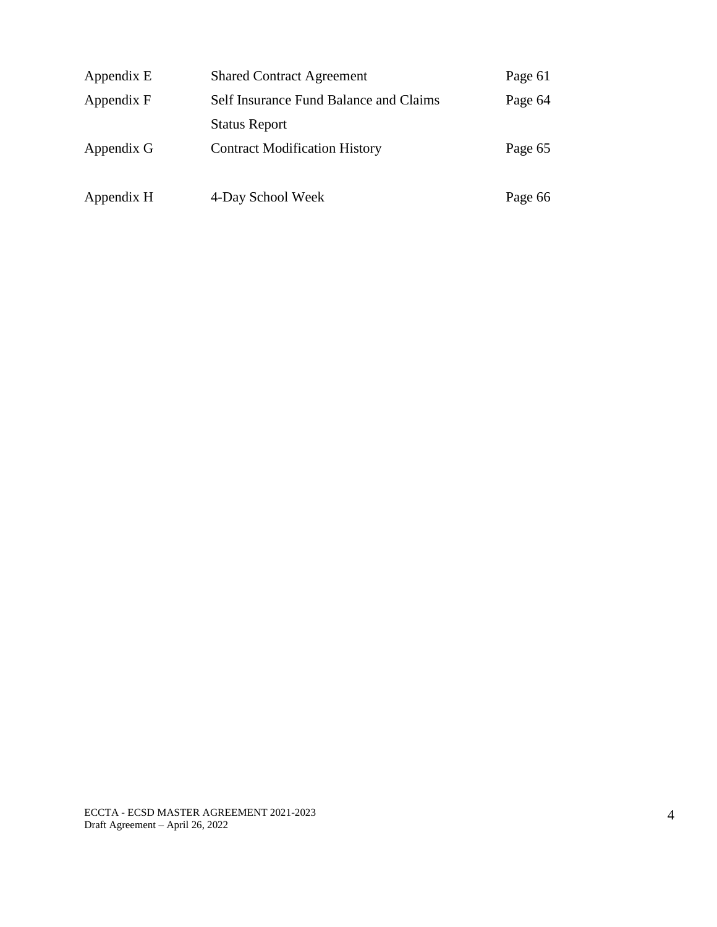| Appendix E | <b>Shared Contract Agreement</b>       | Page 61 |
|------------|----------------------------------------|---------|
| Appendix F | Self Insurance Fund Balance and Claims | Page 64 |
|            | <b>Status Report</b>                   |         |
| Appendix G | <b>Contract Modification History</b>   | Page 65 |
|            |                                        |         |
| Appendix H | 4-Day School Week                      | Page 66 |

ECCTA - ECSD MASTER AGREEMENT 2021-2023 Draft Agreement – April 26, 2022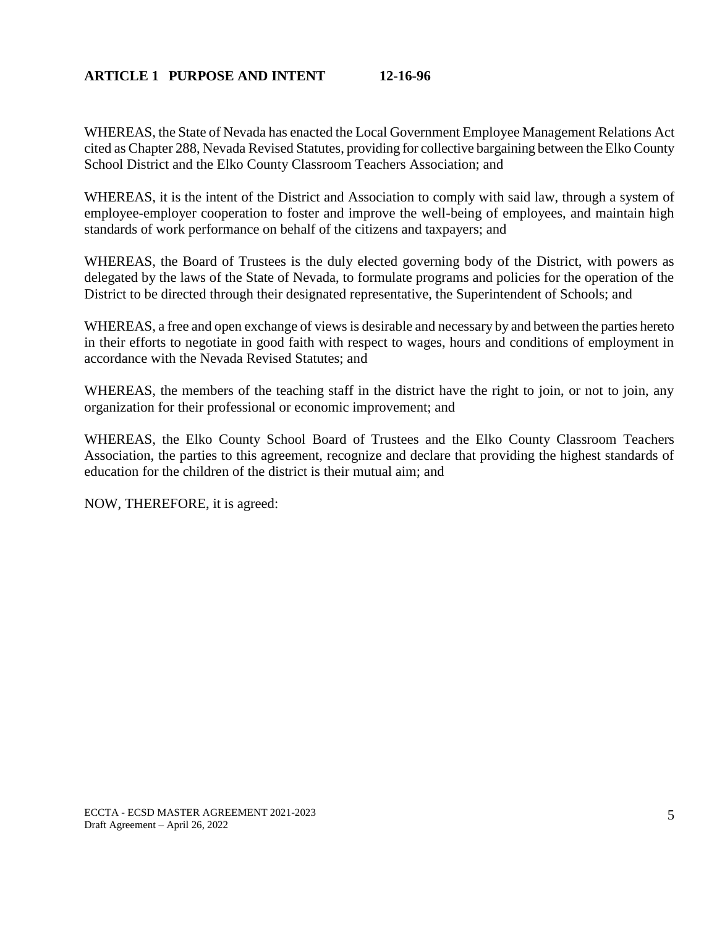## **ARTICLE 1 PURPOSE AND INTENT 12-16-96**

WHEREAS, the State of Nevada has enacted the Local Government Employee Management Relations Act cited as Chapter 288, Nevada Revised Statutes, providing for collective bargaining between the Elko County School District and the Elko County Classroom Teachers Association; and

WHEREAS, it is the intent of the District and Association to comply with said law, through a system of employee-employer cooperation to foster and improve the well-being of employees, and maintain high standards of work performance on behalf of the citizens and taxpayers; and

WHEREAS, the Board of Trustees is the duly elected governing body of the District, with powers as delegated by the laws of the State of Nevada, to formulate programs and policies for the operation of the District to be directed through their designated representative, the Superintendent of Schools; and

WHEREAS, a free and open exchange of views is desirable and necessary by and between the parties hereto in their efforts to negotiate in good faith with respect to wages, hours and conditions of employment in accordance with the Nevada Revised Statutes; and

WHEREAS, the members of the teaching staff in the district have the right to join, or not to join, any organization for their professional or economic improvement; and

WHEREAS, the Elko County School Board of Trustees and the Elko County Classroom Teachers Association, the parties to this agreement, recognize and declare that providing the highest standards of education for the children of the district is their mutual aim; and

NOW, THEREFORE, it is agreed: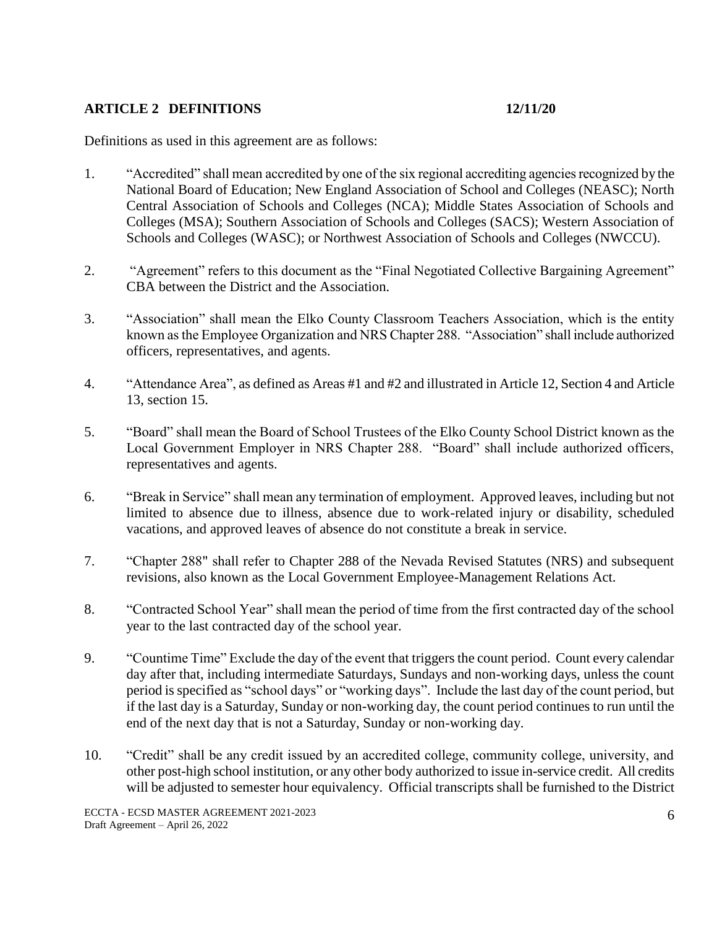# **ARTICLE 2 DEFINITIONS 12/11/20**

Definitions as used in this agreement are as follows:

- 1. "Accredited" shall mean accredited by one of the six regional accrediting agencies recognized by the National Board of Education; New England Association of School and Colleges (NEASC); North Central Association of Schools and Colleges (NCA); Middle States Association of Schools and Colleges (MSA); Southern Association of Schools and Colleges (SACS); Western Association of Schools and Colleges (WASC); or Northwest Association of Schools and Colleges (NWCCU).
- 2. "Agreement" refers to this document as the "Final Negotiated Collective Bargaining Agreement" CBA between the District and the Association.
- 3. "Association" shall mean the Elko County Classroom Teachers Association, which is the entity known as the Employee Organization and NRS Chapter 288. "Association" shall include authorized officers, representatives, and agents.
- 4. "Attendance Area", as defined as Areas #1 and #2 and illustrated in Article 12, Section 4 and Article 13, section 15.
- 5. "Board" shall mean the Board of School Trustees of the Elko County School District known as the Local Government Employer in NRS Chapter 288. "Board" shall include authorized officers, representatives and agents.
- 6. "Break in Service" shall mean any termination of employment. Approved leaves, including but not limited to absence due to illness, absence due to work-related injury or disability, scheduled vacations, and approved leaves of absence do not constitute a break in service.
- 7. "Chapter 288" shall refer to Chapter 288 of the Nevada Revised Statutes (NRS) and subsequent revisions, also known as the Local Government Employee-Management Relations Act.
- 8. "Contracted School Year" shall mean the period of time from the first contracted day of the school year to the last contracted day of the school year.
- 9. "Countime Time" Exclude the day of the event that triggers the count period. Count every calendar day after that, including intermediate Saturdays, Sundays and non-working days, unless the count period is specified as "school days" or "working days". Include the last day of the count period, but if the last day is a Saturday, Sunday or non-working day, the count period continues to run until the end of the next day that is not a Saturday, Sunday or non-working day.
- 10. "Credit" shall be any credit issued by an accredited college, community college, university, and other post-high school institution, or any other body authorized to issue in-service credit. All credits will be adjusted to semester hour equivalency. Official transcripts shall be furnished to the District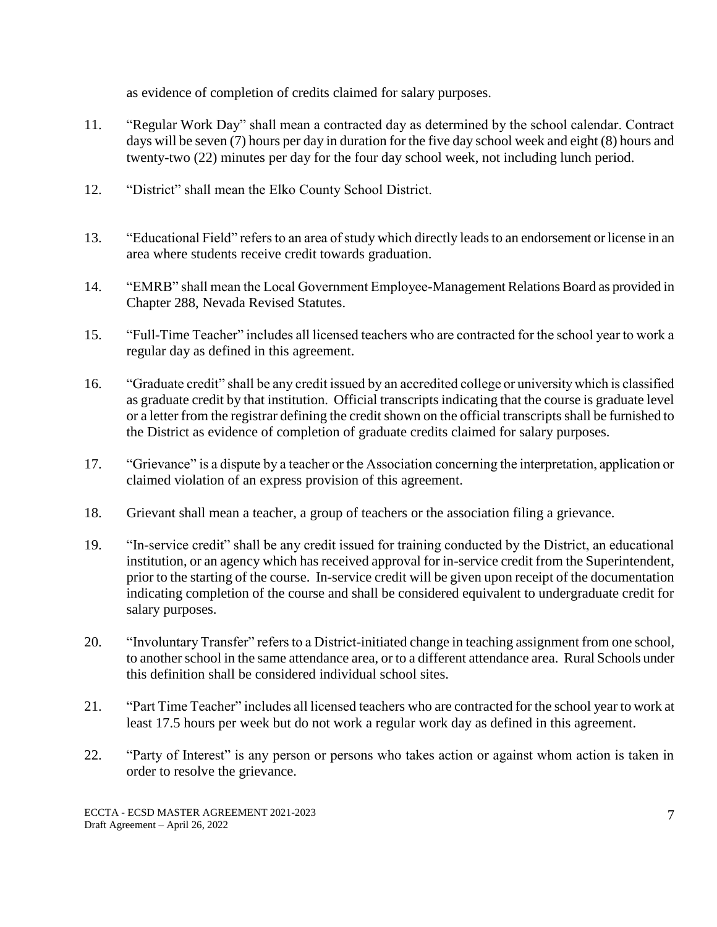as evidence of completion of credits claimed for salary purposes.

- 11. "Regular Work Day" shall mean a contracted day as determined by the school calendar. Contract days will be seven (7) hours per day in duration for the five day school week and eight (8) hours and twenty-two (22) minutes per day for the four day school week, not including lunch period.
- 12. "District" shall mean the Elko County School District.
- 13. "Educational Field" refers to an area of study which directly leads to an endorsement or license in an area where students receive credit towards graduation.
- 14. "EMRB" shall mean the Local Government Employee-Management Relations Board as provided in Chapter 288, Nevada Revised Statutes.
- 15. "Full-Time Teacher" includes all licensed teachers who are contracted for the school year to work a regular day as defined in this agreement.
- 16. "Graduate credit" shall be any credit issued by an accredited college or university which is classified as graduate credit by that institution. Official transcripts indicating that the course is graduate level or a letter from the registrar defining the credit shown on the official transcripts shall be furnished to the District as evidence of completion of graduate credits claimed for salary purposes.
- 17. "Grievance" is a dispute by a teacher or the Association concerning the interpretation, application or claimed violation of an express provision of this agreement.
- 18. Grievant shall mean a teacher, a group of teachers or the association filing a grievance.
- 19. "In-service credit" shall be any credit issued for training conducted by the District, an educational institution, or an agency which has received approval for in-service credit from the Superintendent, prior to the starting of the course. In-service credit will be given upon receipt of the documentation indicating completion of the course and shall be considered equivalent to undergraduate credit for salary purposes.
- 20. "Involuntary Transfer" refers to a District-initiated change in teaching assignment from one school, to another school in the same attendance area, or to a different attendance area. Rural Schools under this definition shall be considered individual school sites.
- 21. "Part Time Teacher" includes all licensed teachers who are contracted for the school year to work at least 17.5 hours per week but do not work a regular work day as defined in this agreement.
- 22. "Party of Interest" is any person or persons who takes action or against whom action is taken in order to resolve the grievance.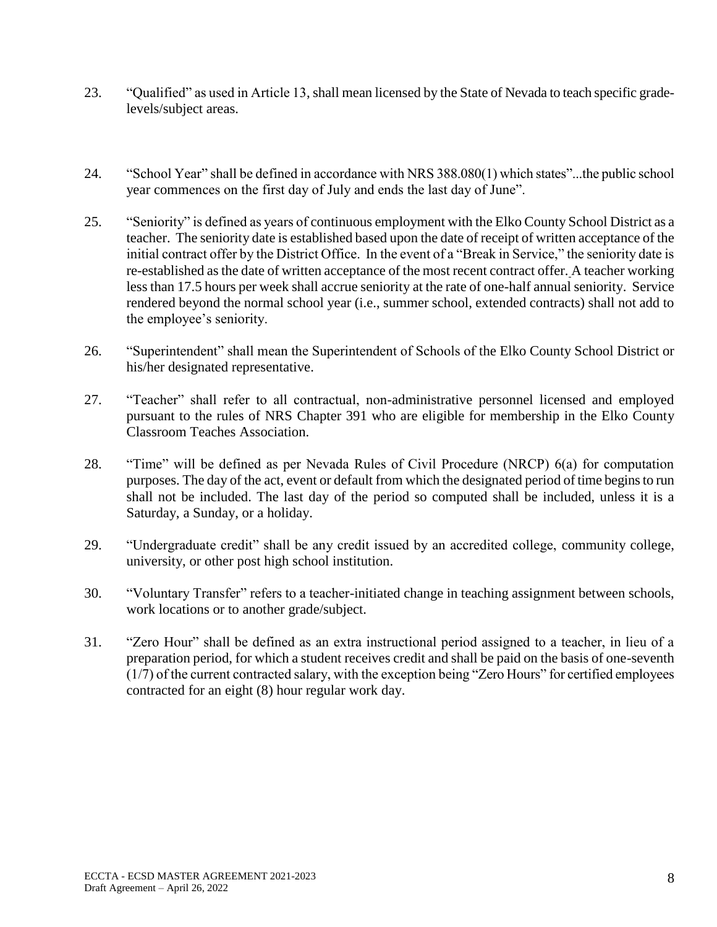- 23. "Qualified" as used in Article 13,shall mean licensed by the State of Nevada to teach specific gradelevels/subject areas.
- 24. "School Year" shall be defined in accordance with NRS 388.080(1) which states"...the public school year commences on the first day of July and ends the last day of June".
- 25. "Seniority" is defined as years of continuous employment with the Elko County School District as a teacher. The seniority date is established based upon the date of receipt of written acceptance of the initial contract offer by the District Office. In the event of a "Break in Service," the seniority date is re-established as the date of written acceptance of the most recent contract offer. A teacher working less than 17.5 hours per week shall accrue seniority at the rate of one-half annual seniority. Service rendered beyond the normal school year (i.e., summer school, extended contracts) shall not add to the employee's seniority.
- 26. "Superintendent" shall mean the Superintendent of Schools of the Elko County School District or his/her designated representative.
- 27. "Teacher" shall refer to all contractual, non-administrative personnel licensed and employed pursuant to the rules of NRS Chapter 391 who are eligible for membership in the Elko County Classroom Teaches Association.
- 28. "Time" will be defined as per Nevada Rules of Civil Procedure (NRCP) 6(a) for computation purposes. The day of the act, event or default from which the designated period of time begins to run shall not be included. The last day of the period so computed shall be included, unless it is a Saturday, a Sunday, or a holiday.
- 29. "Undergraduate credit" shall be any credit issued by an accredited college, community college, university, or other post high school institution.
- 30. "Voluntary Transfer" refers to a teacher-initiated change in teaching assignment between schools, work locations or to another grade/subject.
- 31. "Zero Hour" shall be defined as an extra instructional period assigned to a teacher, in lieu of a preparation period, for which a student receives credit and shall be paid on the basis of one-seventh (1/7) of the current contracted salary, with the exception being "Zero Hours" for certified employees contracted for an eight (8) hour regular work day.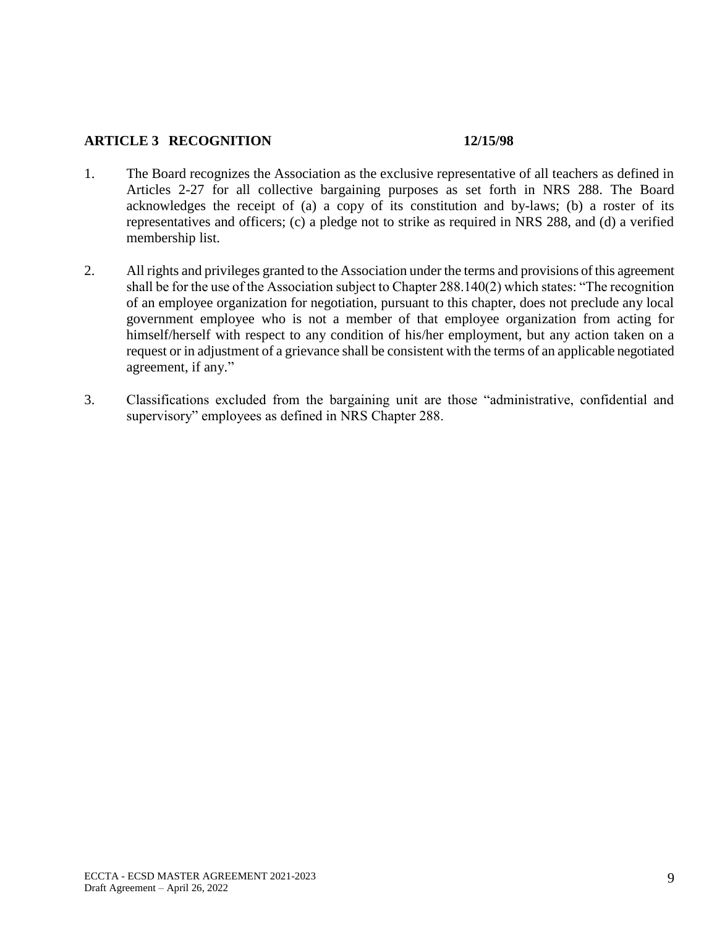## **ARTICLE 3 RECOGNITION 12/15/98**

- 1. The Board recognizes the Association as the exclusive representative of all teachers as defined in Articles 2-27 for all collective bargaining purposes as set forth in NRS 288. The Board acknowledges the receipt of (a) a copy of its constitution and by-laws; (b) a roster of its representatives and officers; (c) a pledge not to strike as required in NRS 288, and (d) a verified membership list.
- 2. All rights and privileges granted to the Association under the terms and provisions of this agreement shall be for the use of the Association subject to Chapter 288.140(2) which states: "The recognition of an employee organization for negotiation, pursuant to this chapter, does not preclude any local government employee who is not a member of that employee organization from acting for himself/herself with respect to any condition of his/her employment, but any action taken on a request or in adjustment of a grievance shall be consistent with the terms of an applicable negotiated agreement, if any."
- 3. Classifications excluded from the bargaining unit are those "administrative, confidential and supervisory" employees as defined in NRS Chapter 288.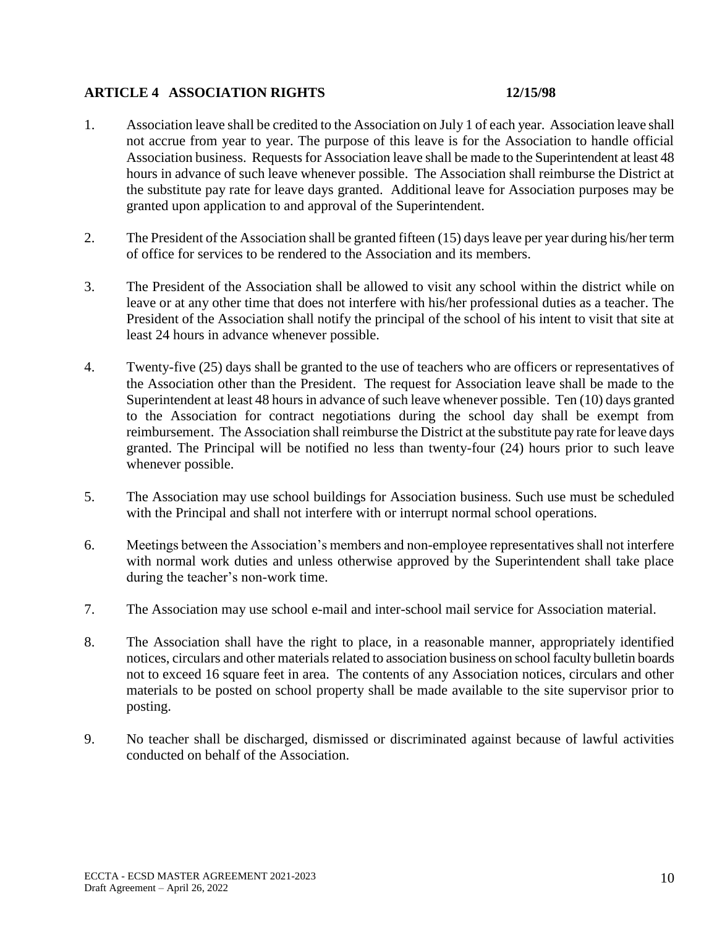## **ARTICLE 4 ASSOCIATION RIGHTS 12/15/98**

- 1. Association leave shall be credited to the Association on July 1 of each year. Association leave shall not accrue from year to year. The purpose of this leave is for the Association to handle official Association business. Requests for Association leave shall be made to the Superintendent at least 48 hours in advance of such leave whenever possible. The Association shall reimburse the District at the substitute pay rate for leave days granted. Additional leave for Association purposes may be granted upon application to and approval of the Superintendent.
- 2. The President of the Association shall be granted fifteen (15) days leave per year during his/her term of office for services to be rendered to the Association and its members.
- 3. The President of the Association shall be allowed to visit any school within the district while on leave or at any other time that does not interfere with his/her professional duties as a teacher. The President of the Association shall notify the principal of the school of his intent to visit that site at least 24 hours in advance whenever possible.
- 4. Twenty-five (25) days shall be granted to the use of teachers who are officers or representatives of the Association other than the President. The request for Association leave shall be made to the Superintendent at least 48 hours in advance of such leave whenever possible. Ten (10) days granted to the Association for contract negotiations during the school day shall be exempt from reimbursement. The Association shall reimburse the District at the substitute pay rate for leave days granted. The Principal will be notified no less than twenty-four (24) hours prior to such leave whenever possible.
- 5. The Association may use school buildings for Association business. Such use must be scheduled with the Principal and shall not interfere with or interrupt normal school operations.
- 6. Meetings between the Association's members and non-employee representatives shall not interfere with normal work duties and unless otherwise approved by the Superintendent shall take place during the teacher's non-work time.
- 7. The Association may use school e-mail and inter-school mail service for Association material.
- 8. The Association shall have the right to place, in a reasonable manner, appropriately identified notices, circulars and other materials related to association business on school faculty bulletin boards not to exceed 16 square feet in area. The contents of any Association notices, circulars and other materials to be posted on school property shall be made available to the site supervisor prior to posting.
- 9. No teacher shall be discharged, dismissed or discriminated against because of lawful activities conducted on behalf of the Association.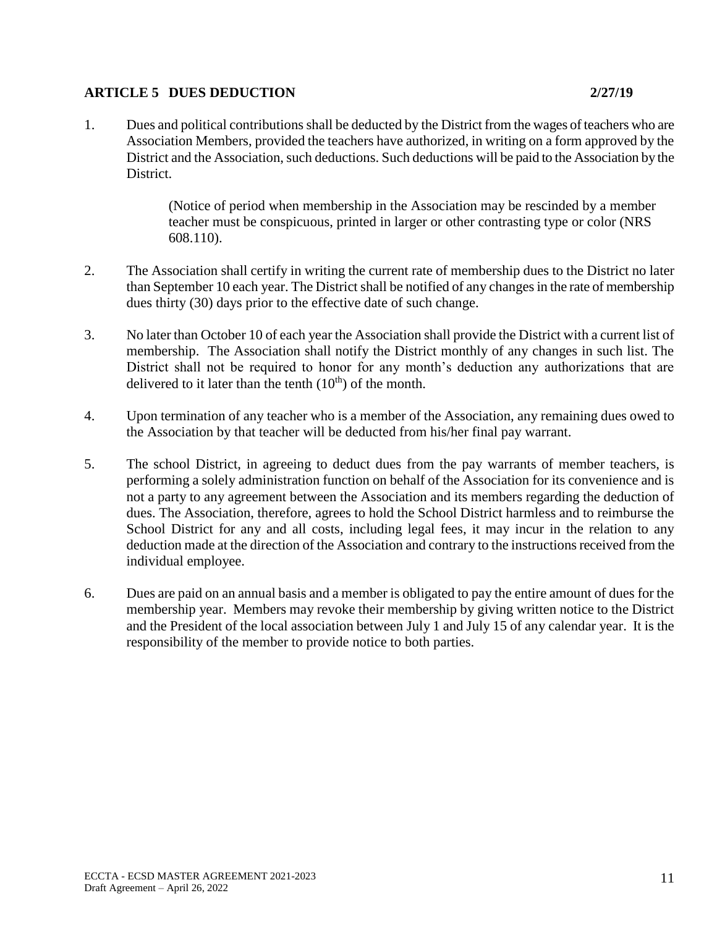## **ARTICLE 5 DUES DEDUCTION 2/27/19**

(Notice of period when membership in the Association may be rescinded by a member teacher must be conspicuous, printed in larger or other contrasting type or color (NRS 608.110).

- 2. The Association shall certify in writing the current rate of membership dues to the District no later than September 10 each year. The District shall be notified of any changes in the rate of membership dues thirty (30) days prior to the effective date of such change.
- 3. No later than October 10 of each year the Association shall provide the District with a current list of membership. The Association shall notify the District monthly of any changes in such list. The District shall not be required to honor for any month's deduction any authorizations that are delivered to it later than the tenth  $(10<sup>th</sup>)$  of the month.
- 4. Upon termination of any teacher who is a member of the Association, any remaining dues owed to the Association by that teacher will be deducted from his/her final pay warrant.
- 5. The school District, in agreeing to deduct dues from the pay warrants of member teachers, is performing a solely administration function on behalf of the Association for its convenience and is not a party to any agreement between the Association and its members regarding the deduction of dues. The Association, therefore, agrees to hold the School District harmless and to reimburse the School District for any and all costs, including legal fees, it may incur in the relation to any deduction made at the direction of the Association and contrary to the instructions received from the individual employee.
- 6. Dues are paid on an annual basis and a member is obligated to pay the entire amount of dues for the membership year. Members may revoke their membership by giving written notice to the District and the President of the local association between July 1 and July 15 of any calendar year. It is the responsibility of the member to provide notice to both parties.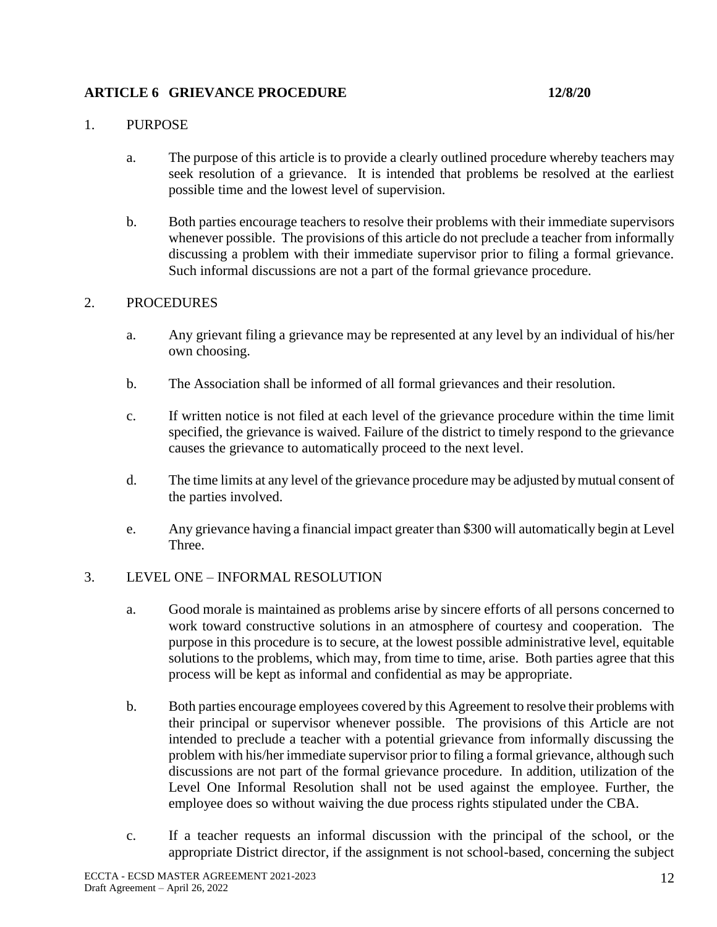# **ARTICLE 6 GRIEVANCE PROCEDURE 12/8/20**

## 1. PURPOSE

- a. The purpose of this article is to provide a clearly outlined procedure whereby teachers may seek resolution of a grievance. It is intended that problems be resolved at the earliest possible time and the lowest level of supervision.
- b. Both parties encourage teachers to resolve their problems with their immediate supervisors whenever possible. The provisions of this article do not preclude a teacher from informally discussing a problem with their immediate supervisor prior to filing a formal grievance. Such informal discussions are not a part of the formal grievance procedure.

## 2. PROCEDURES

- a. Any grievant filing a grievance may be represented at any level by an individual of his/her own choosing.
- b. The Association shall be informed of all formal grievances and their resolution.
- c. If written notice is not filed at each level of the grievance procedure within the time limit specified, the grievance is waived. Failure of the district to timely respond to the grievance causes the grievance to automatically proceed to the next level.
- d. The time limits at any level of the grievance procedure may be adjusted by mutual consent of the parties involved.
- e. Any grievance having a financial impact greater than \$300 will automatically begin at Level Three.

## 3. LEVEL ONE – INFORMAL RESOLUTION

- a. Good morale is maintained as problems arise by sincere efforts of all persons concerned to work toward constructive solutions in an atmosphere of courtesy and cooperation. The purpose in this procedure is to secure, at the lowest possible administrative level, equitable solutions to the problems, which may, from time to time, arise. Both parties agree that this process will be kept as informal and confidential as may be appropriate.
- b. Both parties encourage employees covered by this Agreement to resolve their problems with their principal or supervisor whenever possible. The provisions of this Article are not intended to preclude a teacher with a potential grievance from informally discussing the problem with his/her immediate supervisor prior to filing a formal grievance, although such discussions are not part of the formal grievance procedure. In addition, utilization of the Level One Informal Resolution shall not be used against the employee. Further, the employee does so without waiving the due process rights stipulated under the CBA.
- c. If a teacher requests an informal discussion with the principal of the school, or the appropriate District director, if the assignment is not school-based, concerning the subject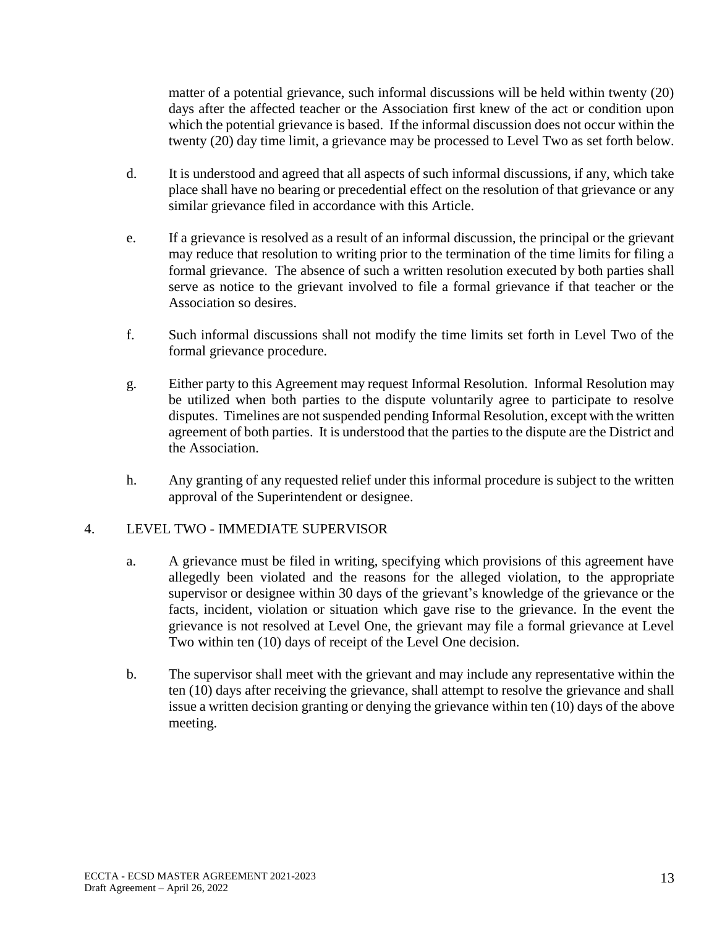matter of a potential grievance, such informal discussions will be held within twenty (20) days after the affected teacher or the Association first knew of the act or condition upon which the potential grievance is based. If the informal discussion does not occur within the twenty (20) day time limit, a grievance may be processed to Level Two as set forth below.

- d. It is understood and agreed that all aspects of such informal discussions, if any, which take place shall have no bearing or precedential effect on the resolution of that grievance or any similar grievance filed in accordance with this Article.
- e. If a grievance is resolved as a result of an informal discussion, the principal or the grievant may reduce that resolution to writing prior to the termination of the time limits for filing a formal grievance. The absence of such a written resolution executed by both parties shall serve as notice to the grievant involved to file a formal grievance if that teacher or the Association so desires.
- f. Such informal discussions shall not modify the time limits set forth in Level Two of the formal grievance procedure.
- g. Either party to this Agreement may request Informal Resolution. Informal Resolution may be utilized when both parties to the dispute voluntarily agree to participate to resolve disputes. Timelines are not suspended pending Informal Resolution, except with the written agreement of both parties. It is understood that the parties to the dispute are the District and the Association.
- h. Any granting of any requested relief under this informal procedure is subject to the written approval of the Superintendent or designee.

## 4. LEVEL TWO - IMMEDIATE SUPERVISOR

- a. A grievance must be filed in writing, specifying which provisions of this agreement have allegedly been violated and the reasons for the alleged violation, to the appropriate supervisor or designee within 30 days of the grievant's knowledge of the grievance or the facts, incident, violation or situation which gave rise to the grievance. In the event the grievance is not resolved at Level One, the grievant may file a formal grievance at Level Two within ten (10) days of receipt of the Level One decision.
- b. The supervisor shall meet with the grievant and may include any representative within the ten (10) days after receiving the grievance, shall attempt to resolve the grievance and shall issue a written decision granting or denying the grievance within ten (10) days of the above meeting.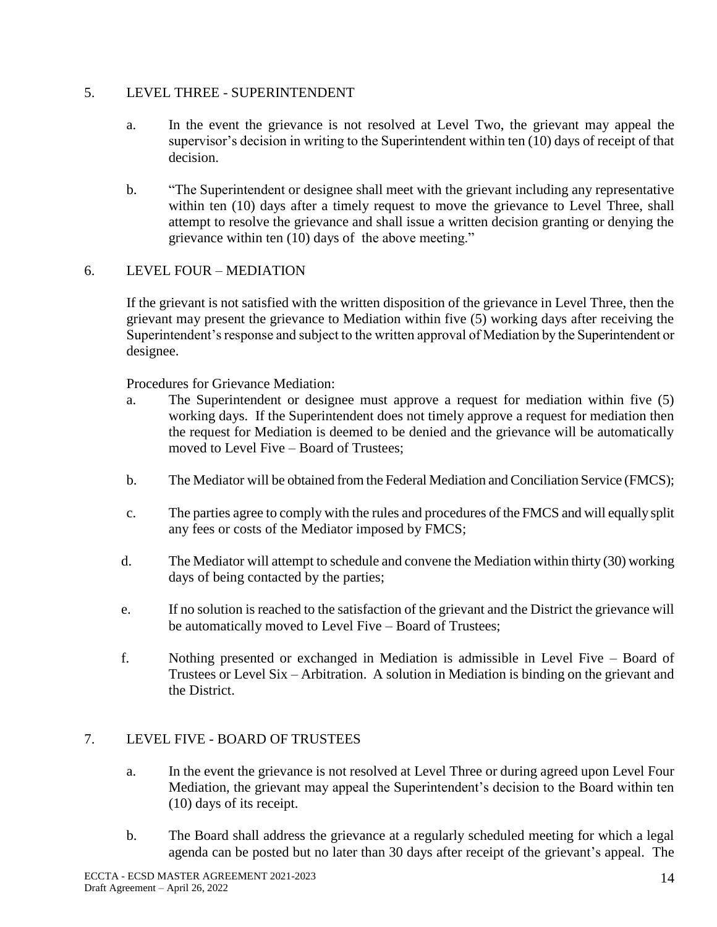## 5. LEVEL THREE - SUPERINTENDENT

- a. In the event the grievance is not resolved at Level Two, the grievant may appeal the supervisor's decision in writing to the Superintendent within ten (10) days of receipt of that decision.
- b. "The Superintendent or designee shall meet with the grievant including any representative within ten (10) days after a timely request to move the grievance to Level Three, shall attempt to resolve the grievance and shall issue a written decision granting or denying the grievance within ten (10) days of the above meeting."

# 6. LEVEL FOUR – MEDIATION

If the grievant is not satisfied with the written disposition of the grievance in Level Three, then the grievant may present the grievance to Mediation within five (5) working days after receiving the Superintendent's response and subject to the written approval of Mediation by the Superintendent or designee.

Procedures for Grievance Mediation:

- a. The Superintendent or designee must approve a request for mediation within five (5) working days. If the Superintendent does not timely approve a request for mediation then the request for Mediation is deemed to be denied and the grievance will be automatically moved to Level Five – Board of Trustees;
- b. The Mediator will be obtained from the Federal Mediation and Conciliation Service (FMCS);
- c. The parties agree to comply with the rules and procedures of the FMCS and will equally split any fees or costs of the Mediator imposed by FMCS;
- d. The Mediator will attempt to schedule and convene the Mediation within thirty (30) working days of being contacted by the parties;
- e. If no solution is reached to the satisfaction of the grievant and the District the grievance will be automatically moved to Level Five – Board of Trustees;
- f. Nothing presented or exchanged in Mediation is admissible in Level Five Board of Trustees or Level Six – Arbitration. A solution in Mediation is binding on the grievant and the District.

## 7. LEVEL FIVE - BOARD OF TRUSTEES

- a. In the event the grievance is not resolved at Level Three or during agreed upon Level Four Mediation, the grievant may appeal the Superintendent's decision to the Board within ten (10) days of its receipt.
- b. The Board shall address the grievance at a regularly scheduled meeting for which a legal agenda can be posted but no later than 30 days after receipt of the grievant's appeal. The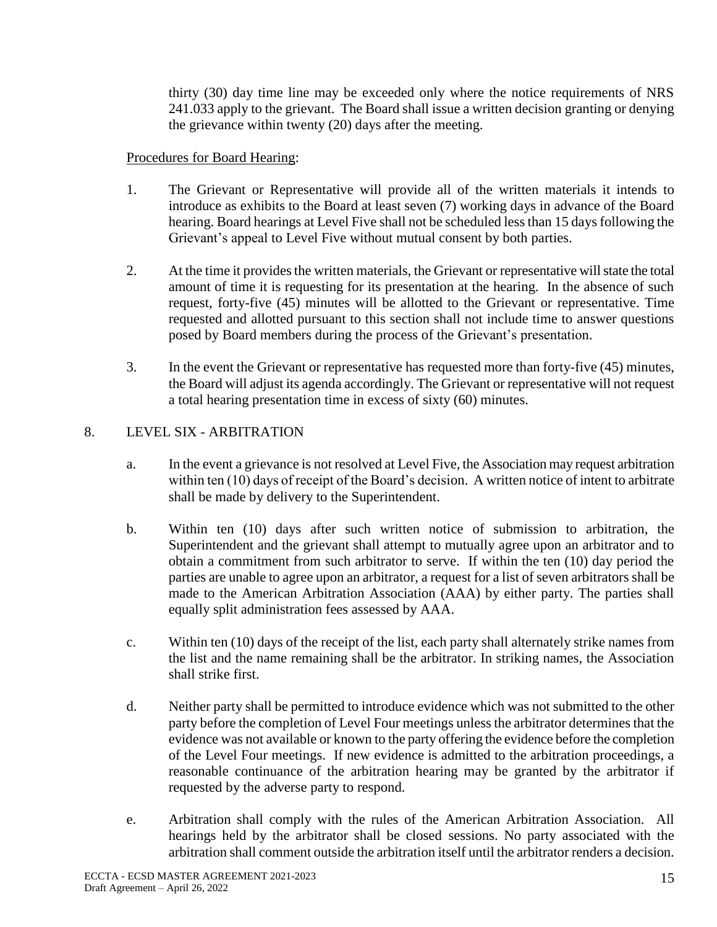thirty (30) day time line may be exceeded only where the notice requirements of NRS 241.033 apply to the grievant. The Board shall issue a written decision granting or denying the grievance within twenty (20) days after the meeting.

## Procedures for Board Hearing:

- 1. The Grievant or Representative will provide all of the written materials it intends to introduce as exhibits to the Board at least seven (7) working days in advance of the Board hearing. Board hearings at Level Five shall not be scheduled less than 15 days following the Grievant's appeal to Level Five without mutual consent by both parties.
- 2. At the time it provides the written materials, the Grievant or representative will state the total amount of time it is requesting for its presentation at the hearing. In the absence of such request, forty-five (45) minutes will be allotted to the Grievant or representative. Time requested and allotted pursuant to this section shall not include time to answer questions posed by Board members during the process of the Grievant's presentation.
- 3. In the event the Grievant or representative has requested more than forty-five (45) minutes, the Board will adjust its agenda accordingly. The Grievant or representative will not request a total hearing presentation time in excess of sixty (60) minutes.

# 8. LEVEL SIX - ARBITRATION

- a. In the event a grievance is not resolved at Level Five, the Association may request arbitration within ten (10) days of receipt of the Board's decision. A written notice of intent to arbitrate shall be made by delivery to the Superintendent.
- b. Within ten (10) days after such written notice of submission to arbitration, the Superintendent and the grievant shall attempt to mutually agree upon an arbitrator and to obtain a commitment from such arbitrator to serve. If within the ten (10) day period the parties are unable to agree upon an arbitrator, a request for a list of seven arbitrators shall be made to the American Arbitration Association (AAA) by either party. The parties shall equally split administration fees assessed by AAA.
- c. Within ten (10) days of the receipt of the list, each party shall alternately strike names from the list and the name remaining shall be the arbitrator. In striking names, the Association shall strike first.
- d. Neither party shall be permitted to introduce evidence which was not submitted to the other party before the completion of Level Four meetings unless the arbitrator determines that the evidence was not available or known to the party offering the evidence before the completion of the Level Four meetings. If new evidence is admitted to the arbitration proceedings, a reasonable continuance of the arbitration hearing may be granted by the arbitrator if requested by the adverse party to respond.
- e. Arbitration shall comply with the rules of the American Arbitration Association. All hearings held by the arbitrator shall be closed sessions. No party associated with the arbitration shall comment outside the arbitration itself until the arbitrator renders a decision.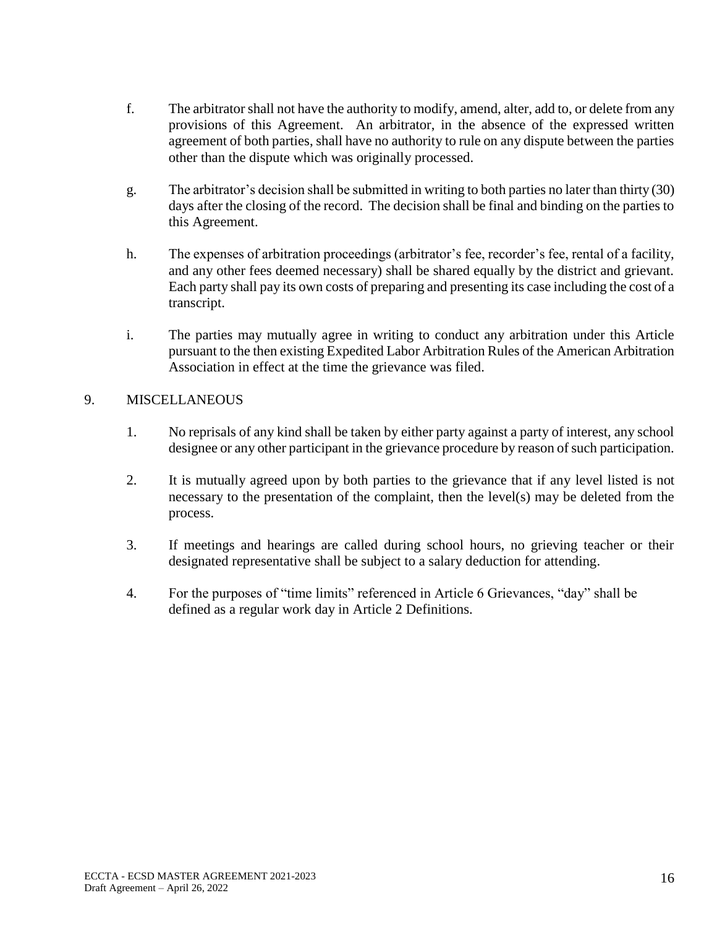- f. The arbitrator shall not have the authority to modify, amend, alter, add to, or delete from any provisions of this Agreement. An arbitrator, in the absence of the expressed written agreement of both parties, shall have no authority to rule on any dispute between the parties other than the dispute which was originally processed.
- g. The arbitrator's decision shall be submitted in writing to both parties no later than thirty (30) days after the closing of the record. The decision shall be final and binding on the parties to this Agreement.
- h. The expenses of arbitration proceedings (arbitrator's fee, recorder's fee, rental of a facility, and any other fees deemed necessary) shall be shared equally by the district and grievant. Each party shall pay its own costs of preparing and presenting its case including the cost of a transcript.
- i. The parties may mutually agree in writing to conduct any arbitration under this Article pursuant to the then existing Expedited Labor Arbitration Rules of the American Arbitration Association in effect at the time the grievance was filed.

# 9. MISCELLANEOUS

- 1. No reprisals of any kind shall be taken by either party against a party of interest, any school designee or any other participant in the grievance procedure by reason of such participation.
- 2. It is mutually agreed upon by both parties to the grievance that if any level listed is not necessary to the presentation of the complaint, then the level(s) may be deleted from the process.
- 3. If meetings and hearings are called during school hours, no grieving teacher or their designated representative shall be subject to a salary deduction for attending.
- 4. For the purposes of "time limits" referenced in Article 6 Grievances, "day" shall be defined as a regular work day in Article 2 Definitions.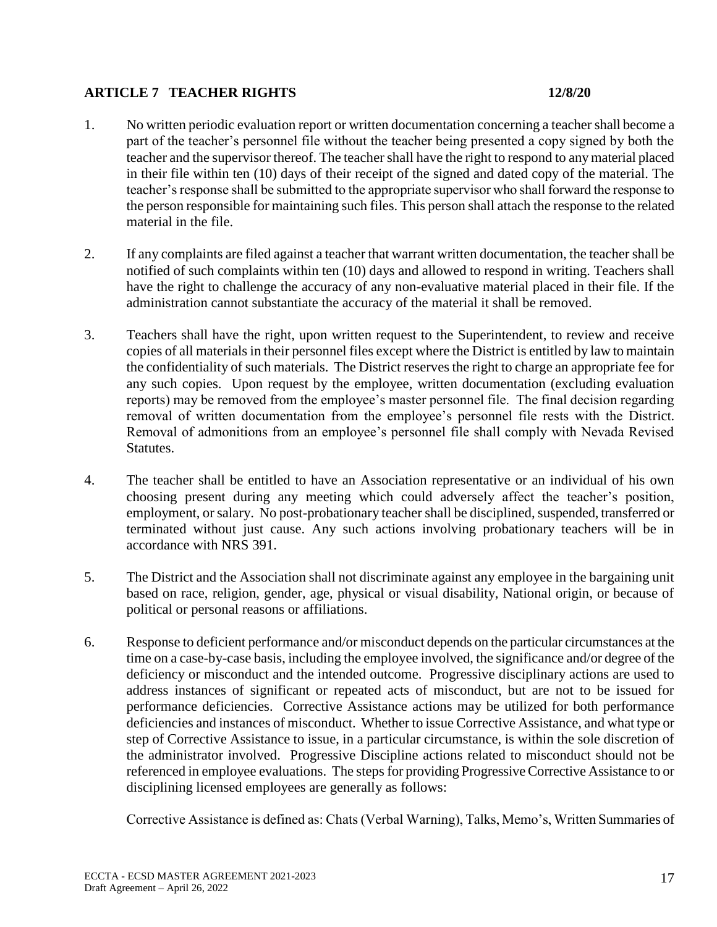## **ARTICLE 7 TEACHER RIGHTS 12/8/20**

- 1. No written periodic evaluation report or written documentation concerning a teacher shall become a part of the teacher's personnel file without the teacher being presented a copy signed by both the teacher and the supervisor thereof. The teacher shall have the right to respond to any material placed in their file within ten (10) days of their receipt of the signed and dated copy of the material. The teacher's response shall be submitted to the appropriate supervisor who shall forward the response to the person responsible for maintaining such files. This person shall attach the response to the related material in the file.
- 2. If any complaints are filed against a teacher that warrant written documentation, the teacher shall be notified of such complaints within ten (10) days and allowed to respond in writing. Teachers shall have the right to challenge the accuracy of any non-evaluative material placed in their file. If the administration cannot substantiate the accuracy of the material it shall be removed.
- 3. Teachers shall have the right, upon written request to the Superintendent, to review and receive copies of all materials in their personnel files except where the District is entitled by law to maintain the confidentiality of such materials. The District reserves the right to charge an appropriate fee for any such copies. Upon request by the employee, written documentation (excluding evaluation reports) may be removed from the employee's master personnel file. The final decision regarding removal of written documentation from the employee's personnel file rests with the District. Removal of admonitions from an employee's personnel file shall comply with Nevada Revised Statutes.
- 4. The teacher shall be entitled to have an Association representative or an individual of his own choosing present during any meeting which could adversely affect the teacher's position, employment, or salary. No post-probationary teacher shall be disciplined, suspended, transferred or terminated without just cause. Any such actions involving probationary teachers will be in accordance with NRS 391.
- 5. The District and the Association shall not discriminate against any employee in the bargaining unit based on race, religion, gender, age, physical or visual disability, National origin, or because of political or personal reasons or affiliations.
- 6. Response to deficient performance and/or misconduct depends on the particular circumstances at the time on a case-by-case basis, including the employee involved, the significance and/or degree of the deficiency or misconduct and the intended outcome. Progressive disciplinary actions are used to address instances of significant or repeated acts of misconduct, but are not to be issued for performance deficiencies. Corrective Assistance actions may be utilized for both performance deficiencies and instances of misconduct. Whether to issue Corrective Assistance, and what type or step of Corrective Assistance to issue, in a particular circumstance, is within the sole discretion of the administrator involved. Progressive Discipline actions related to misconduct should not be referenced in employee evaluations. The steps for providing Progressive Corrective Assistance to or disciplining licensed employees are generally as follows:

Corrective Assistance is defined as: Chats (Verbal Warning), Talks, Memo's, Written Summaries of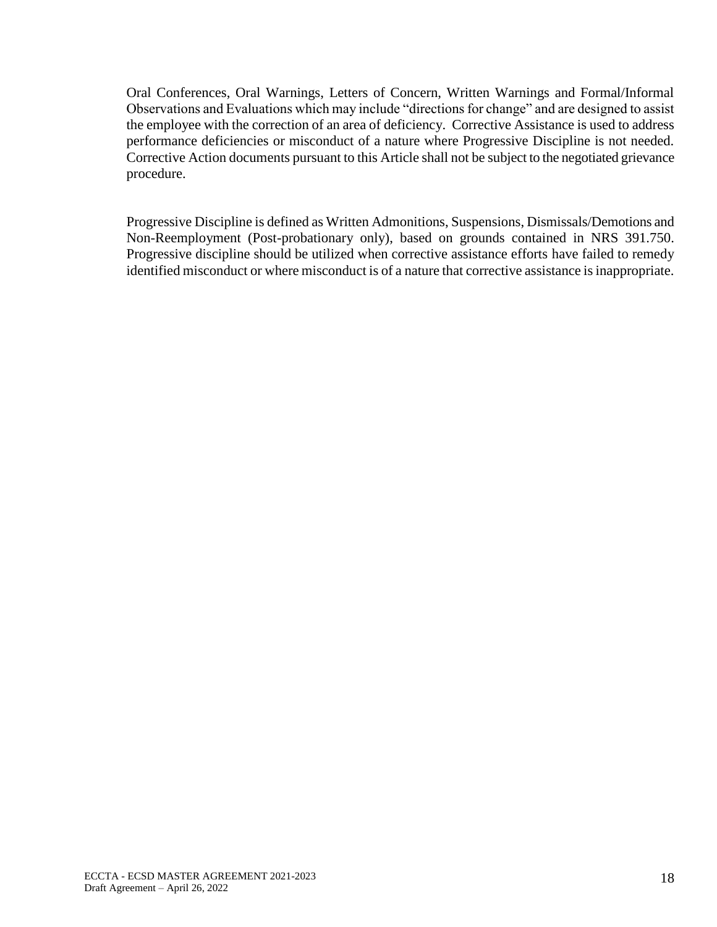Oral Conferences, Oral Warnings, Letters of Concern, Written Warnings and Formal/Informal Observations and Evaluations which may include "directions for change" and are designed to assist the employee with the correction of an area of deficiency. Corrective Assistance is used to address performance deficiencies or misconduct of a nature where Progressive Discipline is not needed. Corrective Action documents pursuant to this Article shall not be subject to the negotiated grievance procedure.

Progressive Discipline is defined as Written Admonitions, Suspensions, Dismissals/Demotions and Non-Reemployment (Post-probationary only), based on grounds contained in NRS 391.750. Progressive discipline should be utilized when corrective assistance efforts have failed to remedy identified misconduct or where misconduct is of a nature that corrective assistance is inappropriate.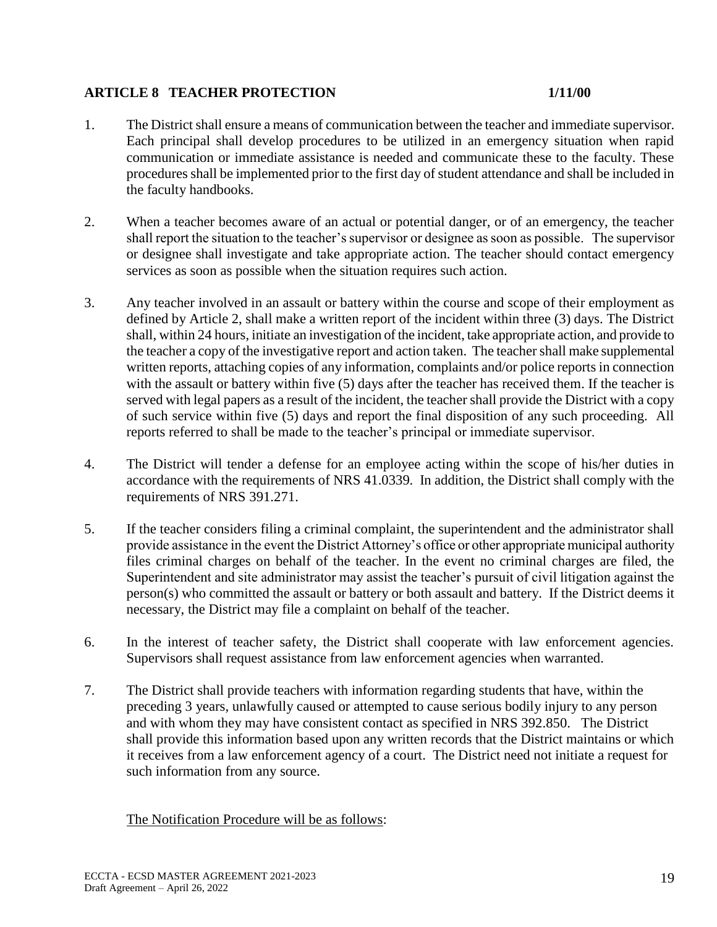## **ARTICLE 8 TEACHER PROTECTION 1/11/00**

- 1. The District shall ensure a means of communication between the teacher and immediate supervisor. Each principal shall develop procedures to be utilized in an emergency situation when rapid communication or immediate assistance is needed and communicate these to the faculty. These procedures shall be implemented prior to the first day of student attendance and shall be included in the faculty handbooks.
- 2. When a teacher becomes aware of an actual or potential danger, or of an emergency, the teacher shall report the situation to the teacher's supervisor or designee as soon as possible. The supervisor or designee shall investigate and take appropriate action. The teacher should contact emergency services as soon as possible when the situation requires such action.
- 3. Any teacher involved in an assault or battery within the course and scope of their employment as defined by Article 2, shall make a written report of the incident within three (3) days. The District shall, within 24 hours, initiate an investigation of the incident, take appropriate action, and provide to the teacher a copy of the investigative report and action taken. The teacher shall make supplemental written reports, attaching copies of any information, complaints and/or police reports in connection with the assault or battery within five (5) days after the teacher has received them. If the teacher is served with legal papers as a result of the incident, the teacher shall provide the District with a copy of such service within five (5) days and report the final disposition of any such proceeding. All reports referred to shall be made to the teacher's principal or immediate supervisor.
- 4. The District will tender a defense for an employee acting within the scope of his/her duties in accordance with the requirements of NRS 41.0339. In addition, the District shall comply with the requirements of NRS 391.271.
- 5. If the teacher considers filing a criminal complaint, the superintendent and the administrator shall provide assistance in the event the District Attorney's office or other appropriate municipal authority files criminal charges on behalf of the teacher. In the event no criminal charges are filed, the Superintendent and site administrator may assist the teacher's pursuit of civil litigation against the person(s) who committed the assault or battery or both assault and battery. If the District deems it necessary, the District may file a complaint on behalf of the teacher.
- 6. In the interest of teacher safety, the District shall cooperate with law enforcement agencies. Supervisors shall request assistance from law enforcement agencies when warranted.
- 7. The District shall provide teachers with information regarding students that have, within the preceding 3 years, unlawfully caused or attempted to cause serious bodily injury to any person and with whom they may have consistent contact as specified in NRS 392.850. The District shall provide this information based upon any written records that the District maintains or which it receives from a law enforcement agency of a court. The District need not initiate a request for such information from any source.

The Notification Procedure will be as follows: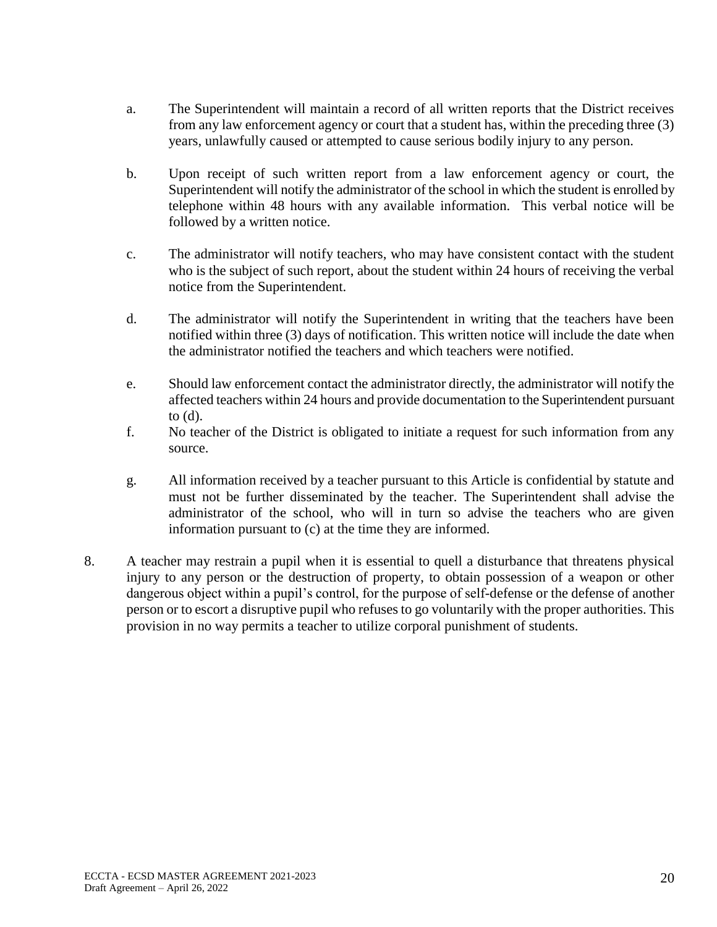- a. The Superintendent will maintain a record of all written reports that the District receives from any law enforcement agency or court that a student has, within the preceding three (3) years, unlawfully caused or attempted to cause serious bodily injury to any person.
- b. Upon receipt of such written report from a law enforcement agency or court, the Superintendent will notify the administrator of the school in which the student is enrolled by telephone within 48 hours with any available information. This verbal notice will be followed by a written notice.
- c. The administrator will notify teachers, who may have consistent contact with the student who is the subject of such report, about the student within 24 hours of receiving the verbal notice from the Superintendent.
- d. The administrator will notify the Superintendent in writing that the teachers have been notified within three (3) days of notification. This written notice will include the date when the administrator notified the teachers and which teachers were notified.
- e. Should law enforcement contact the administrator directly, the administrator will notify the affected teachers within 24 hours and provide documentation to the Superintendent pursuant to (d).
- f. No teacher of the District is obligated to initiate a request for such information from any source.
- g. All information received by a teacher pursuant to this Article is confidential by statute and must not be further disseminated by the teacher. The Superintendent shall advise the administrator of the school, who will in turn so advise the teachers who are given information pursuant to (c) at the time they are informed.
- 8. A teacher may restrain a pupil when it is essential to quell a disturbance that threatens physical injury to any person or the destruction of property, to obtain possession of a weapon or other dangerous object within a pupil's control, for the purpose of self-defense or the defense of another person or to escort a disruptive pupil who refuses to go voluntarily with the proper authorities. This provision in no way permits a teacher to utilize corporal punishment of students.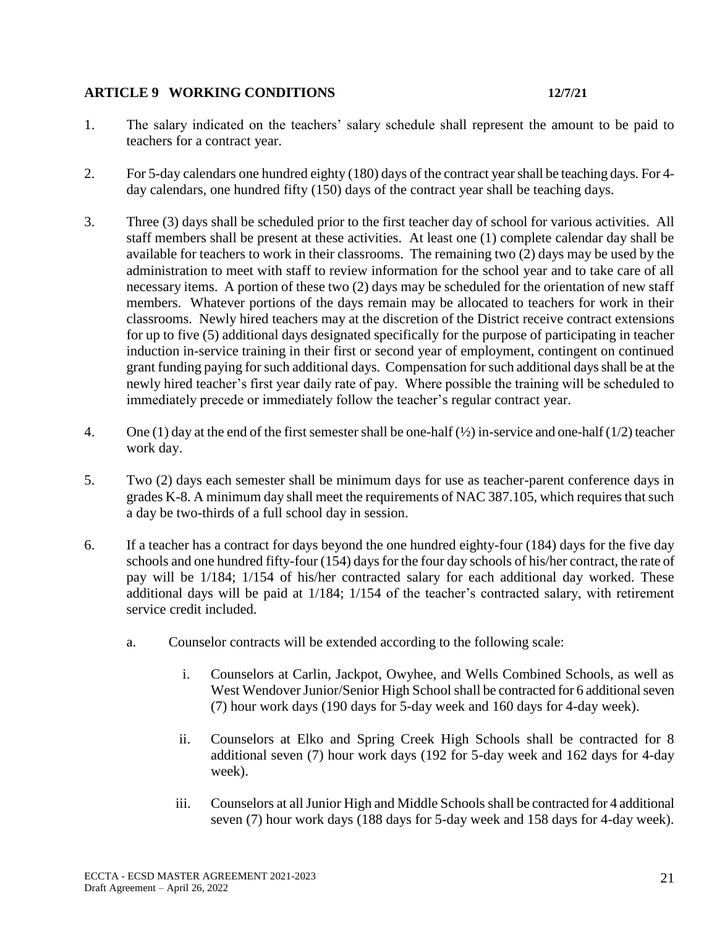## **ARTICLE 9 WORKING CONDITIONS 12/7/21**

- 1. The salary indicated on the teachers' salary schedule shall represent the amount to be paid to teachers for a contract year.
- 2. For 5-day calendars one hundred eighty (180) days of the contract year shall be teaching days. For 4 day calendars, one hundred fifty (150) days of the contract year shall be teaching days.
- 3. Three (3) days shall be scheduled prior to the first teacher day of school for various activities. All staff members shall be present at these activities. At least one (1) complete calendar day shall be available for teachers to work in their classrooms. The remaining two (2) days may be used by the administration to meet with staff to review information for the school year and to take care of all necessary items. A portion of these two (2) days may be scheduled for the orientation of new staff members. Whatever portions of the days remain may be allocated to teachers for work in their classrooms. Newly hired teachers may at the discretion of the District receive contract extensions for up to five (5) additional days designated specifically for the purpose of participating in teacher induction in-service training in their first or second year of employment, contingent on continued grant funding paying for such additional days. Compensation for such additional days shall be at the newly hired teacher's first year daily rate of pay. Where possible the training will be scheduled to immediately precede or immediately follow the teacher's regular contract year.
- 4. One (1) day at the end of the first semester shall be one-half  $(\frac{1}{2})$  in-service and one-half (1/2) teacher work day.
- 5. Two (2) days each semester shall be minimum days for use as teacher-parent conference days in grades K-8. A minimum day shall meet the requirements of NAC 387.105, which requires that such a day be two-thirds of a full school day in session.
- 6. If a teacher has a contract for days beyond the one hundred eighty-four (184) days for the five day schools and one hundred fifty-four (154) days for the four day schools of his/her contract, the rate of pay will be 1/184; 1/154 of his/her contracted salary for each additional day worked. These additional days will be paid at 1/184; 1/154 of the teacher's contracted salary, with retirement service credit included.
	- a. Counselor contracts will be extended according to the following scale:
		- i. Counselors at Carlin, Jackpot, Owyhee, and Wells Combined Schools, as well as West Wendover Junior/Senior High School shall be contracted for 6 additional seven (7) hour work days (190 days for 5-day week and 160 days for 4-day week).
		- ii. Counselors at Elko and Spring Creek High Schools shall be contracted for 8 additional seven (7) hour work days (192 for 5-day week and 162 days for 4-day week).
		- iii. Counselors at all Junior High and Middle Schools shall be contracted for 4 additional seven (7) hour work days (188 days for 5-day week and 158 days for 4-day week).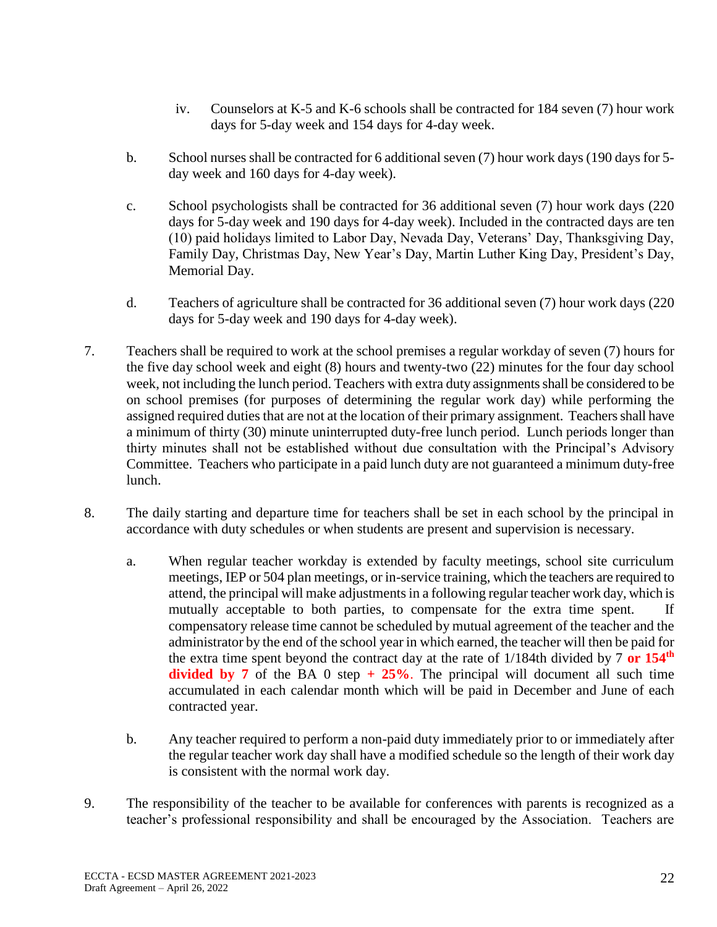- iv. Counselors at K-5 and K-6 schools shall be contracted for 184 seven (7) hour work days for 5-day week and 154 days for 4-day week.
- b. School nurses shall be contracted for 6 additional seven (7) hour work days (190 days for 5 day week and 160 days for 4-day week).
- c. School psychologists shall be contracted for 36 additional seven (7) hour work days (220 days for 5-day week and 190 days for 4-day week). Included in the contracted days are ten (10) paid holidays limited to Labor Day, Nevada Day, Veterans' Day, Thanksgiving Day, Family Day, Christmas Day, New Year's Day, Martin Luther King Day, President's Day, Memorial Day.
- d. Teachers of agriculture shall be contracted for 36 additional seven (7) hour work days (220 days for 5-day week and 190 days for 4-day week).
- 7. Teachers shall be required to work at the school premises a regular workday of seven (7) hours for the five day school week and eight (8) hours and twenty-two (22) minutes for the four day school week, not including the lunch period. Teachers with extra duty assignments shall be considered to be on school premises (for purposes of determining the regular work day) while performing the assigned required duties that are not at the location of their primary assignment. Teachers shall have a minimum of thirty (30) minute uninterrupted duty-free lunch period. Lunch periods longer than thirty minutes shall not be established without due consultation with the Principal's Advisory Committee. Teachers who participate in a paid lunch duty are not guaranteed a minimum duty-free lunch.
- 8. The daily starting and departure time for teachers shall be set in each school by the principal in accordance with duty schedules or when students are present and supervision is necessary.
	- a. When regular teacher workday is extended by faculty meetings, school site curriculum meetings, IEP or 504 plan meetings, or in-service training, which the teachers are required to attend, the principal will make adjustments in a following regular teacher work day, which is mutually acceptable to both parties, to compensate for the extra time spent. If compensatory release time cannot be scheduled by mutual agreement of the teacher and the administrator by the end of the school year in which earned, the teacher will then be paid for the extra time spent beyond the contract day at the rate of 1/184th divided by 7 **or 154th divided by 7** of the BA 0 step  $+$  **25%**. The principal will document all such time accumulated in each calendar month which will be paid in December and June of each contracted year.
	- b. Any teacher required to perform a non-paid duty immediately prior to or immediately after the regular teacher work day shall have a modified schedule so the length of their work day is consistent with the normal work day.
- 9. The responsibility of the teacher to be available for conferences with parents is recognized as a teacher's professional responsibility and shall be encouraged by the Association. Teachers are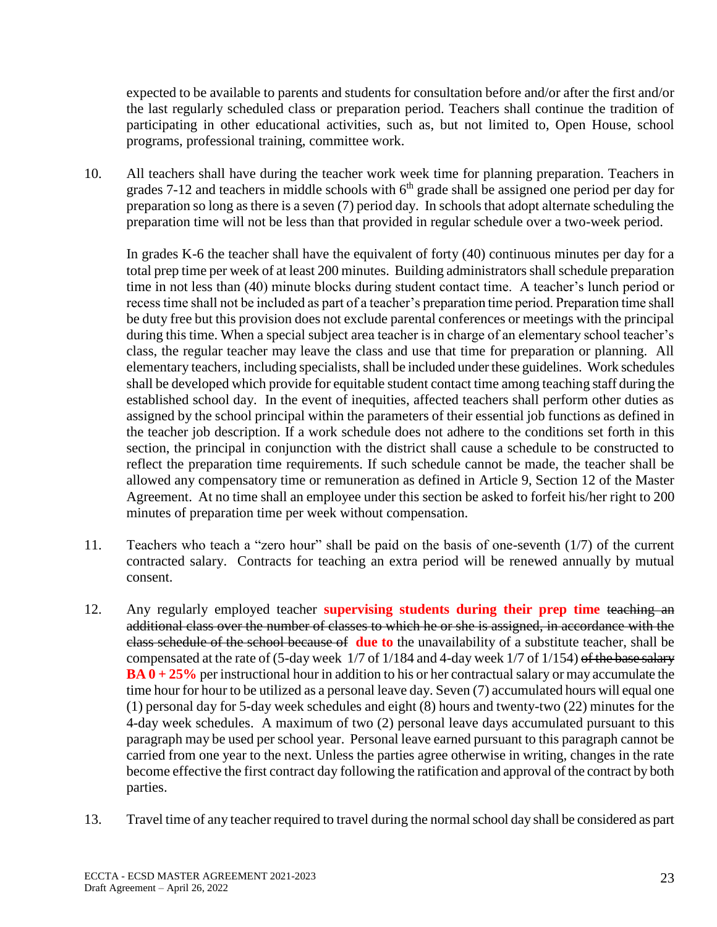expected to be available to parents and students for consultation before and/or after the first and/or the last regularly scheduled class or preparation period. Teachers shall continue the tradition of participating in other educational activities, such as, but not limited to, Open House, school programs, professional training, committee work.

10. All teachers shall have during the teacher work week time for planning preparation. Teachers in grades 7-12 and teachers in middle schools with  $6<sup>th</sup>$  grade shall be assigned one period per day for preparation so long as there is a seven (7) period day. In schools that adopt alternate scheduling the preparation time will not be less than that provided in regular schedule over a two-week period.

In grades K-6 the teacher shall have the equivalent of forty (40) continuous minutes per day for a total prep time per week of at least 200 minutes. Building administrators shall schedule preparation time in not less than (40) minute blocks during student contact time. A teacher's lunch period or recess time shall not be included as part of a teacher's preparation time period. Preparation time shall be duty free but this provision does not exclude parental conferences or meetings with the principal during this time. When a special subject area teacher is in charge of an elementary school teacher's class, the regular teacher may leave the class and use that time for preparation or planning. All elementary teachers, including specialists, shall be included under these guidelines. Work schedules shall be developed which provide for equitable student contact time among teaching staff during the established school day. In the event of inequities, affected teachers shall perform other duties as assigned by the school principal within the parameters of their essential job functions as defined in the teacher job description. If a work schedule does not adhere to the conditions set forth in this section, the principal in conjunction with the district shall cause a schedule to be constructed to reflect the preparation time requirements. If such schedule cannot be made, the teacher shall be allowed any compensatory time or remuneration as defined in Article 9, Section 12 of the Master Agreement. At no time shall an employee under this section be asked to forfeit his/her right to 200 minutes of preparation time per week without compensation.

- 11. Teachers who teach a "zero hour" shall be paid on the basis of one-seventh (1/7) of the current contracted salary. Contracts for teaching an extra period will be renewed annually by mutual consent.
- 12. Any regularly employed teacher **supervising students during their prep time** teaching an additional class over the number of classes to which he or she is assigned, in accordance with the class schedule of the school because of **due to** the unavailability of a substitute teacher, shall be compensated at the rate of (5-day week 1/7 of 1/184 and 4-day week 1/7 of 1/154) of the base salary **BA 0 + 25%** per instructional hour in addition to his or her contractual salary or may accumulate the time hour for hour to be utilized as a personal leave day. Seven (7) accumulated hours will equal one (1) personal day for 5-day week schedules and eight (8) hours and twenty-two (22) minutes for the 4-day week schedules. A maximum of two (2) personal leave days accumulated pursuant to this paragraph may be used per school year. Personal leave earned pursuant to this paragraph cannot be carried from one year to the next. Unless the parties agree otherwise in writing, changes in the rate become effective the first contract day following the ratification and approval of the contract by both parties.
- 13. Travel time of any teacher required to travel during the normal school day shall be considered as part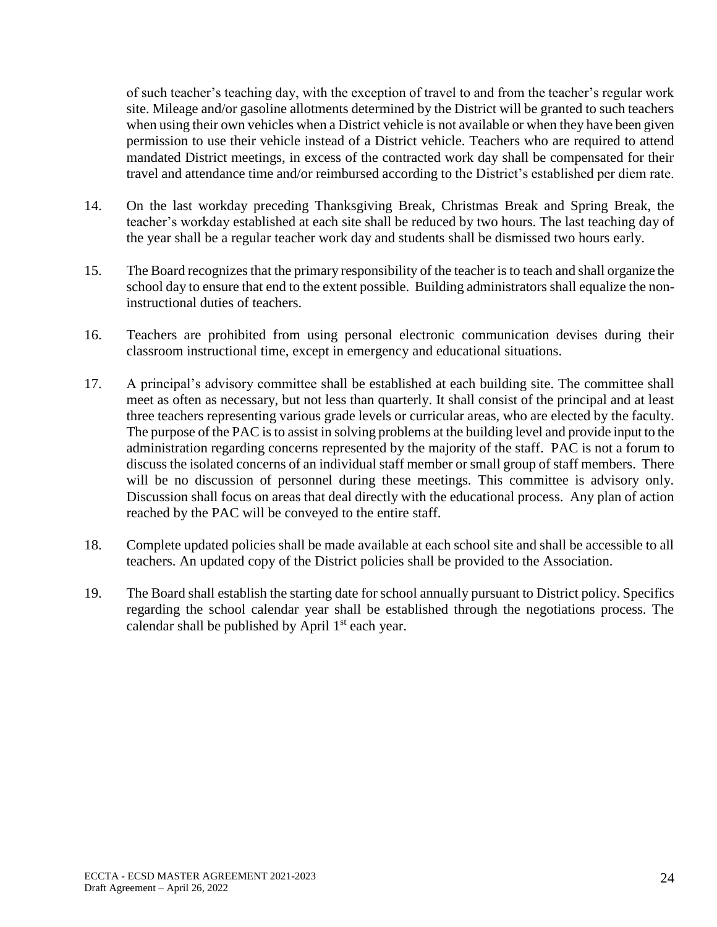of such teacher's teaching day, with the exception of travel to and from the teacher's regular work site. Mileage and/or gasoline allotments determined by the District will be granted to such teachers when using their own vehicles when a District vehicle is not available or when they have been given permission to use their vehicle instead of a District vehicle. Teachers who are required to attend mandated District meetings, in excess of the contracted work day shall be compensated for their travel and attendance time and/or reimbursed according to the District's established per diem rate.

- 14. On the last workday preceding Thanksgiving Break, Christmas Break and Spring Break, the teacher's workday established at each site shall be reduced by two hours. The last teaching day of the year shall be a regular teacher work day and students shall be dismissed two hours early.
- 15. The Board recognizes that the primary responsibility of the teacher is to teach and shall organize the school day to ensure that end to the extent possible. Building administrators shall equalize the noninstructional duties of teachers.
- 16. Teachers are prohibited from using personal electronic communication devises during their classroom instructional time, except in emergency and educational situations.
- 17. A principal's advisory committee shall be established at each building site. The committee shall meet as often as necessary, but not less than quarterly. It shall consist of the principal and at least three teachers representing various grade levels or curricular areas, who are elected by the faculty. The purpose of the PAC is to assist in solving problems at the building level and provide input to the administration regarding concerns represented by the majority of the staff. PAC is not a forum to discuss the isolated concerns of an individual staff member or small group of staff members. There will be no discussion of personnel during these meetings. This committee is advisory only. Discussion shall focus on areas that deal directly with the educational process. Any plan of action reached by the PAC will be conveyed to the entire staff.
- 18. Complete updated policies shall be made available at each school site and shall be accessible to all teachers. An updated copy of the District policies shall be provided to the Association.
- 19. The Board shall establish the starting date for school annually pursuant to District policy. Specifics regarding the school calendar year shall be established through the negotiations process. The calendar shall be published by April  $1<sup>st</sup>$  each year.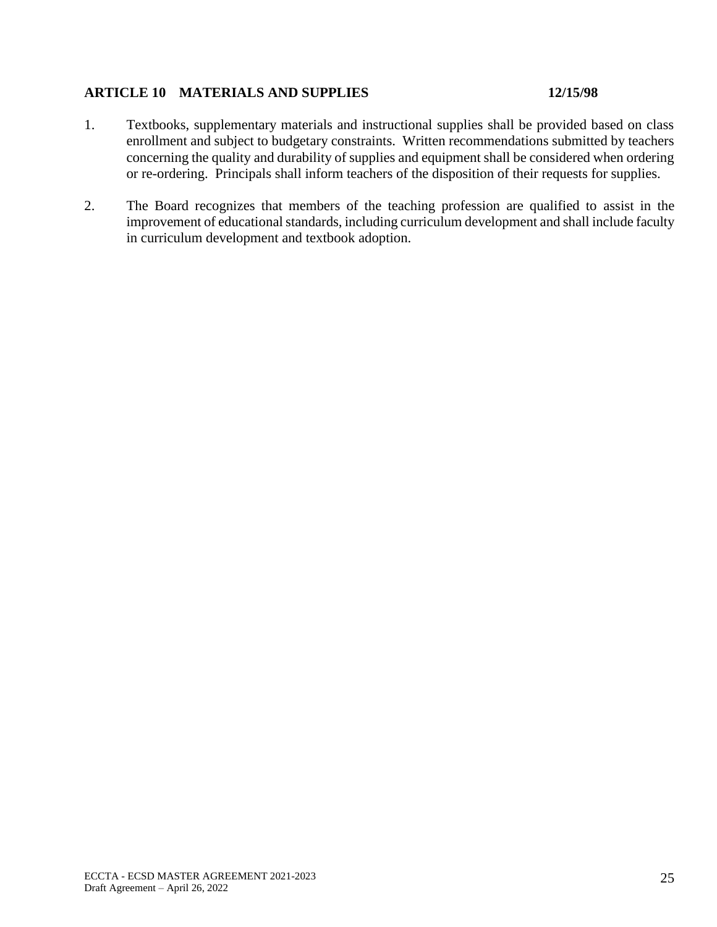## **ARTICLE 10 MATERIALS AND SUPPLIES 12/15/98**

- 1. Textbooks, supplementary materials and instructional supplies shall be provided based on class enrollment and subject to budgetary constraints. Written recommendations submitted by teachers concerning the quality and durability of supplies and equipment shall be considered when ordering or re-ordering. Principals shall inform teachers of the disposition of their requests for supplies.
- 2. The Board recognizes that members of the teaching profession are qualified to assist in the improvement of educational standards, including curriculum development and shall include faculty in curriculum development and textbook adoption.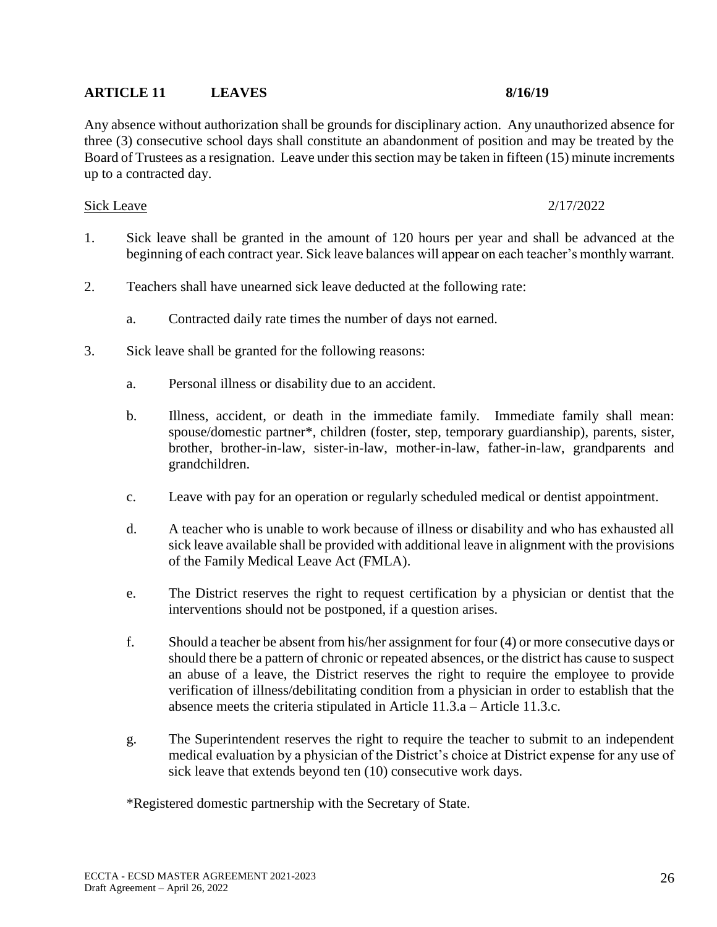## **ARTICLE 11 LEAVES 8/16/19**

Any absence without authorization shall be grounds for disciplinary action. Any unauthorized absence for three (3) consecutive school days shall constitute an abandonment of position and may be treated by the Board of Trustees as a resignation. Leave under this section may be taken in fifteen (15) minute increments up to a contracted day.

### Sick Leave 2/17/2022

- 1. Sick leave shall be granted in the amount of 120 hours per year and shall be advanced at the beginning of each contract year. Sick leave balances will appear on each teacher's monthly warrant.
- 2. Teachers shall have unearned sick leave deducted at the following rate:
	- a. Contracted daily rate times the number of days not earned.
- 3. Sick leave shall be granted for the following reasons:
	- a. Personal illness or disability due to an accident.
	- b. Illness, accident, or death in the immediate family. Immediate family shall mean: spouse/domestic partner\*, children (foster, step, temporary guardianship), parents, sister, brother, brother-in-law, sister-in-law, mother-in-law, father-in-law, grandparents and grandchildren.
	- c. Leave with pay for an operation or regularly scheduled medical or dentist appointment.
	- d. A teacher who is unable to work because of illness or disability and who has exhausted all sick leave available shall be provided with additional leave in alignment with the provisions of the Family Medical Leave Act (FMLA).
	- e. The District reserves the right to request certification by a physician or dentist that the interventions should not be postponed, if a question arises.
	- f. Should a teacher be absent from his/her assignment for four (4) or more consecutive days or should there be a pattern of chronic or repeated absences, or the district has cause to suspect an abuse of a leave, the District reserves the right to require the employee to provide verification of illness/debilitating condition from a physician in order to establish that the absence meets the criteria stipulated in Article 11.3.a – Article 11.3.c.
	- g. The Superintendent reserves the right to require the teacher to submit to an independent medical evaluation by a physician of the District's choice at District expense for any use of sick leave that extends beyond ten  $(10)$  consecutive work days.

\*Registered domestic partnership with the Secretary of State.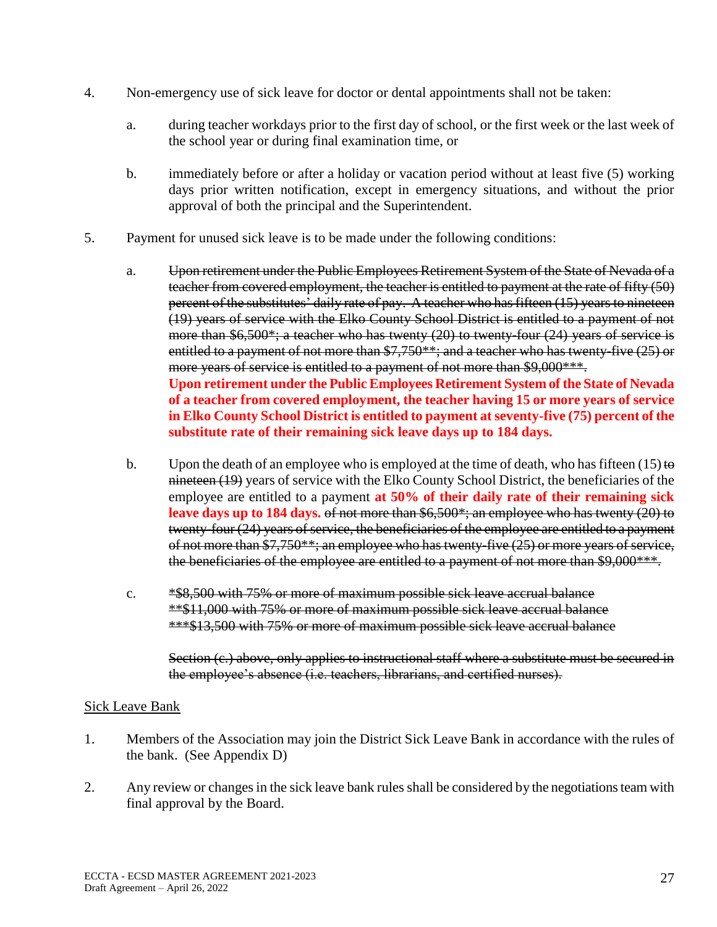- 4. Non-emergency use of sick leave for doctor or dental appointments shall not be taken:
	- a. during teacher workdays prior to the first day of school, or the first week or the last week of the school year or during final examination time, or
	- b. immediately before or after a holiday or vacation period without at least five (5) working days prior written notification, except in emergency situations, and without the prior approval of both the principal and the Superintendent.
- 5. Payment for unused sick leave is to be made under the following conditions:
	- a. Upon retirement under the Public Employees Retirement System of the State of Nevada of a teacher from covered employment, the teacher is entitled to payment at the rate of fifty (50) percent of the substitutes' daily rate of pay. A teacher who has fifteen (15) years to nineteen (19) years of service with the Elko County School District is entitled to a payment of not more than \$6,500\*; a teacher who has twenty (20) to twenty-four (24) years of service is entitled to a payment of not more than \$7,750\*\*; and a teacher who has twenty-five (25) or more years of service is entitled to a payment of not more than \$9,000\*\*\*. **Upon retirement under the Public Employees Retirement System of the State of Nevada of a teacher from covered employment, the teacher having 15 or more years of service in Elko County School District is entitled to payment at seventy-five (75) percent of the substitute rate of their remaining sick leave days up to 184 days.**
	- b. Upon the death of an employee who is employed at the time of death, who has fifteen (15) to nineteen (19) years of service with the Elko County School District, the beneficiaries of the employee are entitled to a payment **at 50% of their daily rate of their remaining sick leave days up to 184 days.** of not more than \$6,500\*; an employee who has twenty (20) to twenty-four (24) years of service, the beneficiaries of the employee are entitled to a payment of not more than \$7,750\*\*; an employee who has twenty-five (25) or more years of service, the beneficiaries of the employee are entitled to a payment of not more than \$9,000\*\*\*.
	- c. \*\$8,500 with 75% or more of maximum possible sick leave accrual balance \*\*\$11,000 with 75% or more of maximum possible sick leave accrual balance \*\*\*\$13,500 with 75% or more of maximum possible sick leave accrual balance

Section (e.) above, only applies to instructional staff where a substitute must be secured in the employee's absence (i.e. teachers, librarians, and certified nurses).

## Sick Leave Bank

- 1. Members of the Association may join the District Sick Leave Bank in accordance with the rules of the bank. (See Appendix D)
- 2. Any review or changes in the sick leave bank rules shall be considered by the negotiations team with final approval by the Board.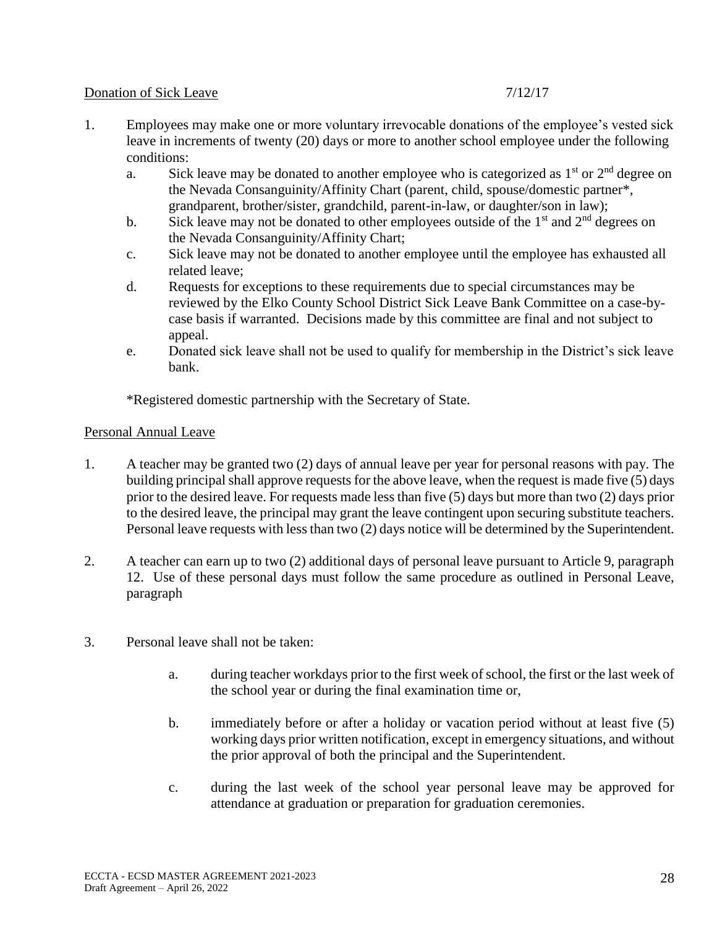## Donation of Sick Leave 7/12/17

- 1. Employees may make one or more voluntary irrevocable donations of the employee's vested sick leave in increments of twenty (20) days or more to another school employee under the following conditions:
	- a. Sick leave may be donated to another employee who is categorized as  $1<sup>st</sup>$  or  $2<sup>nd</sup>$  degree on the Nevada Consanguinity/Affinity Chart (parent, child, spouse/domestic partner\*, grandparent, brother/sister, grandchild, parent-in-law, or daughter/son in law);
	- b. Sick leave may not be donated to other employees outside of the  $1<sup>st</sup>$  and  $2<sup>nd</sup>$  degrees on the Nevada Consanguinity/Affinity Chart;
	- c. Sick leave may not be donated to another employee until the employee has exhausted all related leave;
	- d. Requests for exceptions to these requirements due to special circumstances may be reviewed by the Elko County School District Sick Leave Bank Committee on a case-bycase basis if warranted. Decisions made by this committee are final and not subject to appeal.
	- e. Donated sick leave shall not be used to qualify for membership in the District's sick leave bank.

\*Registered domestic partnership with the Secretary of State.

## Personal Annual Leave

- 1. A teacher may be granted two (2) days of annual leave per year for personal reasons with pay. The building principal shall approve requests for the above leave, when the request is made five (5) days prior to the desired leave. For requests made less than five (5) days but more than two (2) days prior to the desired leave, the principal may grant the leave contingent upon securing substitute teachers. Personal leave requests with less than two (2) days notice will be determined by the Superintendent.
- 2. A teacher can earn up to two (2) additional days of personal leave pursuant to Article 9, paragraph 12. Use of these personal days must follow the same procedure as outlined in Personal Leave, paragraph
- 3. Personal leave shall not be taken:
	- a. during teacher workdays prior to the first week of school, the first or the last week of the school year or during the final examination time or,
	- b. immediately before or after a holiday or vacation period without at least five (5) working days prior written notification, except in emergency situations, and without the prior approval of both the principal and the Superintendent.
	- c. during the last week of the school year personal leave may be approved for attendance at graduation or preparation for graduation ceremonies.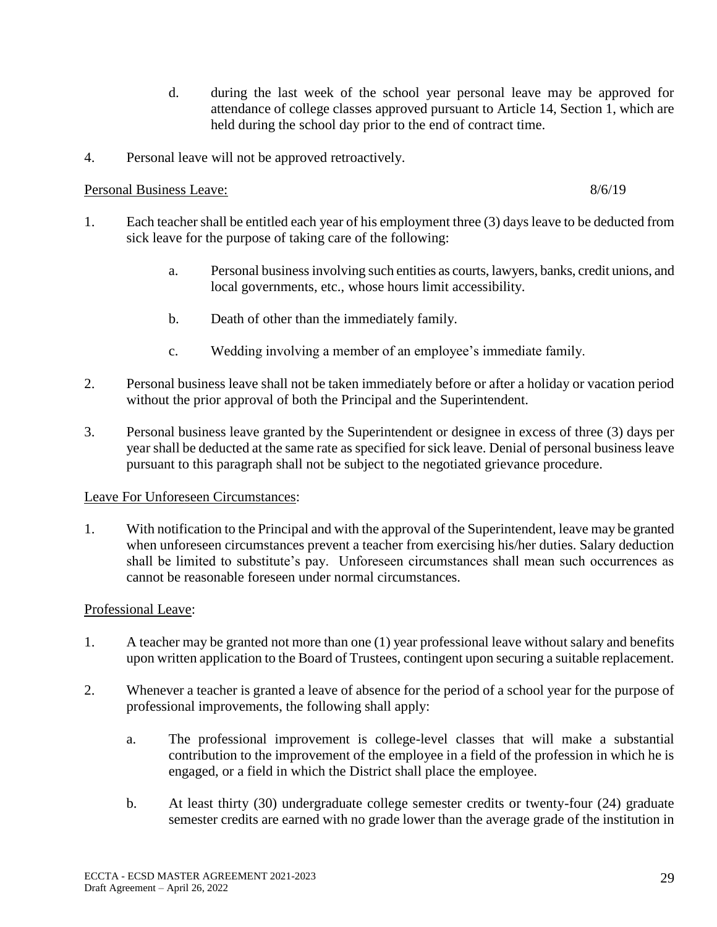- d. during the last week of the school year personal leave may be approved for attendance of college classes approved pursuant to Article 14, Section 1, which are held during the school day prior to the end of contract time.
- 4. Personal leave will not be approved retroactively.

# Personal Business Leave: 8/6/19

- 1. Each teacher shall be entitled each year of his employment three (3) days leave to be deducted from sick leave for the purpose of taking care of the following:
	- a. Personal business involving such entities as courts, lawyers, banks, credit unions, and local governments, etc., whose hours limit accessibility.
	- b. Death of other than the immediately family.
	- c. Wedding involving a member of an employee's immediate family.
- 2. Personal business leave shall not be taken immediately before or after a holiday or vacation period without the prior approval of both the Principal and the Superintendent.
- 3. Personal business leave granted by the Superintendent or designee in excess of three (3) days per year shall be deducted at the same rate as specified for sick leave. Denial of personal business leave pursuant to this paragraph shall not be subject to the negotiated grievance procedure.

# Leave For Unforeseen Circumstances:

1. With notification to the Principal and with the approval of the Superintendent, leave may be granted when unforeseen circumstances prevent a teacher from exercising his/her duties. Salary deduction shall be limited to substitute's pay. Unforeseen circumstances shall mean such occurrences as cannot be reasonable foreseen under normal circumstances.

# Professional Leave:

- 1. A teacher may be granted not more than one (1) year professional leave without salary and benefits upon written application to the Board of Trustees, contingent upon securing a suitable replacement.
- 2. Whenever a teacher is granted a leave of absence for the period of a school year for the purpose of professional improvements, the following shall apply:
	- a. The professional improvement is college-level classes that will make a substantial contribution to the improvement of the employee in a field of the profession in which he is engaged, or a field in which the District shall place the employee.
	- b. At least thirty (30) undergraduate college semester credits or twenty-four (24) graduate semester credits are earned with no grade lower than the average grade of the institution in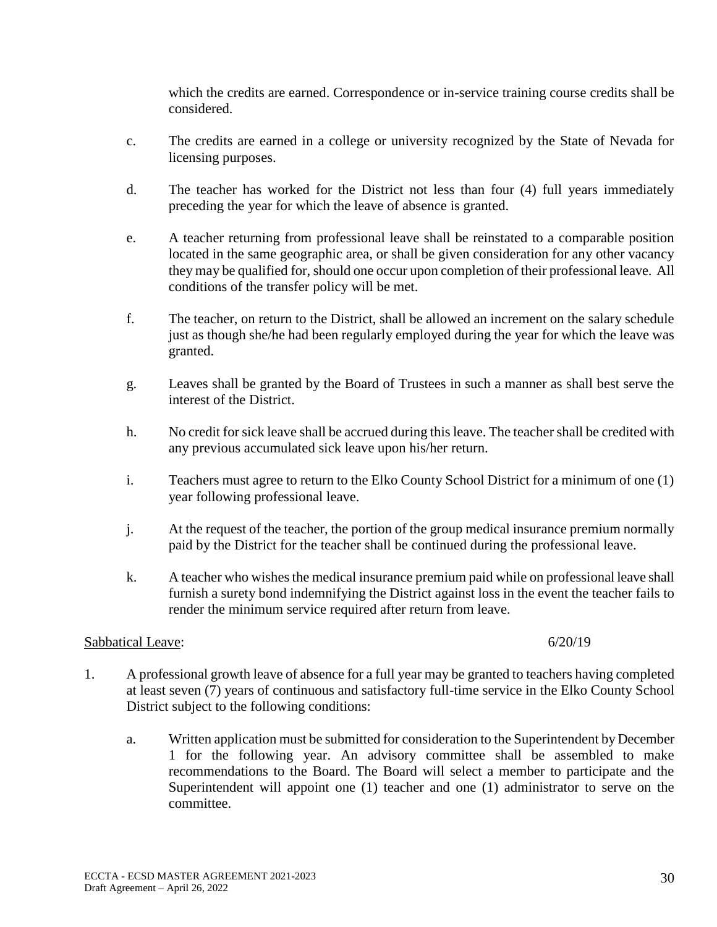which the credits are earned. Correspondence or in-service training course credits shall be considered.

- c. The credits are earned in a college or university recognized by the State of Nevada for licensing purposes.
- d. The teacher has worked for the District not less than four (4) full years immediately preceding the year for which the leave of absence is granted.
- e. A teacher returning from professional leave shall be reinstated to a comparable position located in the same geographic area, or shall be given consideration for any other vacancy they may be qualified for, should one occur upon completion of their professional leave. All conditions of the transfer policy will be met.
- f. The teacher, on return to the District, shall be allowed an increment on the salary schedule just as though she/he had been regularly employed during the year for which the leave was granted.
- g. Leaves shall be granted by the Board of Trustees in such a manner as shall best serve the interest of the District.
- h. No credit for sick leave shall be accrued during this leave. The teacher shall be credited with any previous accumulated sick leave upon his/her return.
- i. Teachers must agree to return to the Elko County School District for a minimum of one (1) year following professional leave.
- j. At the request of the teacher, the portion of the group medical insurance premium normally paid by the District for the teacher shall be continued during the professional leave.
- k. A teacher who wishes the medical insurance premium paid while on professional leave shall furnish a surety bond indemnifying the District against loss in the event the teacher fails to render the minimum service required after return from leave.

## Sabbatical Leave: 6/20/19

- 1. A professional growth leave of absence for a full year may be granted to teachers having completed at least seven (7) years of continuous and satisfactory full-time service in the Elko County School District subject to the following conditions:
	- a. Written application must be submitted for consideration to the Superintendent by December 1 for the following year. An advisory committee shall be assembled to make recommendations to the Board. The Board will select a member to participate and the Superintendent will appoint one (1) teacher and one (1) administrator to serve on the committee.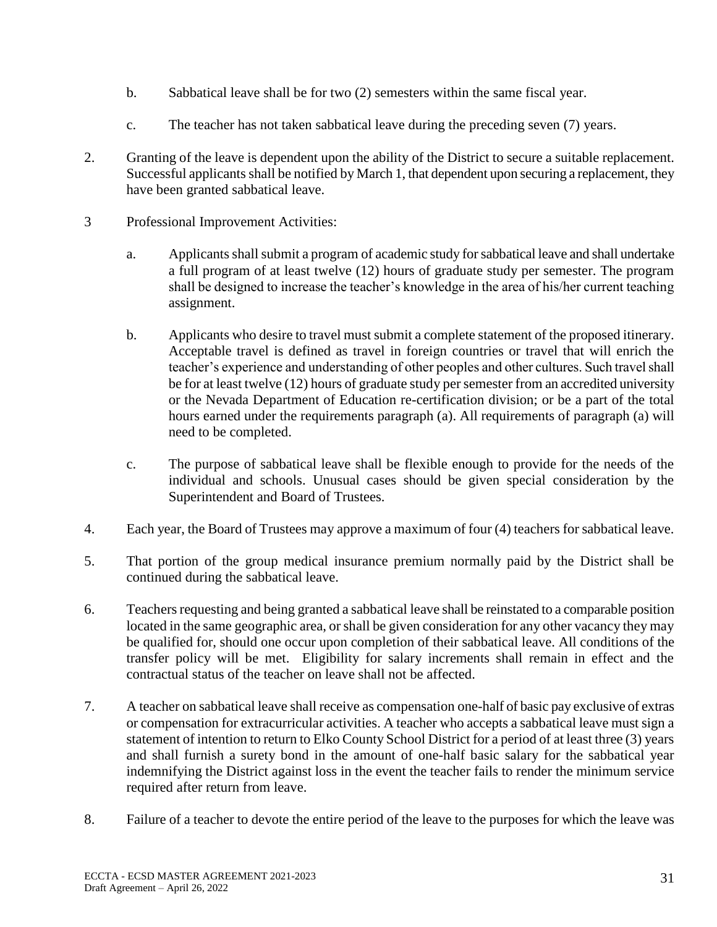- b. Sabbatical leave shall be for two (2) semesters within the same fiscal year.
- c. The teacher has not taken sabbatical leave during the preceding seven (7) years.
- 2. Granting of the leave is dependent upon the ability of the District to secure a suitable replacement. Successful applicants shall be notified by March 1, that dependent upon securing a replacement, they have been granted sabbatical leave.
- 3 Professional Improvement Activities:
	- a. Applicants shall submit a program of academic study for sabbatical leave and shall undertake a full program of at least twelve (12) hours of graduate study per semester. The program shall be designed to increase the teacher's knowledge in the area of his/her current teaching assignment.
	- b. Applicants who desire to travel must submit a complete statement of the proposed itinerary. Acceptable travel is defined as travel in foreign countries or travel that will enrich the teacher's experience and understanding of other peoples and other cultures. Such travel shall be for at least twelve (12) hours of graduate study per semester from an accredited university or the Nevada Department of Education re-certification division; or be a part of the total hours earned under the requirements paragraph (a). All requirements of paragraph (a) will need to be completed.
	- c. The purpose of sabbatical leave shall be flexible enough to provide for the needs of the individual and schools. Unusual cases should be given special consideration by the Superintendent and Board of Trustees.
- 4. Each year, the Board of Trustees may approve a maximum of four (4) teachers for sabbatical leave.
- 5. That portion of the group medical insurance premium normally paid by the District shall be continued during the sabbatical leave.
- 6. Teachers requesting and being granted a sabbatical leave shall be reinstated to a comparable position located in the same geographic area, or shall be given consideration for any other vacancy they may be qualified for, should one occur upon completion of their sabbatical leave. All conditions of the transfer policy will be met. Eligibility for salary increments shall remain in effect and the contractual status of the teacher on leave shall not be affected.
- 7. A teacher on sabbatical leave shall receive as compensation one-half of basic pay exclusive of extras or compensation for extracurricular activities. A teacher who accepts a sabbatical leave must sign a statement of intention to return to Elko County School District for a period of at least three (3) years and shall furnish a surety bond in the amount of one-half basic salary for the sabbatical year indemnifying the District against loss in the event the teacher fails to render the minimum service required after return from leave.
- 8. Failure of a teacher to devote the entire period of the leave to the purposes for which the leave was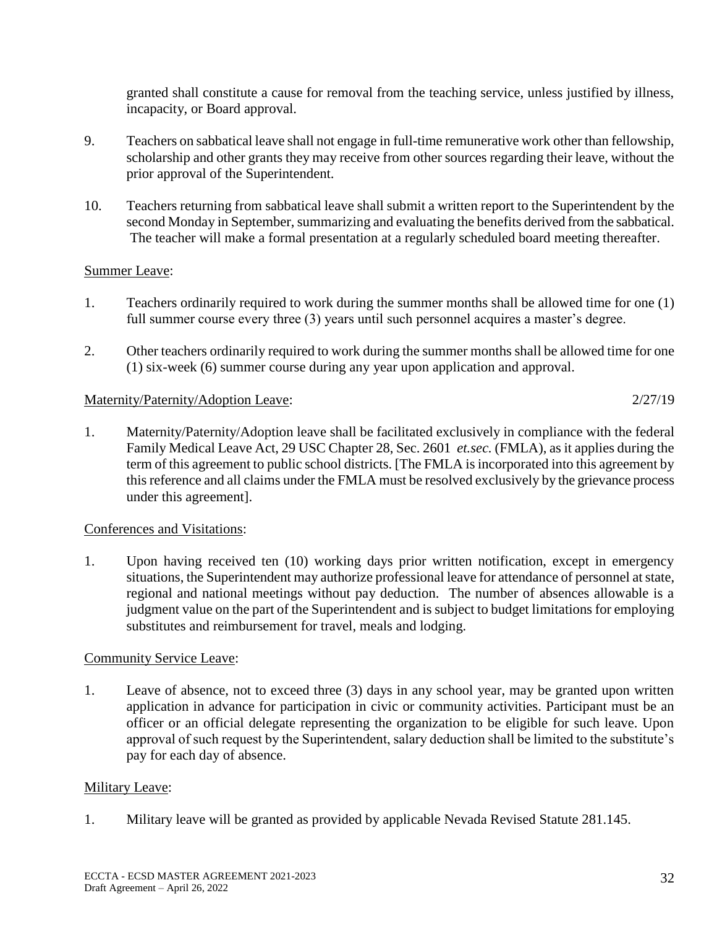granted shall constitute a cause for removal from the teaching service, unless justified by illness, incapacity, or Board approval.

- 9. Teachers on sabbatical leave shall not engage in full-time remunerative work other than fellowship, scholarship and other grants they may receive from other sources regarding their leave, without the prior approval of the Superintendent.
- 10. Teachers returning from sabbatical leave shall submit a written report to the Superintendent by the second Monday in September, summarizing and evaluating the benefits derived from the sabbatical. The teacher will make a formal presentation at a regularly scheduled board meeting thereafter.

# Summer Leave:

- 1. Teachers ordinarily required to work during the summer months shall be allowed time for one (1) full summer course every three (3) years until such personnel acquires a master's degree.
- 2. Other teachers ordinarily required to work during the summer months shall be allowed time for one (1) six-week (6) summer course during any year upon application and approval.

# Maternity/Paternity/Adoption Leave: 2/27/19

1. Maternity/Paternity/Adoption leave shall be facilitated exclusively in compliance with the federal Family Medical Leave Act, 29 USC Chapter 28, Sec. 2601 *et.sec.* (FMLA), as it applies during the term of this agreement to public school districts. [The FMLA is incorporated into this agreement by this reference and all claims under the FMLA must be resolved exclusively by the grievance process under this agreement].

# Conferences and Visitations:

1. Upon having received ten (10) working days prior written notification, except in emergency situations, the Superintendent may authorize professional leave for attendance of personnel at state, regional and national meetings without pay deduction. The number of absences allowable is a judgment value on the part of the Superintendent and is subject to budget limitations for employing substitutes and reimbursement for travel, meals and lodging.

# Community Service Leave:

1. Leave of absence, not to exceed three (3) days in any school year, may be granted upon written application in advance for participation in civic or community activities. Participant must be an officer or an official delegate representing the organization to be eligible for such leave. Upon approval of such request by the Superintendent, salary deduction shall be limited to the substitute's pay for each day of absence.

# Military Leave:

1. Military leave will be granted as provided by applicable Nevada Revised Statute 281.145.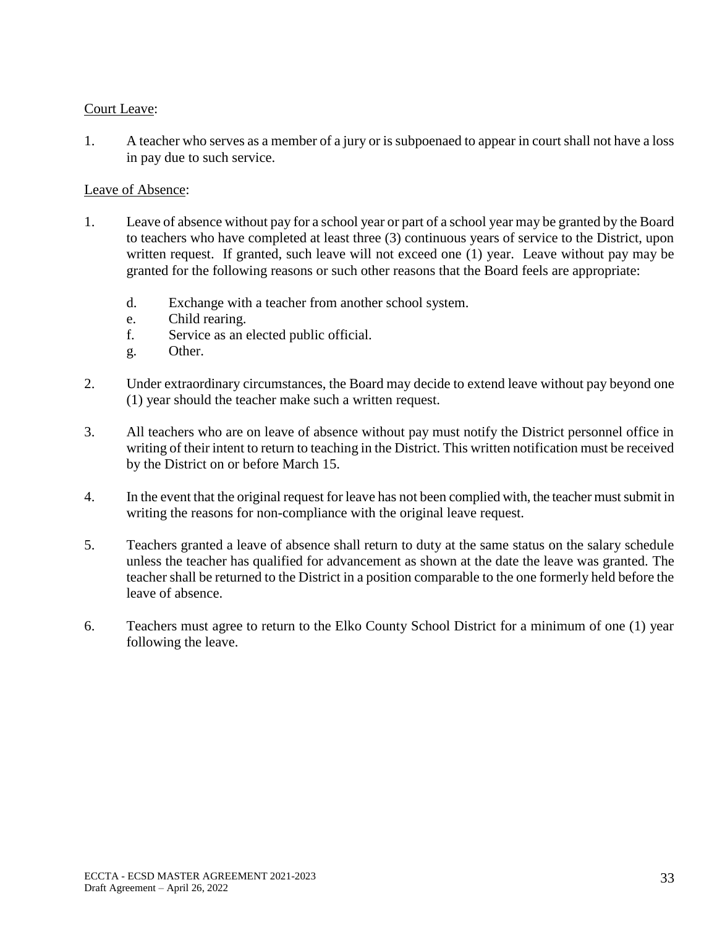## Court Leave:

1. A teacher who serves as a member of a jury or is subpoenaed to appear in court shall not have a loss in pay due to such service.

## Leave of Absence:

- 1. Leave of absence without pay for a school year or part of a school year may be granted by the Board to teachers who have completed at least three (3) continuous years of service to the District, upon written request. If granted, such leave will not exceed one (1) year. Leave without pay may be granted for the following reasons or such other reasons that the Board feels are appropriate:
	- d. Exchange with a teacher from another school system.
	- e. Child rearing.
	- f. Service as an elected public official.
	- g. Other.
- 2. Under extraordinary circumstances, the Board may decide to extend leave without pay beyond one (1) year should the teacher make such a written request.
- 3. All teachers who are on leave of absence without pay must notify the District personnel office in writing of their intent to return to teaching in the District. This written notification must be received by the District on or before March 15.
- 4. In the event that the original request for leave has not been complied with, the teacher must submit in writing the reasons for non-compliance with the original leave request.
- 5. Teachers granted a leave of absence shall return to duty at the same status on the salary schedule unless the teacher has qualified for advancement as shown at the date the leave was granted. The teacher shall be returned to the District in a position comparable to the one formerly held before the leave of absence.
- 6. Teachers must agree to return to the Elko County School District for a minimum of one (1) year following the leave.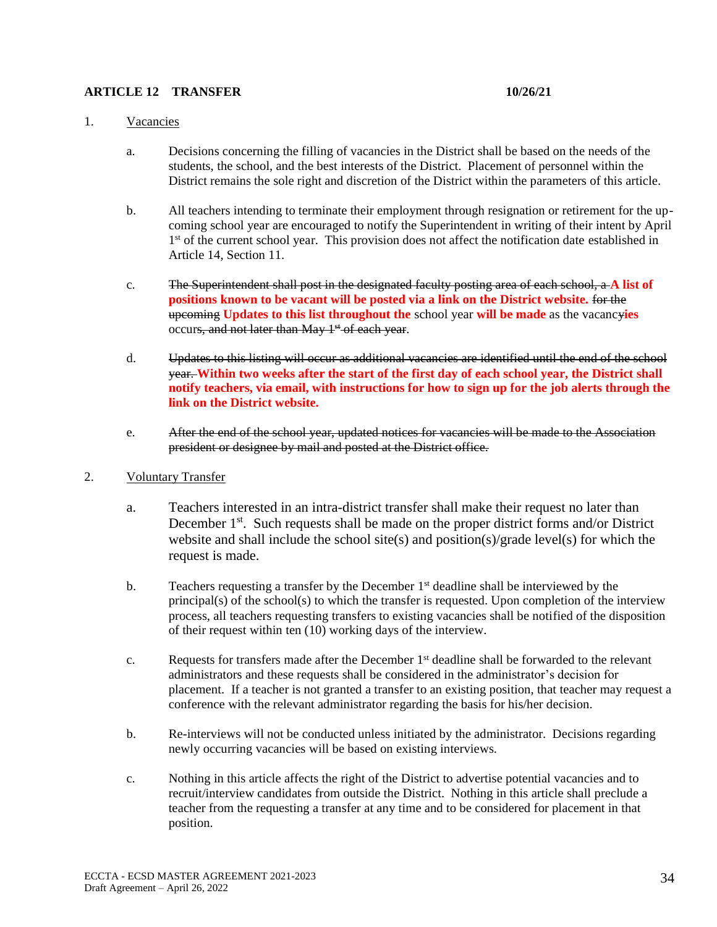### **ARTICLE 12 TRANSFER 10/26/21**

### 1. Vacancies

- a. Decisions concerning the filling of vacancies in the District shall be based on the needs of the students, the school, and the best interests of the District. Placement of personnel within the District remains the sole right and discretion of the District within the parameters of this article.
- b. All teachers intending to terminate their employment through resignation or retirement for the upcoming school year are encouraged to notify the Superintendent in writing of their intent by April 1<sup>st</sup> of the current school year. This provision does not affect the notification date established in Article 14, Section 11.
- c. The Superintendent shall post in the designated faculty posting area of each school, a **A list of positions known to be vacant will be posted via a link on the District website.** for the upcoming **Updates to this list throughout the** school year **will be made** as the vacancy**ies** occurs, and not later than May 1<sup>st</sup> of each year.
- d. Updates to this listing will occur as additional vacancies are identified until the end of the school year. **Within two weeks after the start of the first day of each school year, the District shall notify teachers, via email, with instructions for how to sign up for the job alerts through the link on the District website.**
- e. After the end of the school year, updated notices for vacancies will be made to the Association president or designee by mail and posted at the District office.
- 2. Voluntary Transfer
	- a. Teachers interested in an intra-district transfer shall make their request no later than December 1<sup>st</sup>. Such requests shall be made on the proper district forms and/or District website and shall include the school site(s) and position(s)/grade level(s) for which the request is made.
	- b. Teachers requesting a transfer by the December 1<sup>st</sup> deadline shall be interviewed by the principal(s) of the school(s) to which the transfer is requested. Upon completion of the interview process, all teachers requesting transfers to existing vacancies shall be notified of the disposition of their request within ten (10) working days of the interview.
	- c. Requests for transfers made after the December 1<sup>st</sup> deadline shall be forwarded to the relevant administrators and these requests shall be considered in the administrator's decision for placement. If a teacher is not granted a transfer to an existing position, that teacher may request a conference with the relevant administrator regarding the basis for his/her decision.
	- b. Re-interviews will not be conducted unless initiated by the administrator. Decisions regarding newly occurring vacancies will be based on existing interviews.
	- c. Nothing in this article affects the right of the District to advertise potential vacancies and to recruit/interview candidates from outside the District. Nothing in this article shall preclude a teacher from the requesting a transfer at any time and to be considered for placement in that position.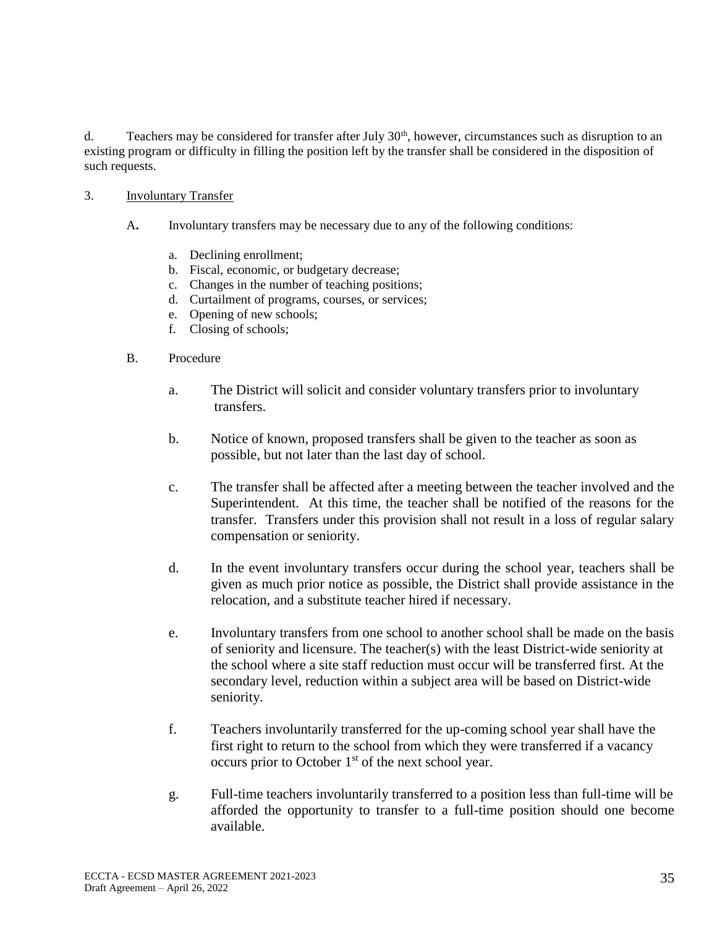d. Teachers may be considered for transfer after July 30<sup>th</sup>, however, circumstances such as disruption to an existing program or difficulty in filling the position left by the transfer shall be considered in the disposition of such requests.

- 3. Involuntary Transfer
	- A**.** Involuntary transfers may be necessary due to any of the following conditions:
		- a. Declining enrollment;
		- b. Fiscal, economic, or budgetary decrease;
		- c. Changes in the number of teaching positions;
		- d. Curtailment of programs, courses, or services;
		- e. Opening of new schools;
		- f. Closing of schools;
	- B. Procedure
		- a. The District will solicit and consider voluntary transfers prior to involuntary transfers.
		- b. Notice of known, proposed transfers shall be given to the teacher as soon as possible, but not later than the last day of school.
		- c. The transfer shall be affected after a meeting between the teacher involved and the Superintendent. At this time, the teacher shall be notified of the reasons for the transfer. Transfers under this provision shall not result in a loss of regular salary compensation or seniority.
		- d. In the event involuntary transfers occur during the school year, teachers shall be given as much prior notice as possible, the District shall provide assistance in the relocation, and a substitute teacher hired if necessary.
		- e. Involuntary transfers from one school to another school shall be made on the basis of seniority and licensure. The teacher(s) with the least District-wide seniority at the school where a site staff reduction must occur will be transferred first. At the secondary level, reduction within a subject area will be based on District-wide seniority.
		- f. Teachers involuntarily transferred for the up-coming school year shall have the first right to return to the school from which they were transferred if a vacancy occurs prior to October  $1<sup>st</sup>$  of the next school year.
		- g. Full-time teachers involuntarily transferred to a position less than full-time will be afforded the opportunity to transfer to a full-time position should one become available.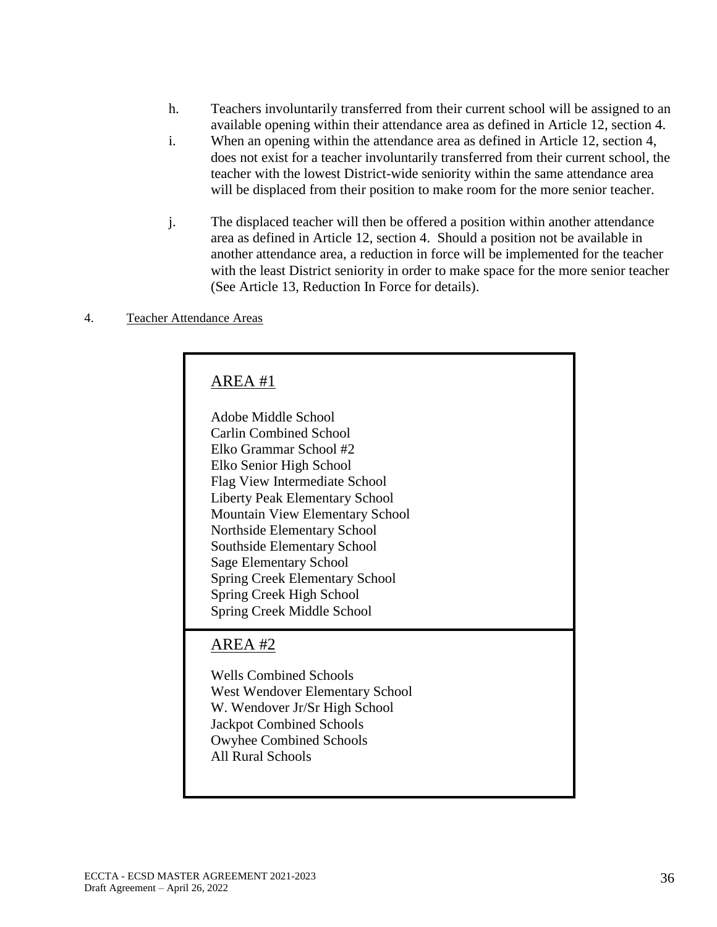- h. Teachers involuntarily transferred from their current school will be assigned to an available opening within their attendance area as defined in Article 12, section 4.
- i. When an opening within the attendance area as defined in Article 12, section 4, does not exist for a teacher involuntarily transferred from their current school, the teacher with the lowest District-wide seniority within the same attendance area will be displaced from their position to make room for the more senior teacher.
- j. The displaced teacher will then be offered a position within another attendance area as defined in Article 12, section 4. Should a position not be available in another attendance area, a reduction in force will be implemented for the teacher with the least District seniority in order to make space for the more senior teacher (See Article 13, Reduction In Force for details).

### 4. Teacher Attendance Areas

# AREA #1

Adobe Middle School Carlin Combined School Elko Grammar School #2 Elko Senior High School Flag View Intermediate School Liberty Peak Elementary School Mountain View Elementary School Northside Elementary School Southside Elementary School Sage Elementary School Spring Creek Elementary School Spring Creek High School Spring Creek Middle School

# AREA #2

Wells Combined Schools West Wendover Elementary School W. Wendover Jr/Sr High School Jackpot Combined Schools Owyhee Combined Schools All Rural Schools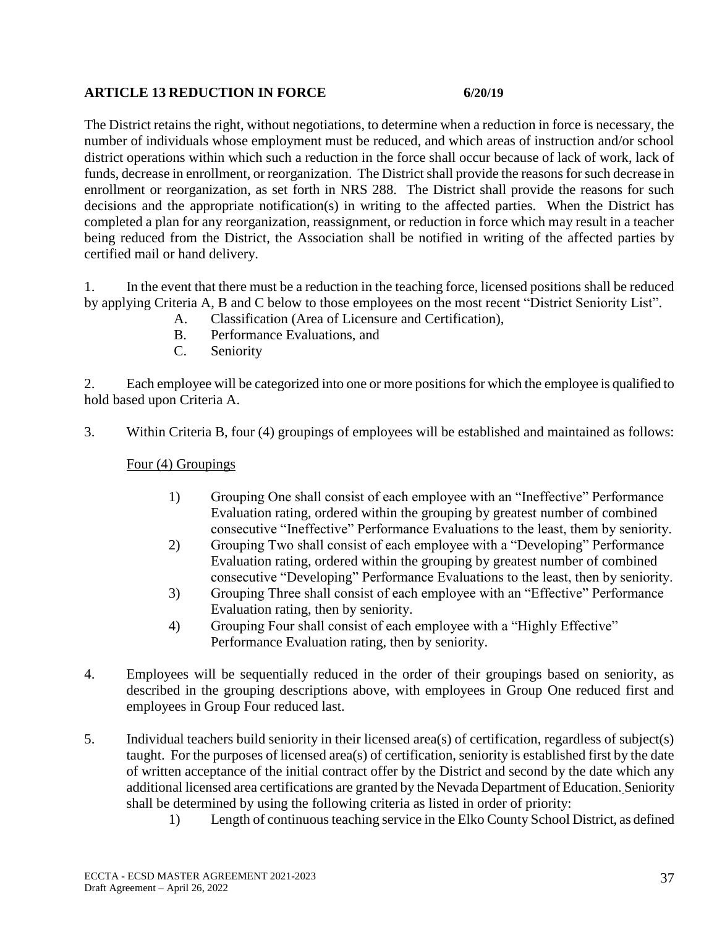## **ARTICLE 13 REDUCTION IN FORCE 6/20/19**

The District retains the right, without negotiations, to determine when a reduction in force is necessary, the number of individuals whose employment must be reduced, and which areas of instruction and/or school district operations within which such a reduction in the force shall occur because of lack of work, lack of funds, decrease in enrollment, or reorganization. The District shall provide the reasons for such decrease in enrollment or reorganization, as set forth in NRS 288. The District shall provide the reasons for such decisions and the appropriate notification(s) in writing to the affected parties. When the District has completed a plan for any reorganization, reassignment, or reduction in force which may result in a teacher being reduced from the District, the Association shall be notified in writing of the affected parties by certified mail or hand delivery.

1. In the event that there must be a reduction in the teaching force, licensed positions shall be reduced by applying Criteria A, B and C below to those employees on the most recent "District Seniority List".

- A. Classification (Area of Licensure and Certification),
- B. Performance Evaluations, and
- C. Seniority

2. Each employee will be categorized into one or more positions for which the employee is qualified to hold based upon Criteria A.

3. Within Criteria B, four (4) groupings of employees will be established and maintained as follows:

Four (4) Groupings

- 1) Grouping One shall consist of each employee with an "Ineffective" Performance Evaluation rating, ordered within the grouping by greatest number of combined consecutive "Ineffective" Performance Evaluations to the least, them by seniority.
- 2) Grouping Two shall consist of each employee with a "Developing" Performance Evaluation rating, ordered within the grouping by greatest number of combined consecutive "Developing" Performance Evaluations to the least, then by seniority.
- 3) Grouping Three shall consist of each employee with an "Effective" Performance Evaluation rating, then by seniority.
- 4) Grouping Four shall consist of each employee with a "Highly Effective" Performance Evaluation rating, then by seniority.
- 4. Employees will be sequentially reduced in the order of their groupings based on seniority, as described in the grouping descriptions above, with employees in Group One reduced first and employees in Group Four reduced last.
- 5. Individual teachers build seniority in their licensed area(s) of certification, regardless of subject(s) taught. For the purposes of licensed area(s) of certification, seniority is established first by the date of written acceptance of the initial contract offer by the District and second by the date which any additional licensed area certifications are granted by the Nevada Department of Education. Seniority shall be determined by using the following criteria as listed in order of priority:
	- 1) Length of continuous teaching service in the Elko County School District, as defined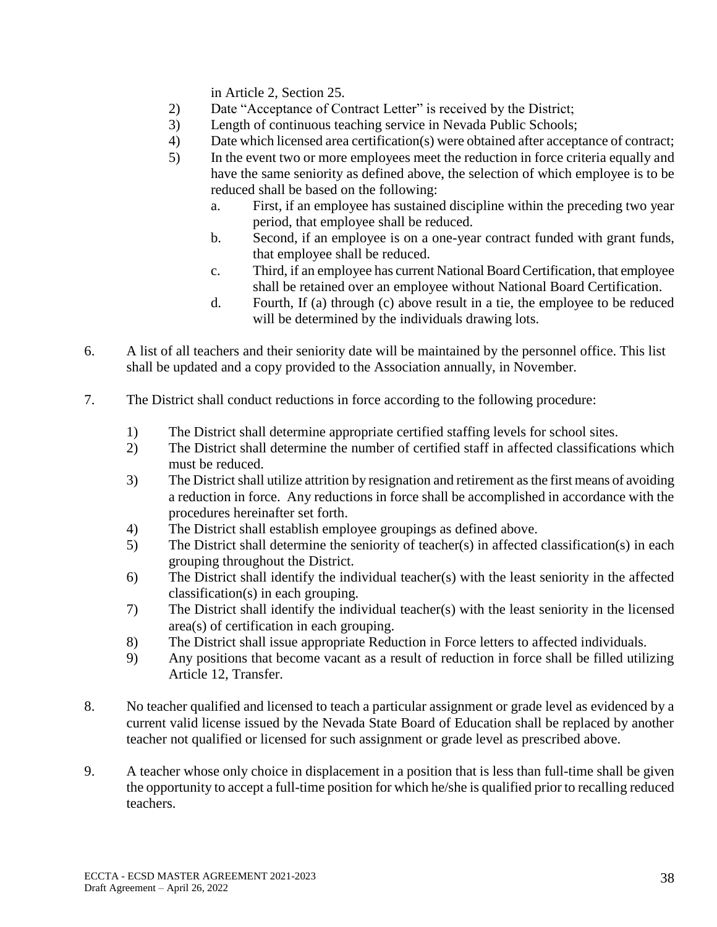in Article 2, Section 25.

- 2) Date "Acceptance of Contract Letter" is received by the District;
- 3) Length of continuous teaching service in Nevada Public Schools;
- 4) Date which licensed area certification(s) were obtained after acceptance of contract;
- 5) In the event two or more employees meet the reduction in force criteria equally and have the same seniority as defined above, the selection of which employee is to be reduced shall be based on the following:
	- a. First, if an employee has sustained discipline within the preceding two year period, that employee shall be reduced.
	- b. Second, if an employee is on a one-year contract funded with grant funds, that employee shall be reduced.
	- c. Third, if an employee has current National Board Certification, that employee shall be retained over an employee without National Board Certification.
	- d. Fourth, If (a) through (c) above result in a tie, the employee to be reduced will be determined by the individuals drawing lots.
- 6. A list of all teachers and their seniority date will be maintained by the personnel office. This list shall be updated and a copy provided to the Association annually, in November.
- 7. The District shall conduct reductions in force according to the following procedure:
	- 1) The District shall determine appropriate certified staffing levels for school sites.
	- 2) The District shall determine the number of certified staff in affected classifications which must be reduced.
	- 3) The District shall utilize attrition by resignation and retirement as the first means of avoiding a reduction in force. Any reductions in force shall be accomplished in accordance with the procedures hereinafter set forth.
	- 4) The District shall establish employee groupings as defined above.
	- 5) The District shall determine the seniority of teacher(s) in affected classification(s) in each grouping throughout the District.
	- 6) The District shall identify the individual teacher(s) with the least seniority in the affected classification(s) in each grouping.
	- 7) The District shall identify the individual teacher(s) with the least seniority in the licensed area(s) of certification in each grouping.
	- 8) The District shall issue appropriate Reduction in Force letters to affected individuals.
	- 9) Any positions that become vacant as a result of reduction in force shall be filled utilizing Article 12, Transfer.
- 8. No teacher qualified and licensed to teach a particular assignment or grade level as evidenced by a current valid license issued by the Nevada State Board of Education shall be replaced by another teacher not qualified or licensed for such assignment or grade level as prescribed above.
- 9. A teacher whose only choice in displacement in a position that is less than full-time shall be given the opportunity to accept a full-time position for which he/she is qualified prior to recalling reduced teachers.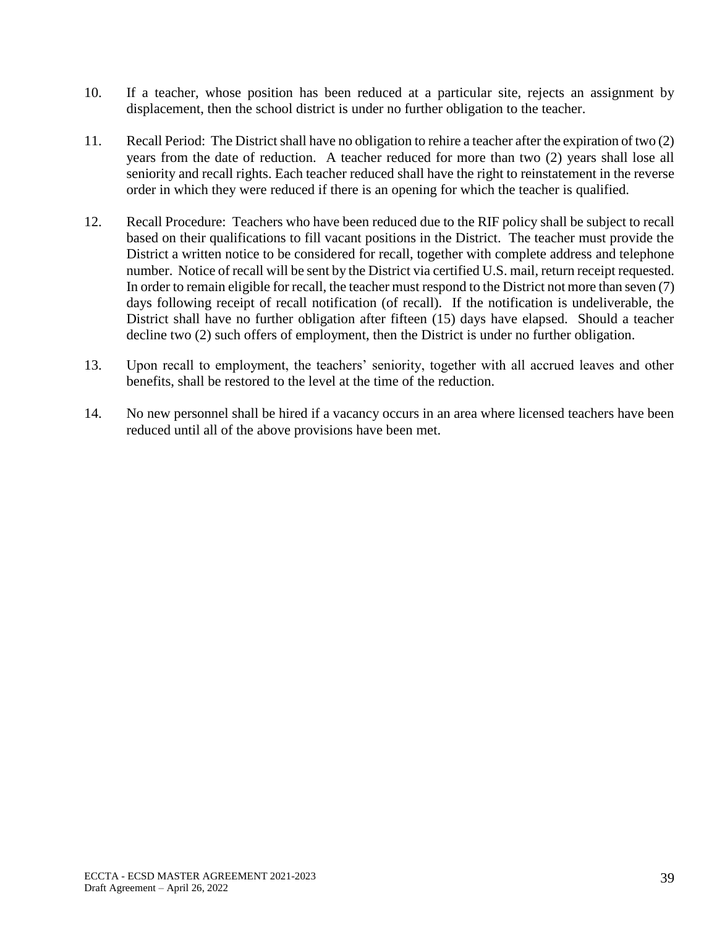- 10. If a teacher, whose position has been reduced at a particular site, rejects an assignment by displacement, then the school district is under no further obligation to the teacher.
- 11. Recall Period: The District shall have no obligation to rehire a teacher after the expiration of two (2) years from the date of reduction. A teacher reduced for more than two (2) years shall lose all seniority and recall rights. Each teacher reduced shall have the right to reinstatement in the reverse order in which they were reduced if there is an opening for which the teacher is qualified.
- 12. Recall Procedure: Teachers who have been reduced due to the RIF policy shall be subject to recall based on their qualifications to fill vacant positions in the District. The teacher must provide the District a written notice to be considered for recall, together with complete address and telephone number. Notice of recall will be sent by the District via certified U.S. mail, return receipt requested. In order to remain eligible for recall, the teacher must respond to the District not more than seven (7) days following receipt of recall notification (of recall). If the notification is undeliverable, the District shall have no further obligation after fifteen (15) days have elapsed. Should a teacher decline two (2) such offers of employment, then the District is under no further obligation.
- 13. Upon recall to employment, the teachers' seniority, together with all accrued leaves and other benefits, shall be restored to the level at the time of the reduction.
- 14. No new personnel shall be hired if a vacancy occurs in an area where licensed teachers have been reduced until all of the above provisions have been met.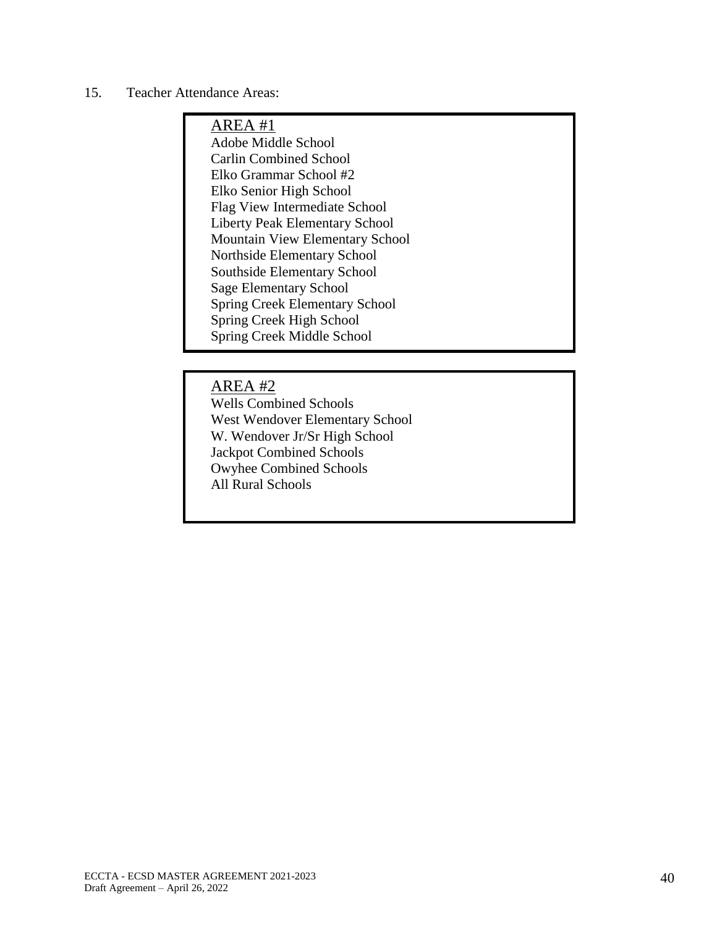## 15. Teacher Attendance Areas:

# AREA #1

Adobe Middle School Carlin Combined School Elko Grammar School #2 Elko Senior High School Flag View Intermediate School Liberty Peak Elementary School Mountain View Elementary School Northside Elementary School Southside Elementary School Sage Elementary School Spring Creek Elementary School Spring Creek High School Spring Creek Middle School

## AREA #2

Wells Combined Schools West Wendover Elementary School W. Wendover Jr/Sr High School Jackpot Combined Schools Owyhee Combined Schools All Rural Schools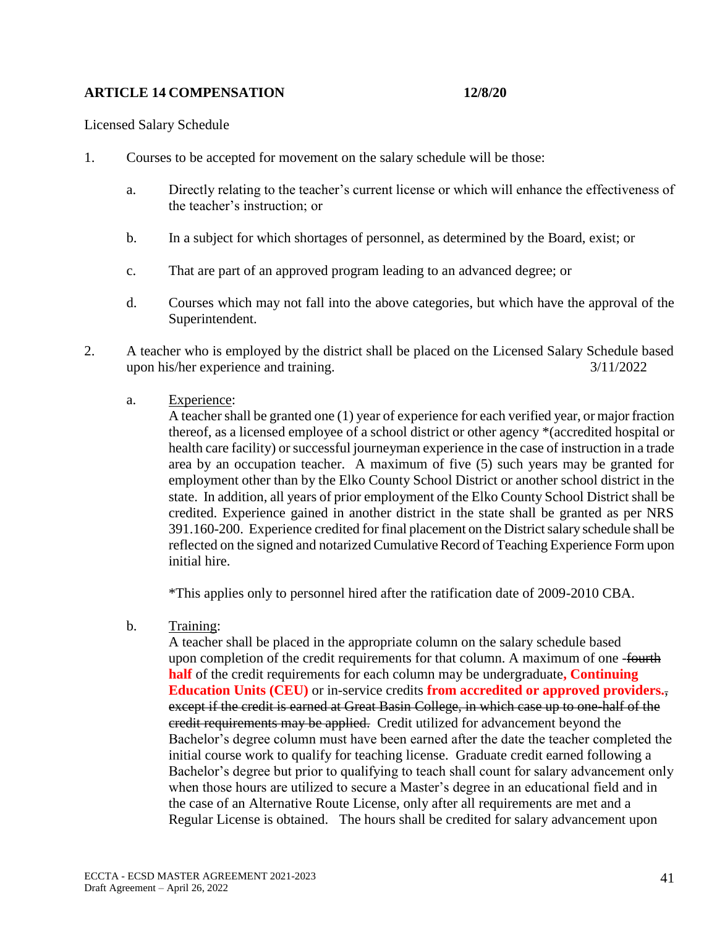## **ARTICLE 14 COMPENSATION 12/8/20**

Licensed Salary Schedule

- 1. Courses to be accepted for movement on the salary schedule will be those:
	- a. Directly relating to the teacher's current license or which will enhance the effectiveness of the teacher's instruction; or
	- b. In a subject for which shortages of personnel, as determined by the Board, exist; or
	- c. That are part of an approved program leading to an advanced degree; or
	- d. Courses which may not fall into the above categories, but which have the approval of the Superintendent.
- 2. A teacher who is employed by the district shall be placed on the Licensed Salary Schedule based upon his/her experience and training. 3/11/2022
	- a. Experience:

A teacher shall be granted one (1) year of experience for each verified year, or major fraction thereof, as a licensed employee of a school district or other agency \*(accredited hospital or health care facility) or successful journeyman experience in the case of instruction in a trade area by an occupation teacher. A maximum of five (5) such years may be granted for employment other than by the Elko County School District or another school district in the state. In addition, all years of prior employment of the Elko County School District shall be credited. Experience gained in another district in the state shall be granted as per NRS 391.160-200. Experience credited for final placement on the District salary schedule shall be reflected on the signed and notarized Cumulative Record of Teaching Experience Form upon initial hire.

\*This applies only to personnel hired after the ratification date of 2009-2010 CBA.

b. Training:

A teacher shall be placed in the appropriate column on the salary schedule based upon completion of the credit requirements for that column. A maximum of one -fourth **half** of the credit requirements for each column may be undergraduate**, Continuing Education Units (CEU)** or in-service credits **from accredited or approved providers.**, except if the credit is earned at Great Basin College, in which case up to one-half of the credit requirements may be applied. Credit utilized for advancement beyond the Bachelor's degree column must have been earned after the date the teacher completed the initial course work to qualify for teaching license. Graduate credit earned following a Bachelor's degree but prior to qualifying to teach shall count for salary advancement only when those hours are utilized to secure a Master's degree in an educational field and in the case of an Alternative Route License, only after all requirements are met and a Regular License is obtained. The hours shall be credited for salary advancement upon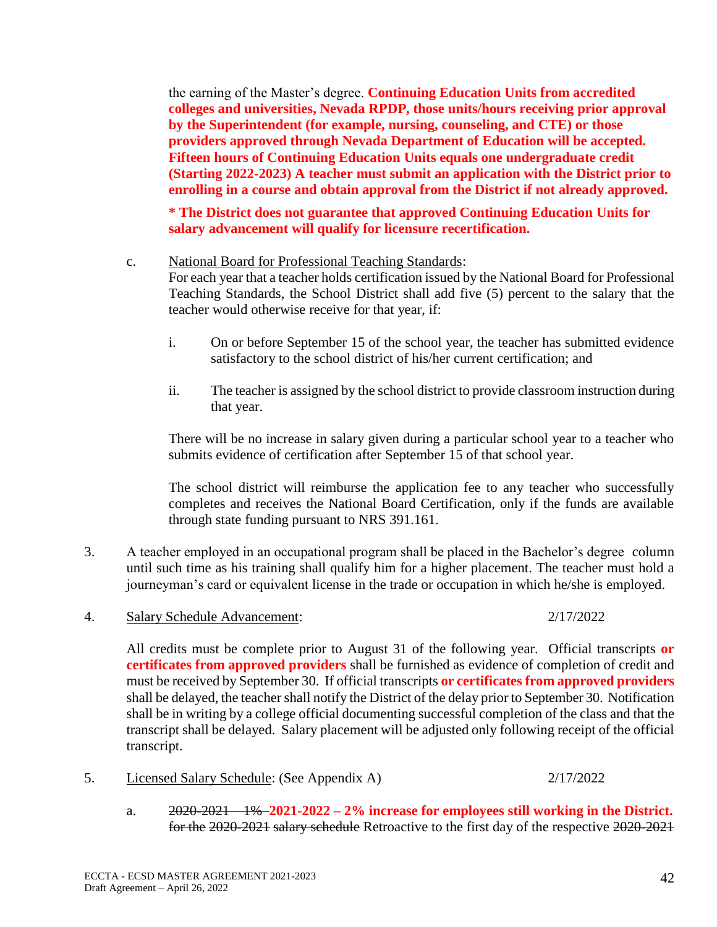the earning of the Master's degree. **Continuing Education Units from accredited colleges and universities, Nevada RPDP, those units/hours receiving prior approval by the Superintendent (for example, nursing, counseling, and CTE) or those providers approved through Nevada Department of Education will be accepted. Fifteen hours of Continuing Education Units equals one undergraduate credit (Starting 2022-2023) A teacher must submit an application with the District prior to enrolling in a course and obtain approval from the District if not already approved.**

**\* The District does not guarantee that approved Continuing Education Units for salary advancement will qualify for licensure recertification.**

## c. National Board for Professional Teaching Standards:

For each year that a teacher holds certification issued by the National Board for Professional Teaching Standards, the School District shall add five (5) percent to the salary that the teacher would otherwise receive for that year, if:

- i. On or before September 15 of the school year, the teacher has submitted evidence satisfactory to the school district of his/her current certification; and
- ii. The teacher is assigned by the school district to provide classroom instruction during that year.

There will be no increase in salary given during a particular school year to a teacher who submits evidence of certification after September 15 of that school year.

The school district will reimburse the application fee to any teacher who successfully completes and receives the National Board Certification, only if the funds are available through state funding pursuant to NRS 391.161.

- 3. A teacher employed in an occupational program shall be placed in the Bachelor's degree column until such time as his training shall qualify him for a higher placement. The teacher must hold a journeyman's card or equivalent license in the trade or occupation in which he/she is employed.
- 4. Salary Schedule Advancement: 2/17/2022

## All credits must be complete prior to August 31 of the following year. Official transcripts **or certificates from approved providers** shall be furnished as evidence of completion of credit and must be received by September 30. If official transcripts **or certificates from approved providers** shall be delayed, the teacher shall notify the District of the delay prior to September 30. Notification shall be in writing by a college official documenting successful completion of the class and that the transcript shall be delayed. Salary placement will be adjusted only following receipt of the official transcript.

- 5. Licensed Salary Schedule: (See Appendix A) 2/17/2022
	- a. 2020-2021 1% **2021-2022 – 2% increase for employees still working in the District.** for the 2020-2021 salary schedule Retroactive to the first day of the respective 2020-2021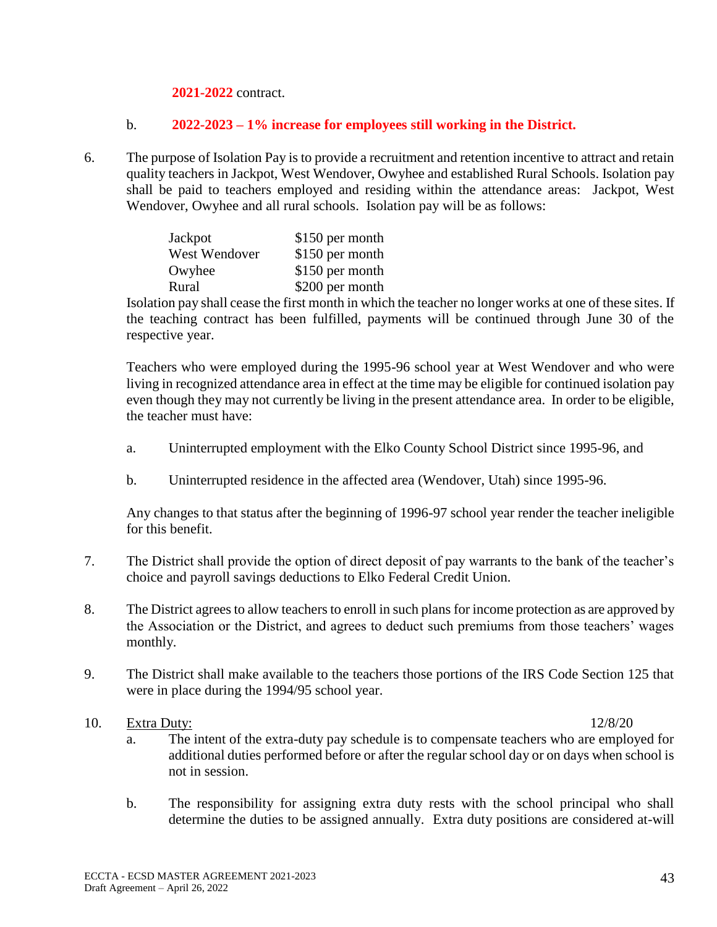**2021-2022** contract.

## b. **2022-2023 – 1% increase for employees still working in the District.**

6. The purpose of Isolation Pay is to provide a recruitment and retention incentive to attract and retain quality teachers in Jackpot, West Wendover, Owyhee and established Rural Schools. Isolation pay shall be paid to teachers employed and residing within the attendance areas: Jackpot, West Wendover, Owyhee and all rural schools. Isolation pay will be as follows:

| Jackpot       | \$150 per month |
|---------------|-----------------|
| West Wendover | \$150 per month |
| Owyhee        | \$150 per month |
| Rural         | \$200 per month |

Isolation pay shall cease the first month in which the teacher no longer works at one of these sites. If the teaching contract has been fulfilled, payments will be continued through June 30 of the respective year.

Teachers who were employed during the 1995-96 school year at West Wendover and who were living in recognized attendance area in effect at the time may be eligible for continued isolation pay even though they may not currently be living in the present attendance area. In order to be eligible, the teacher must have:

- a. Uninterrupted employment with the Elko County School District since 1995-96, and
- b. Uninterrupted residence in the affected area (Wendover, Utah) since 1995-96.

Any changes to that status after the beginning of 1996-97 school year render the teacher ineligible for this benefit.

- 7. The District shall provide the option of direct deposit of pay warrants to the bank of the teacher's choice and payroll savings deductions to Elko Federal Credit Union.
- 8. The District agrees to allow teachers to enroll in such plans for income protection as are approved by the Association or the District, and agrees to deduct such premiums from those teachers' wages monthly.
- 9. The District shall make available to the teachers those portions of the IRS Code Section 125 that were in place during the 1994/95 school year.

## 10. Extra Duty: 12/8/20

- a. The intent of the extra-duty pay schedule is to compensate teachers who are employed for additional duties performed before or after the regular school day or on days when school is not in session.
- b. The responsibility for assigning extra duty rests with the school principal who shall determine the duties to be assigned annually. Extra duty positions are considered at-will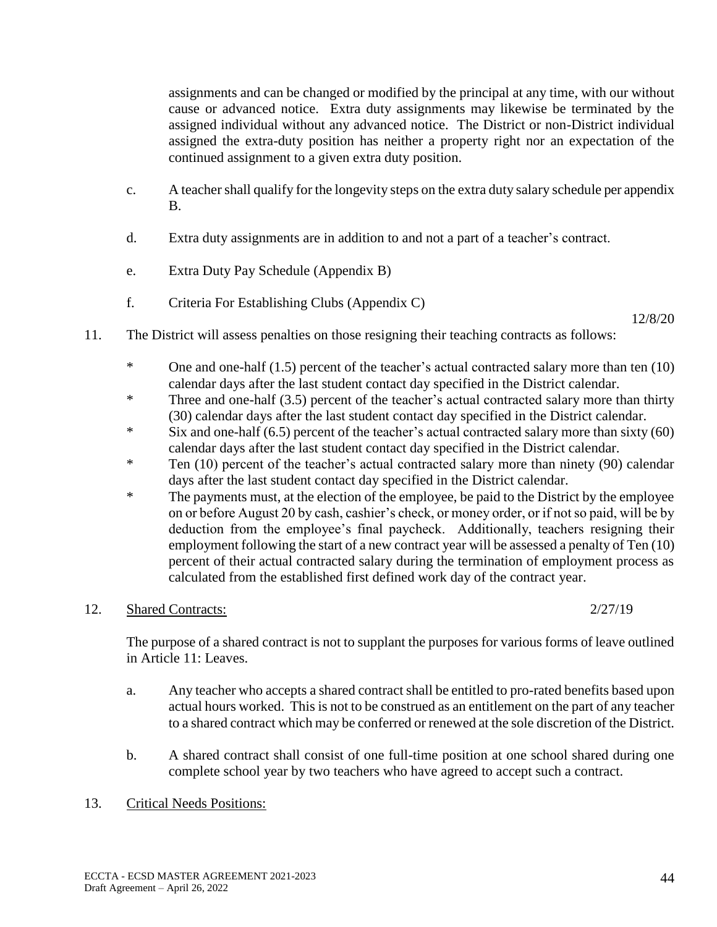assignments and can be changed or modified by the principal at any time, with our without cause or advanced notice. Extra duty assignments may likewise be terminated by the assigned individual without any advanced notice. The District or non-District individual assigned the extra-duty position has neither a property right nor an expectation of the continued assignment to a given extra duty position.

- c. A teacher shall qualify for the longevity steps on the extra duty salary schedule per appendix B.
- d. Extra duty assignments are in addition to and not a part of a teacher's contract.
- e. Extra Duty Pay Schedule (Appendix B)
- f. Criteria For Establishing Clubs (Appendix C)

12/8/20

- 11. The District will assess penalties on those resigning their teaching contracts as follows:
	- \* One and one-half (1.5) percent of the teacher's actual contracted salary more than ten (10) calendar days after the last student contact day specified in the District calendar.
	- \* Three and one-half (3.5) percent of the teacher's actual contracted salary more than thirty (30) calendar days after the last student contact day specified in the District calendar.
	- $*$  Six and one-half (6.5) percent of the teacher's actual contracted salary more than sixty (60) calendar days after the last student contact day specified in the District calendar.
	- \* Ten (10) percent of the teacher's actual contracted salary more than ninety (90) calendar days after the last student contact day specified in the District calendar.
	- \* The payments must, at the election of the employee, be paid to the District by the employee on or before August 20 by cash, cashier's check, or money order, or if not so paid, will be by deduction from the employee's final paycheck. Additionally, teachers resigning their employment following the start of a new contract year will be assessed a penalty of Ten (10) percent of their actual contracted salary during the termination of employment process as calculated from the established first defined work day of the contract year.

## 12. Shared Contracts: 2/27/19

The purpose of a shared contract is not to supplant the purposes for various forms of leave outlined in Article 11: Leaves.

- a. Any teacher who accepts a shared contract shall be entitled to pro-rated benefits based upon actual hours worked. This is not to be construed as an entitlement on the part of any teacher to a shared contract which may be conferred or renewed at the sole discretion of the District.
- b. A shared contract shall consist of one full-time position at one school shared during one complete school year by two teachers who have agreed to accept such a contract.
- 13. Critical Needs Positions: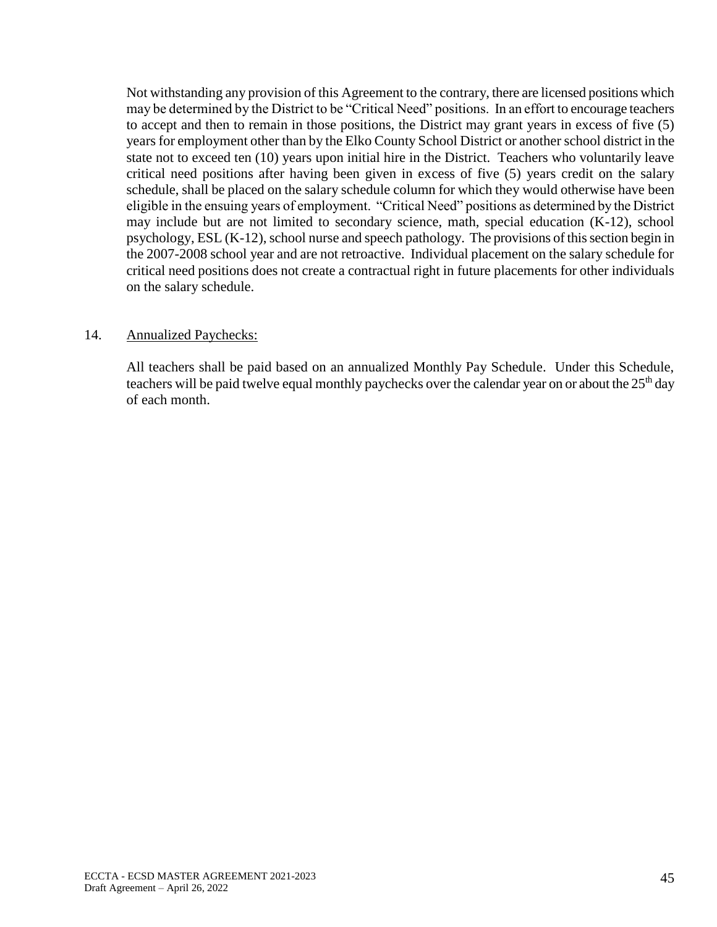Not withstanding any provision of this Agreement to the contrary, there are licensed positions which may be determined by the District to be "Critical Need" positions. In an effort to encourage teachers to accept and then to remain in those positions, the District may grant years in excess of five (5) years for employment other than by the Elko County School District or another school district in the state not to exceed ten (10) years upon initial hire in the District. Teachers who voluntarily leave critical need positions after having been given in excess of five (5) years credit on the salary schedule, shall be placed on the salary schedule column for which they would otherwise have been eligible in the ensuing years of employment. "Critical Need" positions as determined by the District may include but are not limited to secondary science, math, special education (K-12), school psychology, ESL (K-12), school nurse and speech pathology. The provisions of this section begin in the 2007-2008 school year and are not retroactive. Individual placement on the salary schedule for critical need positions does not create a contractual right in future placements for other individuals on the salary schedule.

## 14. Annualized Paychecks:

All teachers shall be paid based on an annualized Monthly Pay Schedule. Under this Schedule, teachers will be paid twelve equal monthly paychecks over the calendar year on or about the 25<sup>th</sup> day of each month.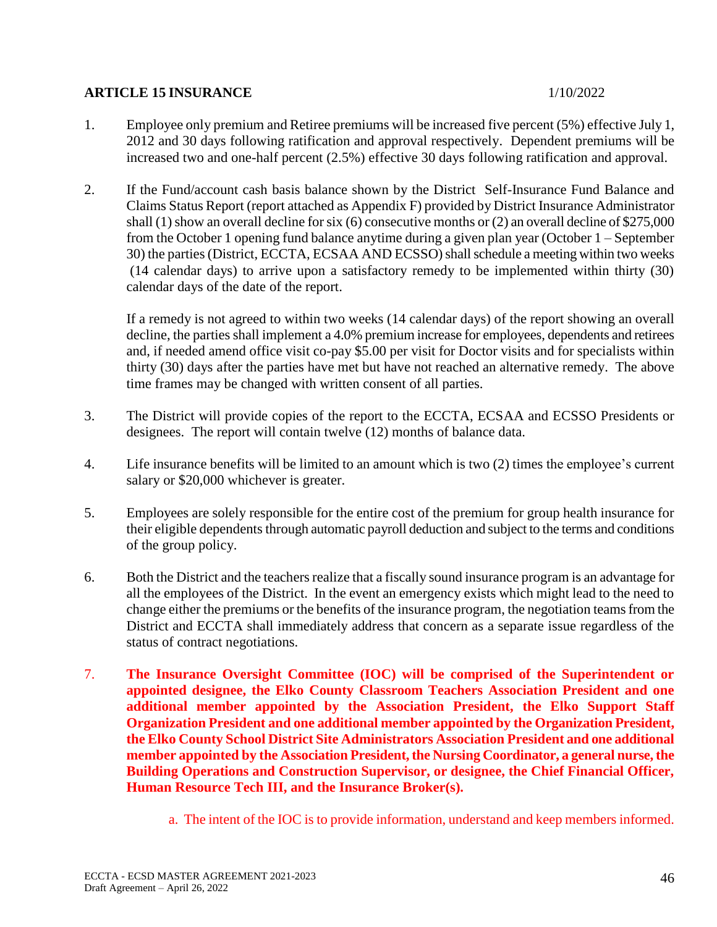## **ARTICLE 15 INSURANCE** 1/10/2022

- 1. Employee only premium and Retiree premiums will be increased five percent (5%) effective July 1, 2012 and 30 days following ratification and approval respectively. Dependent premiums will be increased two and one-half percent (2.5%) effective 30 days following ratification and approval.
- 2. If the Fund/account cash basis balance shown by the District Self-Insurance Fund Balance and Claims Status Report (report attached as Appendix F) provided by District Insurance Administrator shall (1) show an overall decline for six (6) consecutive months or (2) an overall decline of \$275,000 from the October 1 opening fund balance anytime during a given plan year (October 1 – September 30) the parties (District, ECCTA, ECSAA AND ECSSO) shall schedule a meeting within two weeks (14 calendar days) to arrive upon a satisfactory remedy to be implemented within thirty (30) calendar days of the date of the report.

If a remedy is not agreed to within two weeks (14 calendar days) of the report showing an overall decline, the parties shall implement a 4.0% premium increase for employees, dependents and retirees and, if needed amend office visit co-pay \$5.00 per visit for Doctor visits and for specialists within thirty (30) days after the parties have met but have not reached an alternative remedy. The above time frames may be changed with written consent of all parties.

- 3. The District will provide copies of the report to the ECCTA, ECSAA and ECSSO Presidents or designees. The report will contain twelve (12) months of balance data.
- 4. Life insurance benefits will be limited to an amount which is two (2) times the employee's current salary or \$20,000 whichever is greater.
- 5. Employees are solely responsible for the entire cost of the premium for group health insurance for their eligible dependents through automatic payroll deduction and subject to the terms and conditions of the group policy.
- 6. Both the District and the teachers realize that a fiscally sound insurance program is an advantage for all the employees of the District. In the event an emergency exists which might lead to the need to change either the premiums or the benefits of the insurance program, the negotiation teams from the District and ECCTA shall immediately address that concern as a separate issue regardless of the status of contract negotiations.
- 7. **The Insurance Oversight Committee (IOC) will be comprised of the Superintendent or appointed designee, the Elko County Classroom Teachers Association President and one additional member appointed by the Association President, the Elko Support Staff Organization President and one additional member appointed by the Organization President, the Elko County School District Site Administrators Association President and one additional member appointed by the Association President, the Nursing Coordinator, a general nurse, the Building Operations and Construction Supervisor, or designee, the Chief Financial Officer, Human Resource Tech III, and the Insurance Broker(s).**
	- a. The intent of the IOC is to provide information, understand and keep members informed.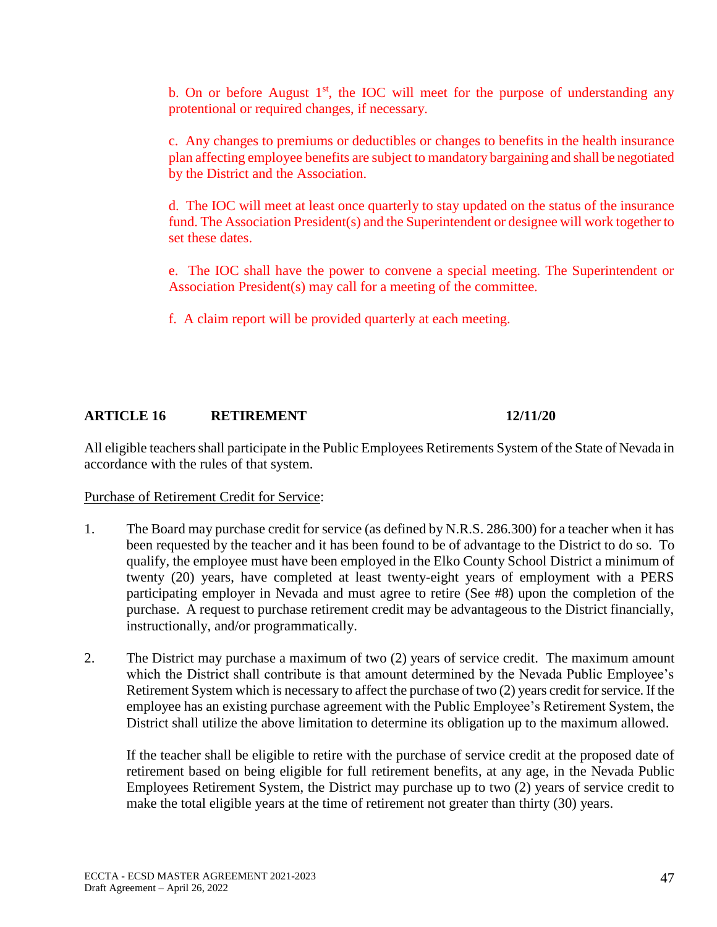b. On or before August  $1<sup>st</sup>$ , the IOC will meet for the purpose of understanding any protentional or required changes, if necessary.

c. Any changes to premiums or deductibles or changes to benefits in the health insurance plan affecting employee benefits are subject to mandatory bargaining and shall be negotiated by the District and the Association.

d. The IOC will meet at least once quarterly to stay updated on the status of the insurance fund. The Association President(s) and the Superintendent or designee will work together to set these dates.

e. The IOC shall have the power to convene a special meeting. The Superintendent or Association President(s) may call for a meeting of the committee.

f. A claim report will be provided quarterly at each meeting.

# **ARTICLE 16 RETIREMENT 12/11/20**

All eligible teachers shall participate in the Public Employees Retirements System of the State of Nevada in accordance with the rules of that system.

## Purchase of Retirement Credit for Service:

- 1. The Board may purchase credit for service (as defined by N.R.S. 286.300) for a teacher when it has been requested by the teacher and it has been found to be of advantage to the District to do so. To qualify, the employee must have been employed in the Elko County School District a minimum of twenty (20) years, have completed at least twenty-eight years of employment with a PERS participating employer in Nevada and must agree to retire (See #8) upon the completion of the purchase. A request to purchase retirement credit may be advantageous to the District financially, instructionally, and/or programmatically.
- 2. The District may purchase a maximum of two (2) years of service credit. The maximum amount which the District shall contribute is that amount determined by the Nevada Public Employee's Retirement System which is necessary to affect the purchase of two (2) years credit for service. If the employee has an existing purchase agreement with the Public Employee's Retirement System, the District shall utilize the above limitation to determine its obligation up to the maximum allowed.

If the teacher shall be eligible to retire with the purchase of service credit at the proposed date of retirement based on being eligible for full retirement benefits, at any age, in the Nevada Public Employees Retirement System, the District may purchase up to two (2) years of service credit to make the total eligible years at the time of retirement not greater than thirty (30) years.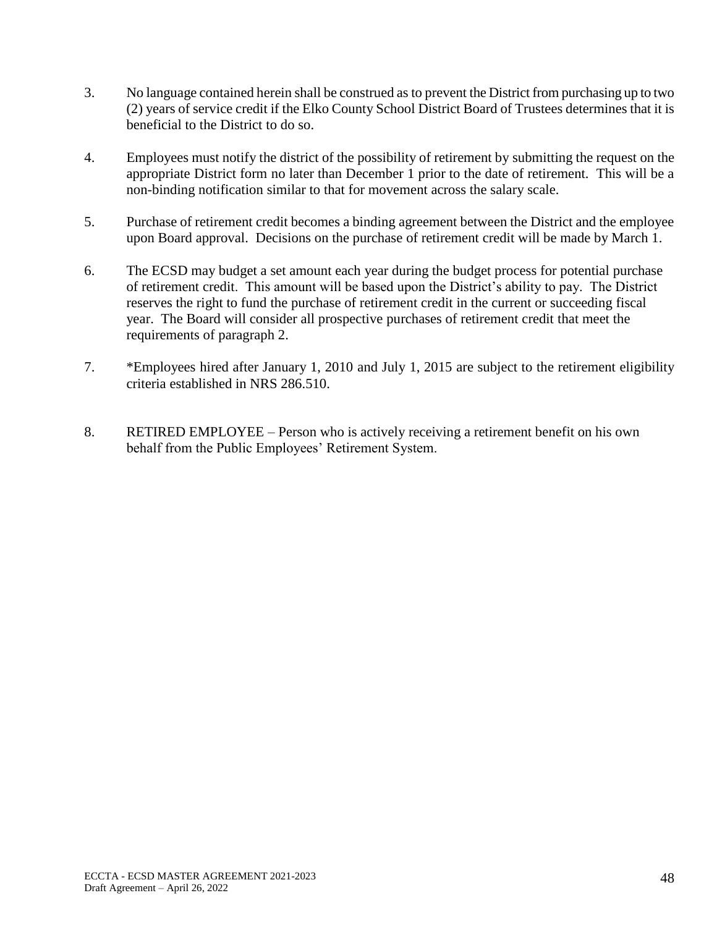- 3. No language contained herein shall be construed as to prevent the District from purchasing up to two (2) years of service credit if the Elko County School District Board of Trustees determines that it is beneficial to the District to do so.
- 4. Employees must notify the district of the possibility of retirement by submitting the request on the appropriate District form no later than December 1 prior to the date of retirement. This will be a non-binding notification similar to that for movement across the salary scale.
- 5. Purchase of retirement credit becomes a binding agreement between the District and the employee upon Board approval. Decisions on the purchase of retirement credit will be made by March 1.
- 6. The ECSD may budget a set amount each year during the budget process for potential purchase of retirement credit. This amount will be based upon the District's ability to pay. The District reserves the right to fund the purchase of retirement credit in the current or succeeding fiscal year. The Board will consider all prospective purchases of retirement credit that meet the requirements of paragraph 2.
- 7. \*Employees hired after January 1, 2010 and July 1, 2015 are subject to the retirement eligibility criteria established in NRS 286.510.
- 8. RETIRED EMPLOYEE Person who is actively receiving a retirement benefit on his own behalf from the Public Employees' Retirement System.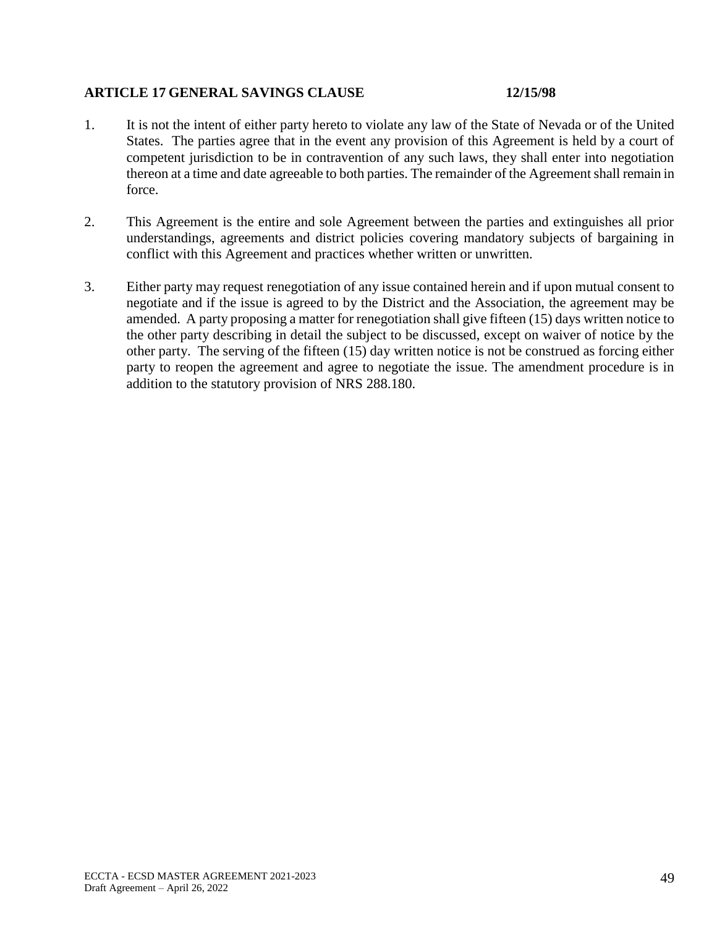## **ARTICLE 17 GENERAL SAVINGS CLAUSE 12/15/98**

- 1. It is not the intent of either party hereto to violate any law of the State of Nevada or of the United States. The parties agree that in the event any provision of this Agreement is held by a court of competent jurisdiction to be in contravention of any such laws, they shall enter into negotiation thereon at a time and date agreeable to both parties. The remainder of the Agreement shall remain in force.
- 2. This Agreement is the entire and sole Agreement between the parties and extinguishes all prior understandings, agreements and district policies covering mandatory subjects of bargaining in conflict with this Agreement and practices whether written or unwritten.
- 3. Either party may request renegotiation of any issue contained herein and if upon mutual consent to negotiate and if the issue is agreed to by the District and the Association, the agreement may be amended. A party proposing a matter for renegotiation shall give fifteen (15) days written notice to the other party describing in detail the subject to be discussed, except on waiver of notice by the other party. The serving of the fifteen (15) day written notice is not be construed as forcing either party to reopen the agreement and agree to negotiate the issue. The amendment procedure is in addition to the statutory provision of NRS 288.180.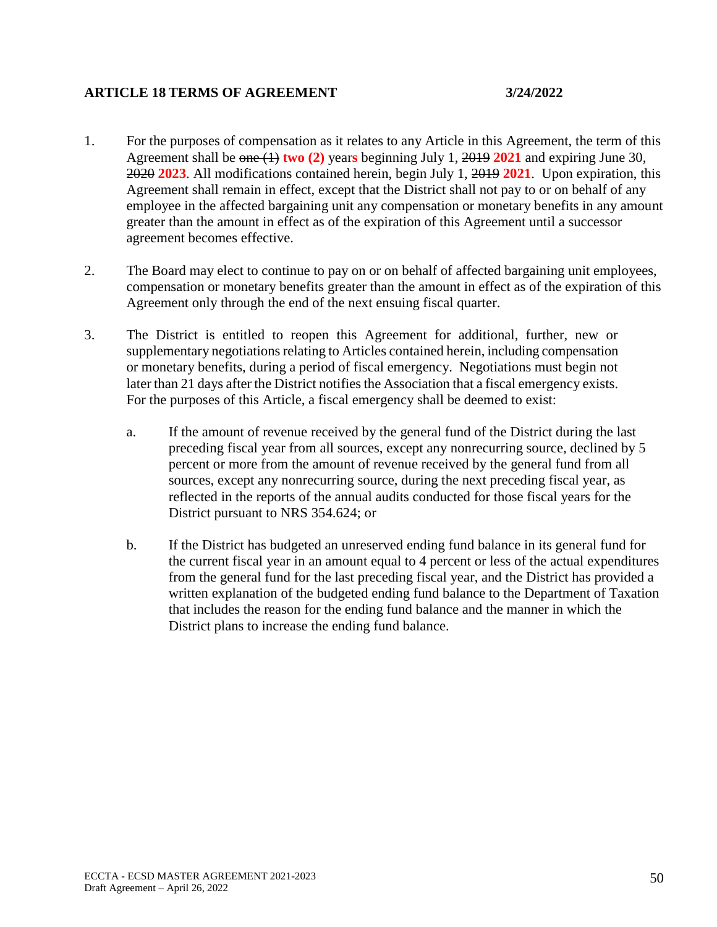## **ARTICLE 18 TERMS OF AGREEMENT 3/24/2022**

- 1. For the purposes of compensation as it relates to any Article in this Agreement, the term of this Agreement shall be one (1) **two (2)** year**s** beginning July 1, 2019 **2021** and expiring June 30, 2020 **2023**. All modifications contained herein, begin July 1, 2019 **2021**. Upon expiration, this Agreement shall remain in effect, except that the District shall not pay to or on behalf of any employee in the affected bargaining unit any compensation or monetary benefits in any amount greater than the amount in effect as of the expiration of this Agreement until a successor agreement becomes effective.
- 2. The Board may elect to continue to pay on or on behalf of affected bargaining unit employees, compensation or monetary benefits greater than the amount in effect as of the expiration of this Agreement only through the end of the next ensuing fiscal quarter.
- 3. The District is entitled to reopen this Agreement for additional, further, new or supplementary negotiations relating to Articles contained herein, including compensation or monetary benefits, during a period of fiscal emergency. Negotiations must begin not later than 21 days after the District notifies the Association that a fiscal emergency exists. For the purposes of this Article, a fiscal emergency shall be deemed to exist:
	- a. If the amount of revenue received by the general fund of the District during the last preceding fiscal year from all sources, except any nonrecurring source, declined by 5 percent or more from the amount of revenue received by the general fund from all sources, except any nonrecurring source, during the next preceding fiscal year, as reflected in the reports of the annual audits conducted for those fiscal years for the District pursuant to NRS 354.624; or
	- b. If the District has budgeted an unreserved ending fund balance in its general fund for the current fiscal year in an amount equal to 4 percent or less of the actual expenditures from the general fund for the last preceding fiscal year, and the District has provided a written explanation of the budgeted ending fund balance to the Department of Taxation that includes the reason for the ending fund balance and the manner in which the District plans to increase the ending fund balance.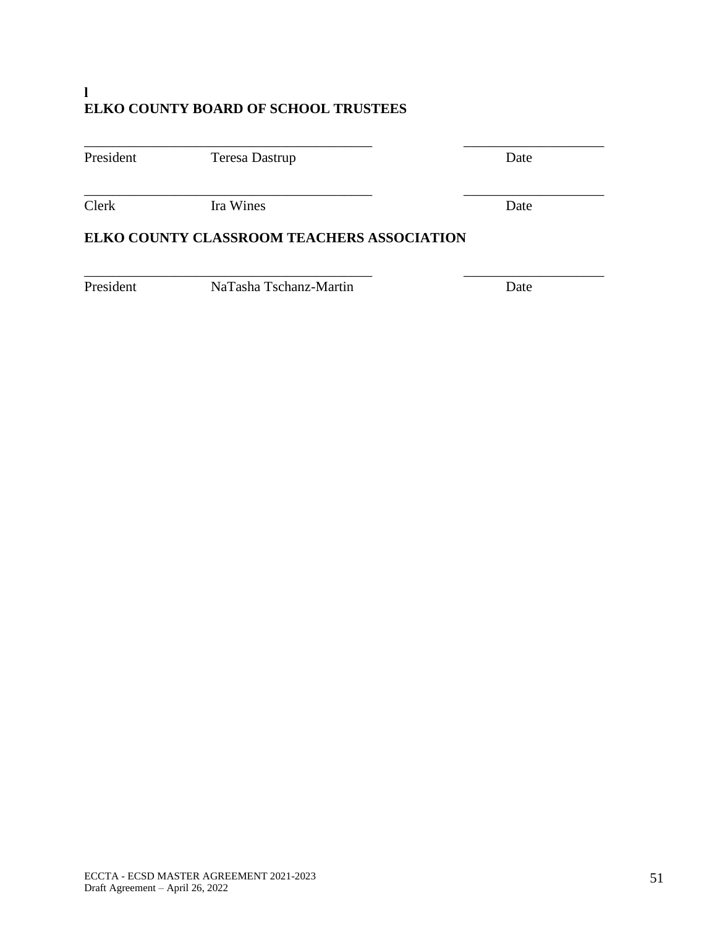# **l ELKO COUNTY BOARD OF SCHOOL TRUSTEES**

| President                                  | Teresa Dastrup |  | Date |  |
|--------------------------------------------|----------------|--|------|--|
| Clerk                                      | Ira Wines      |  | Date |  |
| ELKO COUNTY CLASSROOM TEACHERS ASSOCIATION |                |  |      |  |

\_\_\_\_\_\_\_\_\_\_\_\_\_\_\_\_\_\_\_\_\_\_\_\_\_\_\_\_\_\_\_\_\_\_\_\_\_\_\_\_\_ \_\_\_\_\_\_\_\_\_\_\_\_\_\_\_\_\_\_\_\_

President NaTasha Tschanz-Martin Date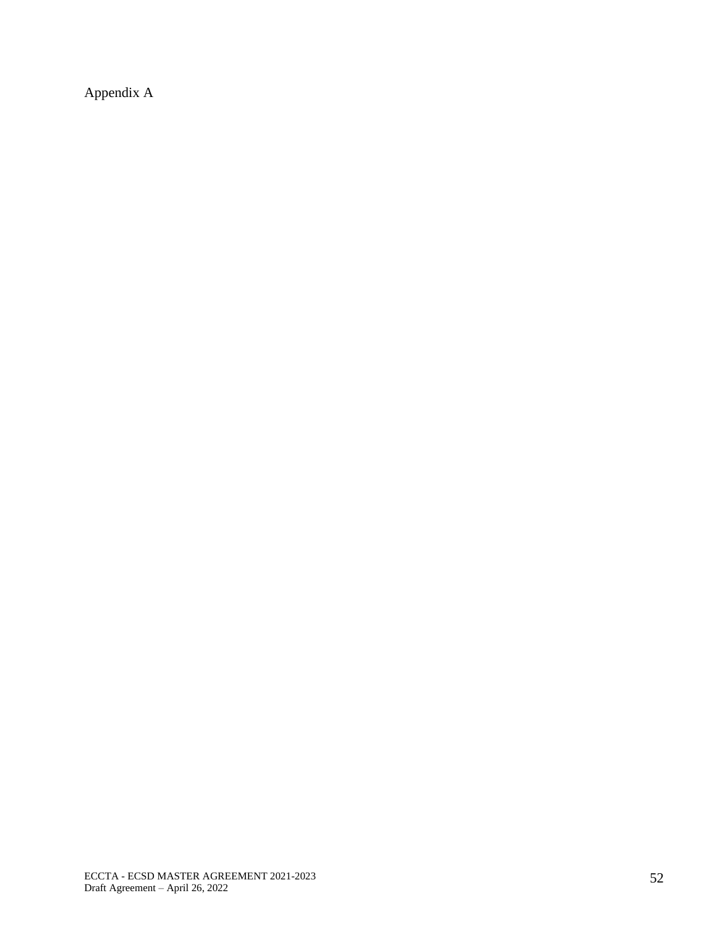Appendix A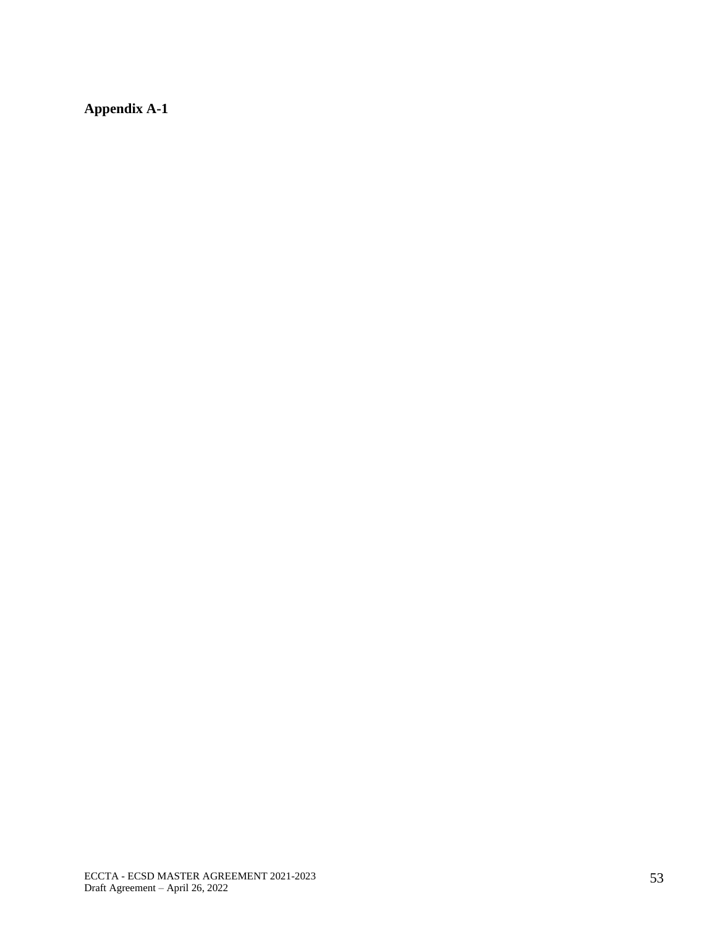**Appendix A-1**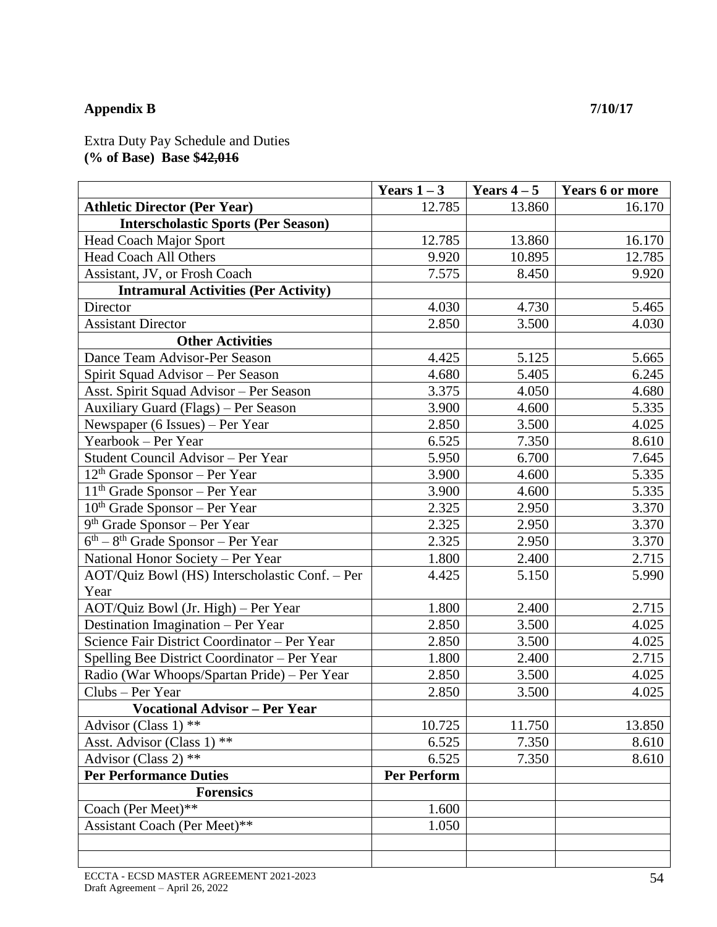# **Appendix B 7/10/17**

Extra Duty Pay Schedule and Duties **(% of Base) Base \$42,016**

|                                                | Years $1-3$        | Years $4-5$ | <b>Years 6 or more</b> |
|------------------------------------------------|--------------------|-------------|------------------------|
| <b>Athletic Director (Per Year)</b>            | 12.785             | 13.860      | 16.170                 |
| <b>Interscholastic Sports (Per Season)</b>     |                    |             |                        |
| <b>Head Coach Major Sport</b>                  | 12.785             | 13.860      | 16.170                 |
| <b>Head Coach All Others</b>                   | 9.920              | 10.895      | 12.785                 |
| Assistant, JV, or Frosh Coach                  | 7.575              | 8.450       | 9.920                  |
| <b>Intramural Activities (Per Activity)</b>    |                    |             |                        |
| Director                                       | 4.030              | 4.730       | 5.465                  |
| <b>Assistant Director</b>                      | 2.850              | 3.500       | 4.030                  |
| <b>Other Activities</b>                        |                    |             |                        |
| Dance Team Advisor-Per Season                  | 4.425              | 5.125       | 5.665                  |
| Spirit Squad Advisor – Per Season              | 4.680              | 5.405       | 6.245                  |
| Asst. Spirit Squad Advisor - Per Season        | 3.375              | 4.050       | 4.680                  |
| Auxiliary Guard (Flags) - Per Season           | 3.900              | 4.600       | 5.335                  |
| Newspaper (6 Issues) – Per Year                | 2.850              | 3.500       | 4.025                  |
| Yearbook – Per Year                            | 6.525              | 7.350       | 8.610                  |
| Student Council Advisor - Per Year             | 5.950              | 6.700       | 7.645                  |
| $12th$ Grade Sponsor – Per Year                | 3.900              | 4.600       | 5.335                  |
| $11th$ Grade Sponsor – Per Year                | 3.900              | 4.600       | 5.335                  |
| $10th$ Grade Sponsor – Per Year                | 2.325              | 2.950       | 3.370                  |
| $9th$ Grade Sponsor – Per Year                 | 2.325              | 2.950       | 3.370                  |
| $6th - 8th$ Grade Sponsor – Per Year           | 2.325              | 2.950       | 3.370                  |
| National Honor Society - Per Year              | 1.800              | 2.400       | 2.715                  |
| AOT/Quiz Bowl (HS) Interscholastic Conf. - Per | 4.425              | 5.150       | 5.990                  |
| Year                                           |                    |             |                        |
| AOT/Quiz Bowl (Jr. High) - Per Year            | 1.800              | 2.400       | 2.715                  |
| Destination Imagination - Per Year             | 2.850              | 3.500       | 4.025                  |
| Science Fair District Coordinator - Per Year   | 2.850              | 3.500       | 4.025                  |
| Spelling Bee District Coordinator - Per Year   | 1.800              | 2.400       | 2.715                  |
| Radio (War Whoops/Spartan Pride) - Per Year    | 2.850              | 3.500       | 4.025                  |
| Clubs - Per Year                               | 2.850              | 3.500       | 4.025                  |
| <b>Vocational Advisor - Per Year</b>           |                    |             |                        |
| Advisor (Class 1) **                           | 10.725             | 11.750      | 13.850                 |
| Asst. Advisor (Class 1) **                     | 6.525              | 7.350       | 8.610                  |
| Advisor (Class 2) **                           | 6.525              | 7.350       | 8.610                  |
| <b>Per Performance Duties</b>                  | <b>Per Perform</b> |             |                        |
| <b>Forensics</b>                               |                    |             |                        |
| Coach (Per Meet)**                             | 1.600              |             |                        |
| Assistant Coach (Per Meet)**                   | 1.050              |             |                        |
|                                                |                    |             |                        |
|                                                |                    |             |                        |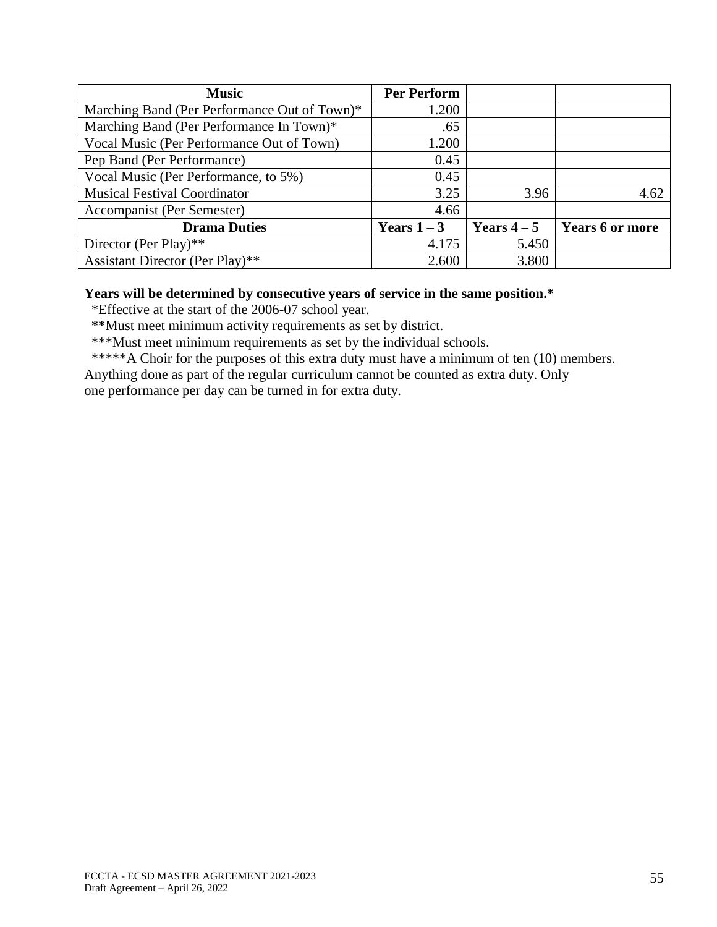| <b>Music</b>                                 | <b>Per Perform</b> |             |                        |
|----------------------------------------------|--------------------|-------------|------------------------|
| Marching Band (Per Performance Out of Town)* | 1.200              |             |                        |
| Marching Band (Per Performance In Town)*     | .65                |             |                        |
| Vocal Music (Per Performance Out of Town)    | 1.200              |             |                        |
| Pep Band (Per Performance)                   | 0.45               |             |                        |
| Vocal Music (Per Performance, to 5%)         | 0.45               |             |                        |
| <b>Musical Festival Coordinator</b>          | 3.25               | 3.96        | 4.62                   |
| Accompanist (Per Semester)                   | 4.66               |             |                        |
| <b>Drama Duties</b>                          | Years $1-3$        | Years $4-5$ | <b>Years 6 or more</b> |
| Director (Per Play)**                        | 4.175              | 5.450       |                        |
| Assistant Director (Per Play)**              | 2.600              | 3.800       |                        |

## **Years will be determined by consecutive years of service in the same position.\***

\*Effective at the start of the 2006-07 school year.

 **\*\***Must meet minimum activity requirements as set by district.

\*\*\*Must meet minimum requirements as set by the individual schools.

\*\*\*\*\*A Choir for the purposes of this extra duty must have a minimum of ten (10) members.

Anything done as part of the regular curriculum cannot be counted as extra duty. Only

one performance per day can be turned in for extra duty.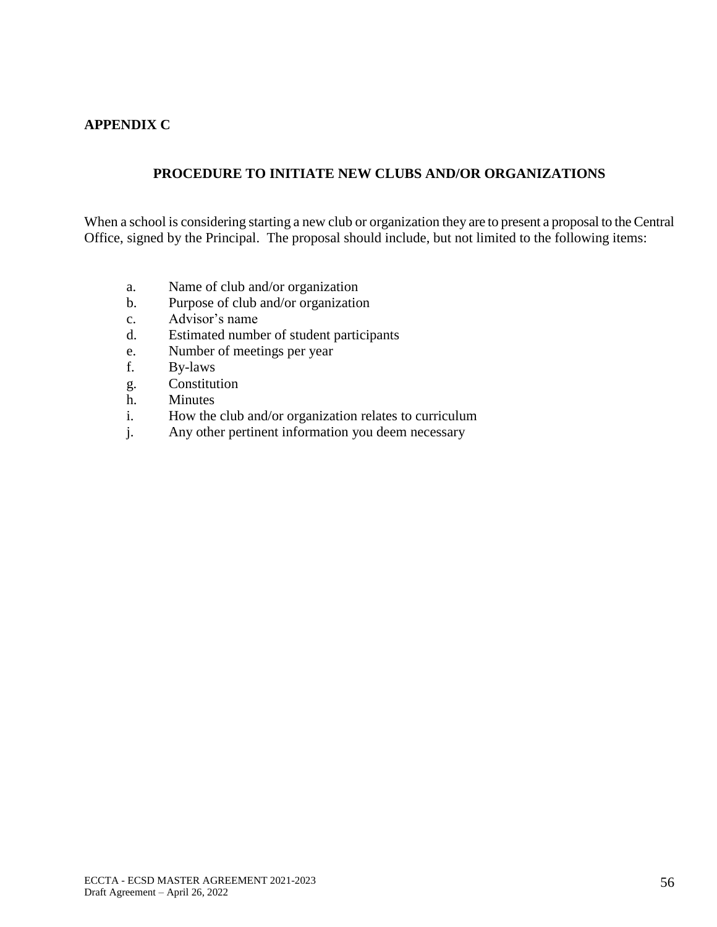## **APPENDIX C**

# **PROCEDURE TO INITIATE NEW CLUBS AND/OR ORGANIZATIONS**

When a school is considering starting a new club or organization they are to present a proposal to the Central Office, signed by the Principal. The proposal should include, but not limited to the following items:

- a. Name of club and/or organization
- b. Purpose of club and/or organization
- c. Advisor's name
- d. Estimated number of student participants
- e. Number of meetings per year
- f. By-laws
- g. Constitution
- h. Minutes
- i. How the club and/or organization relates to curriculum
- j. Any other pertinent information you deem necessary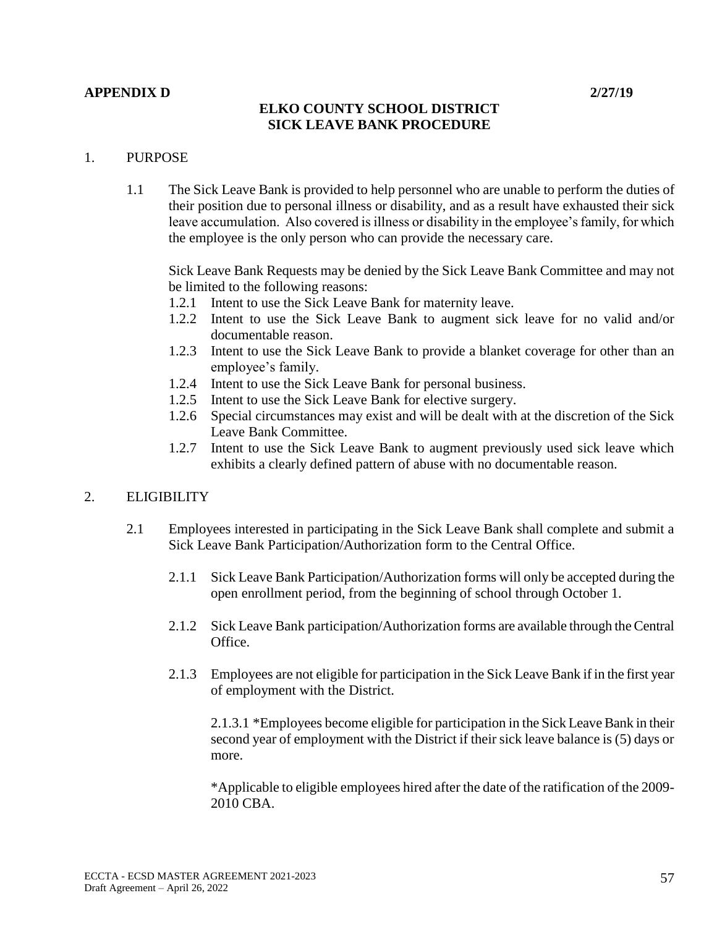## **APPENDIX D 2/27/19**

# **ELKO COUNTY SCHOOL DISTRICT SICK LEAVE BANK PROCEDURE**

## 1. PURPOSE

1.1 The Sick Leave Bank is provided to help personnel who are unable to perform the duties of their position due to personal illness or disability, and as a result have exhausted their sick leave accumulation. Also covered is illness or disability in the employee's family, for which the employee is the only person who can provide the necessary care.

Sick Leave Bank Requests may be denied by the Sick Leave Bank Committee and may not be limited to the following reasons:

- 1.2.1 Intent to use the Sick Leave Bank for maternity leave.
- 1.2.2 Intent to use the Sick Leave Bank to augment sick leave for no valid and/or documentable reason.
- 1.2.3 Intent to use the Sick Leave Bank to provide a blanket coverage for other than an employee's family.
- 1.2.4 Intent to use the Sick Leave Bank for personal business.
- 1.2.5 Intent to use the Sick Leave Bank for elective surgery.
- 1.2.6 Special circumstances may exist and will be dealt with at the discretion of the Sick Leave Bank Committee.
- 1.2.7 Intent to use the Sick Leave Bank to augment previously used sick leave which exhibits a clearly defined pattern of abuse with no documentable reason.

## 2. ELIGIBILITY

- 2.1 Employees interested in participating in the Sick Leave Bank shall complete and submit a Sick Leave Bank Participation/Authorization form to the Central Office.
	- 2.1.1 Sick Leave Bank Participation/Authorization forms will only be accepted during the open enrollment period, from the beginning of school through October 1.
	- 2.1.2 Sick Leave Bank participation/Authorization forms are available through the Central Office.
	- 2.1.3 Employees are not eligible for participation in the Sick Leave Bank if in the first year of employment with the District.

2.1.3.1 \*Employees become eligible for participation in the Sick Leave Bank in their second year of employment with the District if their sick leave balance is (5) days or more.

\*Applicable to eligible employees hired after the date of the ratification of the 2009- 2010 CBA.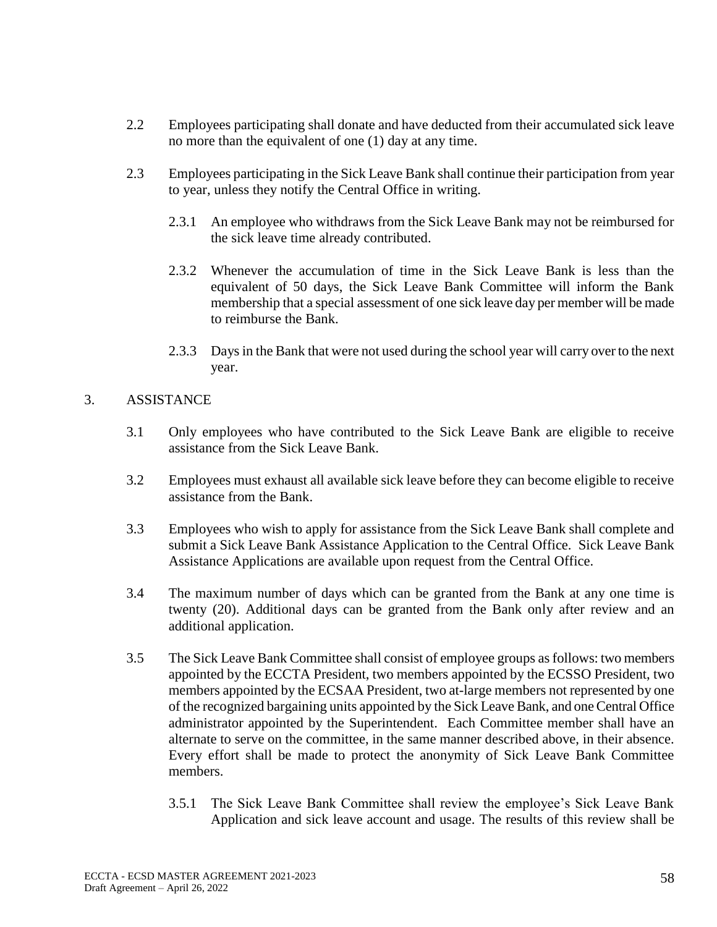- 2.2 Employees participating shall donate and have deducted from their accumulated sick leave no more than the equivalent of one (1) day at any time.
- 2.3 Employees participating in the Sick Leave Bank shall continue their participation from year to year, unless they notify the Central Office in writing.
	- 2.3.1 An employee who withdraws from the Sick Leave Bank may not be reimbursed for the sick leave time already contributed.
	- 2.3.2 Whenever the accumulation of time in the Sick Leave Bank is less than the equivalent of 50 days, the Sick Leave Bank Committee will inform the Bank membership that a special assessment of one sick leave day per member will be made to reimburse the Bank.
	- 2.3.3 Days in the Bank that were not used during the school year will carry over to the next year.

## 3. ASSISTANCE

- 3.1 Only employees who have contributed to the Sick Leave Bank are eligible to receive assistance from the Sick Leave Bank.
- 3.2 Employees must exhaust all available sick leave before they can become eligible to receive assistance from the Bank.
- 3.3 Employees who wish to apply for assistance from the Sick Leave Bank shall complete and submit a Sick Leave Bank Assistance Application to the Central Office. Sick Leave Bank Assistance Applications are available upon request from the Central Office.
- 3.4 The maximum number of days which can be granted from the Bank at any one time is twenty (20). Additional days can be granted from the Bank only after review and an additional application.
- 3.5 The Sick Leave Bank Committee shall consist of employee groups as follows: two members appointed by the ECCTA President, two members appointed by the ECSSO President, two members appointed by the ECSAA President, two at-large members not represented by one of the recognized bargaining units appointed by the Sick Leave Bank, and one Central Office administrator appointed by the Superintendent. Each Committee member shall have an alternate to serve on the committee, in the same manner described above, in their absence. Every effort shall be made to protect the anonymity of Sick Leave Bank Committee members.
	- 3.5.1 The Sick Leave Bank Committee shall review the employee's Sick Leave Bank Application and sick leave account and usage. The results of this review shall be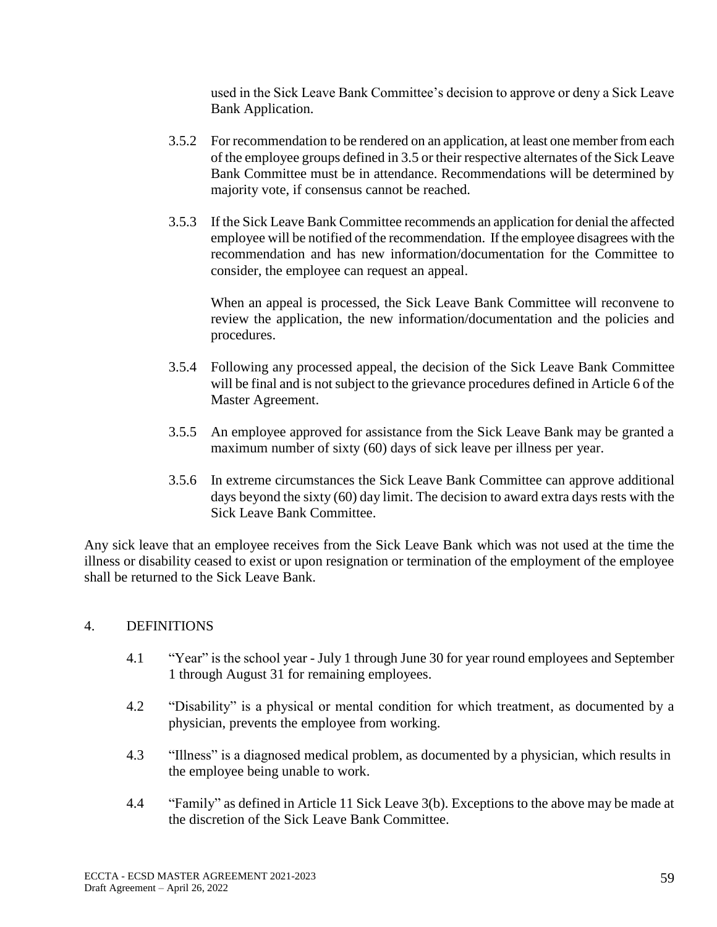used in the Sick Leave Bank Committee's decision to approve or deny a Sick Leave Bank Application.

- 3.5.2 For recommendation to be rendered on an application, at least one member from each of the employee groups defined in 3.5 or their respective alternates of the Sick Leave Bank Committee must be in attendance. Recommendations will be determined by majority vote, if consensus cannot be reached.
- 3.5.3 If the Sick Leave Bank Committee recommends an application for denial the affected employee will be notified of the recommendation. If the employee disagrees with the recommendation and has new information/documentation for the Committee to consider, the employee can request an appeal.

When an appeal is processed, the Sick Leave Bank Committee will reconvene to review the application, the new information/documentation and the policies and procedures.

- 3.5.4 Following any processed appeal, the decision of the Sick Leave Bank Committee will be final and is not subject to the grievance procedures defined in Article 6 of the Master Agreement.
- 3.5.5 An employee approved for assistance from the Sick Leave Bank may be granted a maximum number of sixty (60) days of sick leave per illness per year.
- 3.5.6 In extreme circumstances the Sick Leave Bank Committee can approve additional days beyond the sixty (60) day limit. The decision to award extra days rests with the Sick Leave Bank Committee.

Any sick leave that an employee receives from the Sick Leave Bank which was not used at the time the illness or disability ceased to exist or upon resignation or termination of the employment of the employee shall be returned to the Sick Leave Bank.

## 4. DEFINITIONS

- 4.1 "Year" is the school year July 1 through June 30 for year round employees and September 1 through August 31 for remaining employees.
- 4.2 "Disability" is a physical or mental condition for which treatment, as documented by a physician, prevents the employee from working.
- 4.3 "Illness" is a diagnosed medical problem, as documented by a physician, which results in the employee being unable to work.
- 4.4 "Family" as defined in Article 11 Sick Leave 3(b). Exceptions to the above may be made at the discretion of the Sick Leave Bank Committee.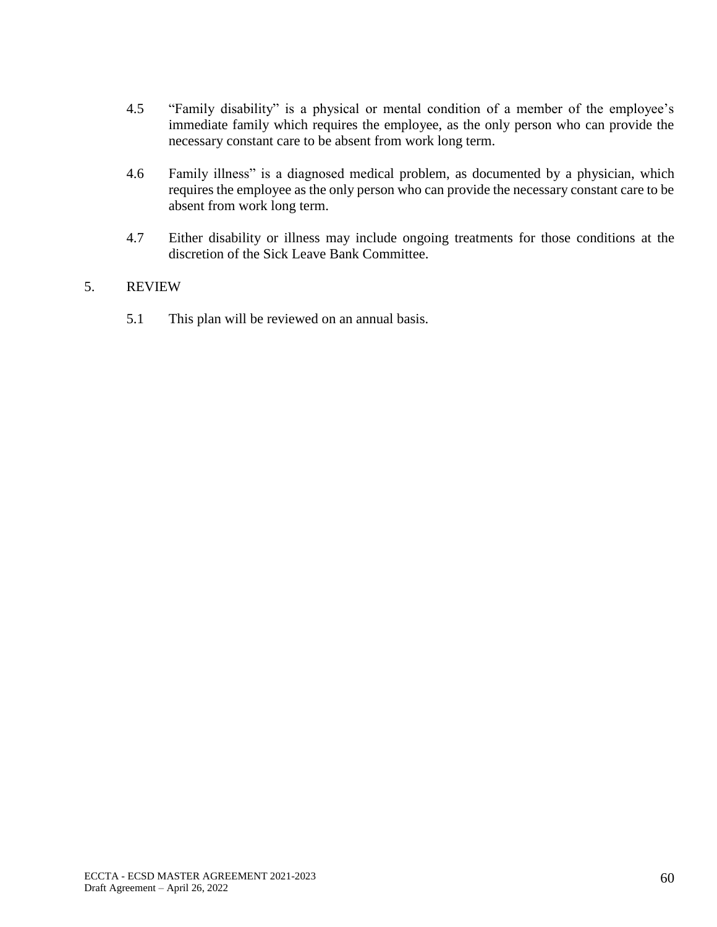- 4.5 "Family disability" is a physical or mental condition of a member of the employee's immediate family which requires the employee, as the only person who can provide the necessary constant care to be absent from work long term.
- 4.6 Family illness" is a diagnosed medical problem, as documented by a physician, which requires the employee as the only person who can provide the necessary constant care to be absent from work long term.
- 4.7 Either disability or illness may include ongoing treatments for those conditions at the discretion of the Sick Leave Bank Committee.

## 5. REVIEW

5.1 This plan will be reviewed on an annual basis.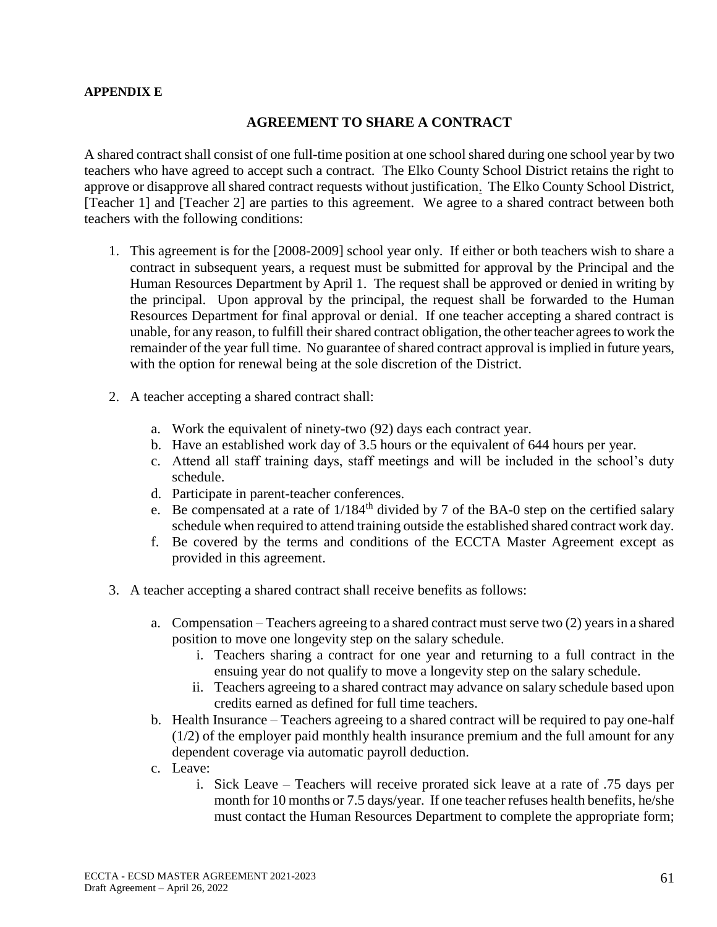### **APPENDIX E**

## **AGREEMENT TO SHARE A CONTRACT**

A shared contract shall consist of one full-time position at one school shared during one school year by two teachers who have agreed to accept such a contract. The Elko County School District retains the right to approve or disapprove all shared contract requests without justification. The Elko County School District, [Teacher 1] and [Teacher 2] are parties to this agreement. We agree to a shared contract between both teachers with the following conditions:

- 1. This agreement is for the [2008-2009] school year only. If either or both teachers wish to share a contract in subsequent years, a request must be submitted for approval by the Principal and the Human Resources Department by April 1. The request shall be approved or denied in writing by the principal. Upon approval by the principal, the request shall be forwarded to the Human Resources Department for final approval or denial. If one teacher accepting a shared contract is unable, for any reason, to fulfill their shared contract obligation, the other teacher agrees to work the remainder of the year full time. No guarantee of shared contract approval is implied in future years, with the option for renewal being at the sole discretion of the District.
- 2. A teacher accepting a shared contract shall:
	- a. Work the equivalent of ninety-two (92) days each contract year.
	- b. Have an established work day of 3.5 hours or the equivalent of 644 hours per year.
	- c. Attend all staff training days, staff meetings and will be included in the school's duty schedule.
	- d. Participate in parent-teacher conferences.
	- e. Be compensated at a rate of  $1/184<sup>th</sup>$  divided by 7 of the BA-0 step on the certified salary schedule when required to attend training outside the established shared contract work day.
	- f. Be covered by the terms and conditions of the ECCTA Master Agreement except as provided in this agreement.
- 3. A teacher accepting a shared contract shall receive benefits as follows:
	- a. Compensation Teachers agreeing to a shared contract must serve two (2) years in a shared position to move one longevity step on the salary schedule.
		- i. Teachers sharing a contract for one year and returning to a full contract in the ensuing year do not qualify to move a longevity step on the salary schedule.
		- ii. Teachers agreeing to a shared contract may advance on salary schedule based upon credits earned as defined for full time teachers.
	- b. Health Insurance Teachers agreeing to a shared contract will be required to pay one-half (1/2) of the employer paid monthly health insurance premium and the full amount for any dependent coverage via automatic payroll deduction.
	- c. Leave:
		- i. Sick Leave Teachers will receive prorated sick leave at a rate of .75 days per month for 10 months or 7.5 days/year. If one teacher refuses health benefits, he/she must contact the Human Resources Department to complete the appropriate form;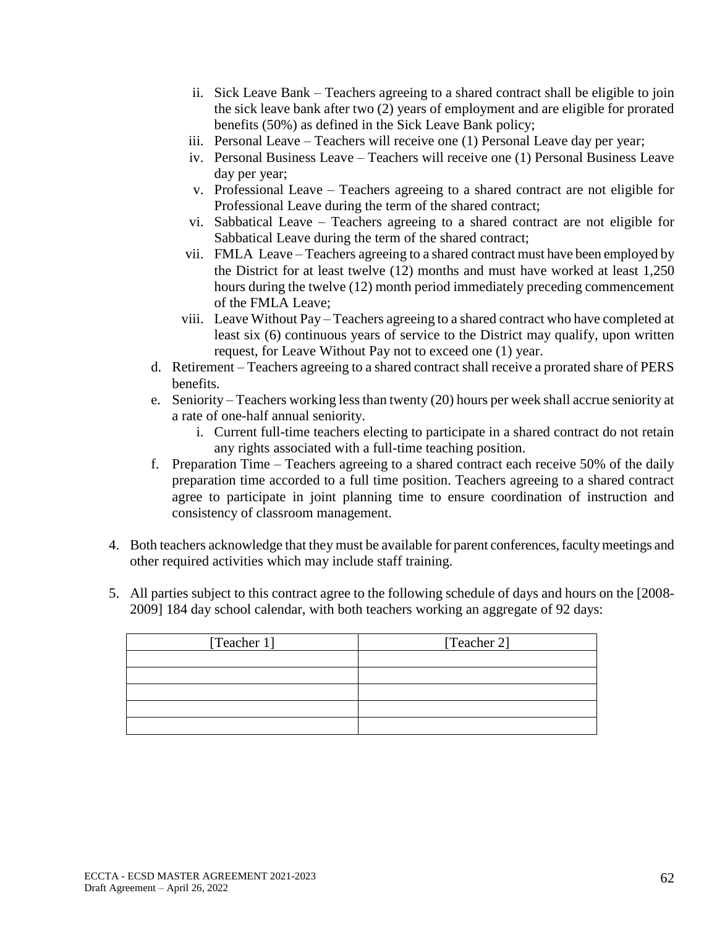- ii. Sick Leave Bank Teachers agreeing to a shared contract shall be eligible to join the sick leave bank after two (2) years of employment and are eligible for prorated benefits (50%) as defined in the Sick Leave Bank policy;
- iii. Personal Leave Teachers will receive one (1) Personal Leave day per year;
- iv. Personal Business Leave Teachers will receive one (1) Personal Business Leave day per year;
- v. Professional Leave Teachers agreeing to a shared contract are not eligible for Professional Leave during the term of the shared contract;
- vi. Sabbatical Leave Teachers agreeing to a shared contract are not eligible for Sabbatical Leave during the term of the shared contract;
- vii. FMLA Leave Teachers agreeing to a shared contract must have been employed by the District for at least twelve (12) months and must have worked at least 1,250 hours during the twelve (12) month period immediately preceding commencement of the FMLA Leave;
- viii. Leave Without Pay Teachers agreeing to a shared contract who have completed at least six (6) continuous years of service to the District may qualify, upon written request, for Leave Without Pay not to exceed one (1) year.
- d. Retirement Teachers agreeing to a shared contract shall receive a prorated share of PERS benefits.
- e. Seniority Teachers working less than twenty (20) hours per week shall accrue seniority at a rate of one-half annual seniority.
	- i. Current full-time teachers electing to participate in a shared contract do not retain any rights associated with a full-time teaching position.
- f. Preparation Time Teachers agreeing to a shared contract each receive 50% of the daily preparation time accorded to a full time position. Teachers agreeing to a shared contract agree to participate in joint planning time to ensure coordination of instruction and consistency of classroom management.
- 4. Both teachers acknowledge that they must be available for parent conferences, faculty meetings and other required activities which may include staff training.
- 5. All parties subject to this contract agree to the following schedule of days and hours on the [2008- 2009] 184 day school calendar, with both teachers working an aggregate of 92 days:

| [Teacher 1] | [Teacher 2] |
|-------------|-------------|
|             |             |
|             |             |
|             |             |
|             |             |
|             |             |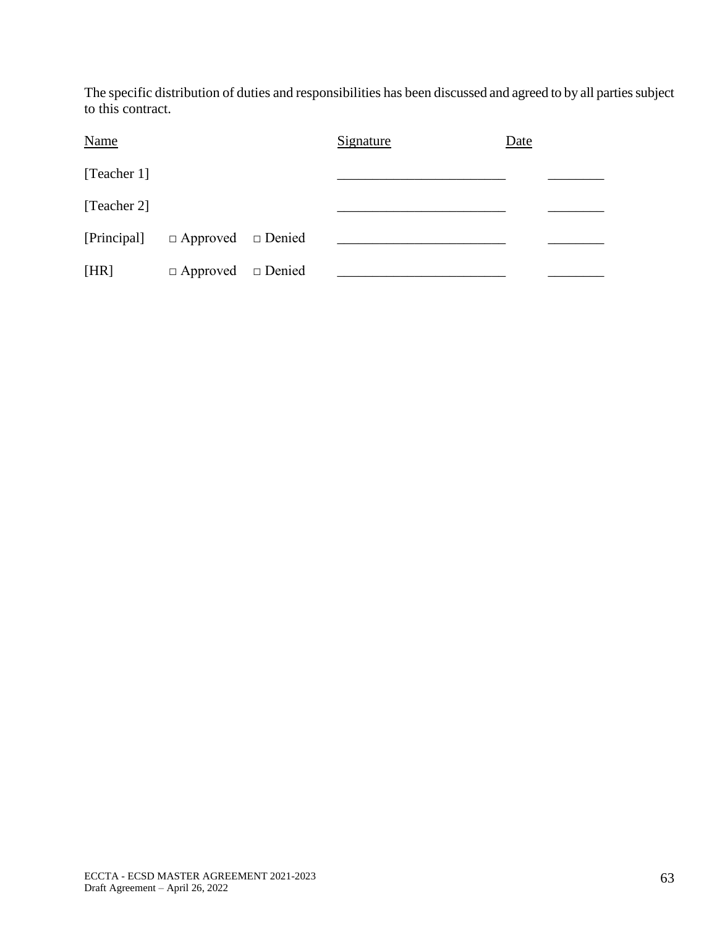The specific distribution of duties and responsibilities has been discussed and agreed to by all parties subject to this contract.

| <b>Name</b> |                               | Signature | Date |
|-------------|-------------------------------|-----------|------|
| [Teacher 1] |                               |           |      |
| [Teacher 2] |                               |           |      |
| [Principal] | $\Box$ Approved $\Box$ Denied |           |      |
| [HR]        | $\Box$ Approved $\Box$ Denied |           |      |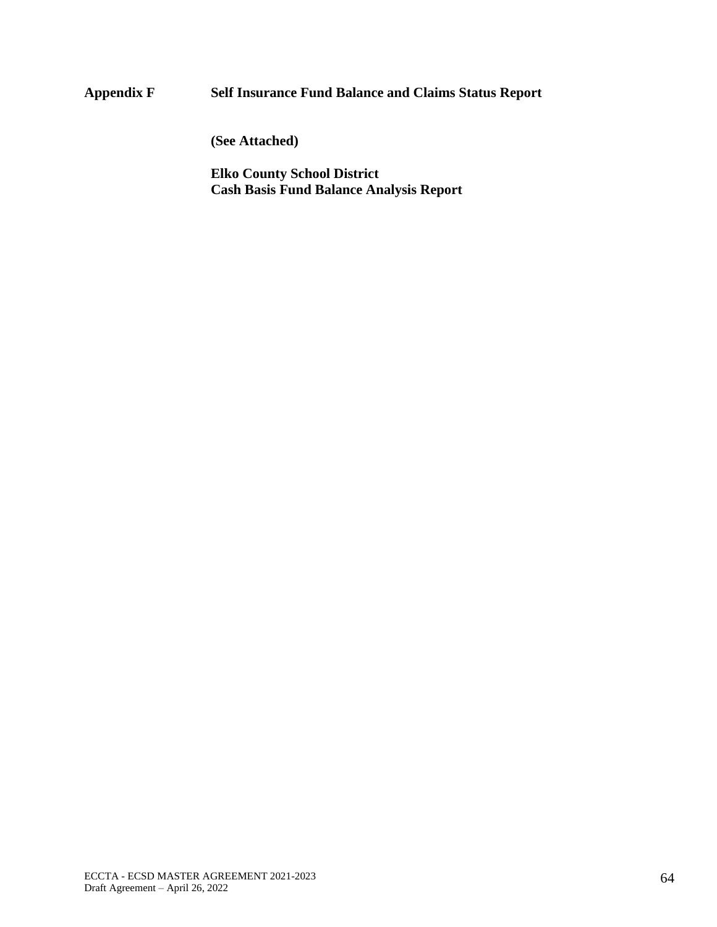# **Appendix F Self Insurance Fund Balance and Claims Status Report**

**(See Attached)** 

**Elko County School District Cash Basis Fund Balance Analysis Report**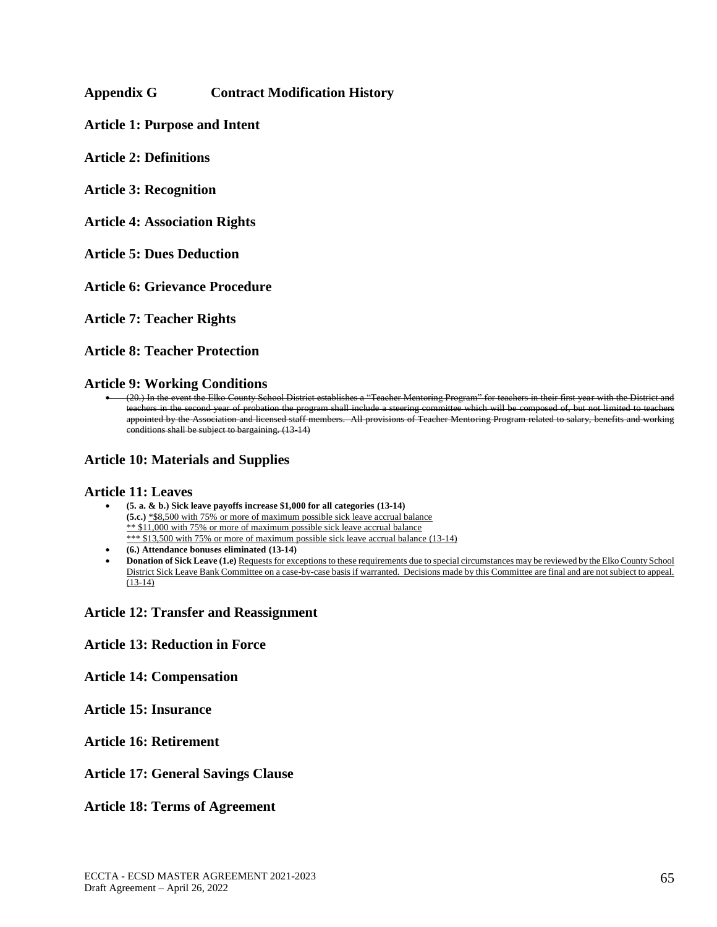## **Appendix G Contract Modification History**

**Article 1: Purpose and Intent**

**Article 2: Definitions**

**Article 3: Recognition**

**Article 4: Association Rights**

**Article 5: Dues Deduction**

**Article 6: Grievance Procedure**

**Article 7: Teacher Rights**

**Article 8: Teacher Protection**

**Article 9: Working Conditions**

• (20.) In the event the Elko County School District establishes a "Teacher Mentoring Program" for teachers in their first year with the District and teachers in the second year of probation the program shall include a steering committee which will be composed of, but not limited to teachers appointed by the Association and licensed staff members. All provisions of Teacher Mentoring Program related to salary, benefits and working conditions shall be subject to bargaining. (13-14)

### **Article 10: Materials and Supplies**

### **Article 11: Leaves**

• **(5. a. & b.) Sick leave payoffs increase \$1,000 for all categories (13-14) (5.c.)** \*\$8,500 with 75% or more of maximum possible sick leave accrual balance \*\* \$11,000 with 75% or more of maximum possible sick leave accrual balance \*\*\* \$13,500 with 75% or more of maximum possible sick leave accrual balance (13-14)

- **(6.) Attendance bonuses eliminated (13-14)**
- **Donation of Sick Leave (1.e)** Requests for exceptions to these requirements due to special circumstances may be reviewed by the Elko County School District Sick Leave Bank Committee on a case-by-case basis if warranted. Decisions made by this Committee are final and are not subject to appeal. (13-14)

### **Article 12: Transfer and Reassignment**

### **Article 13: Reduction in Force**

**Article 14: Compensation**

**Article 15: Insurance**

## **Article 16: Retirement**

### **Article 17: General Savings Clause**

### **Article 18: Terms of Agreement**